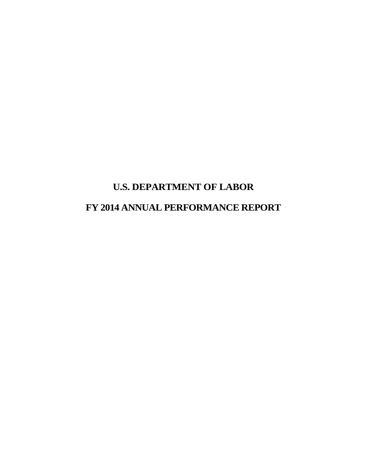# **U.S. DEPARTMENT OF LABOR FY 2014 ANNUAL PERFORMANCE REPORT**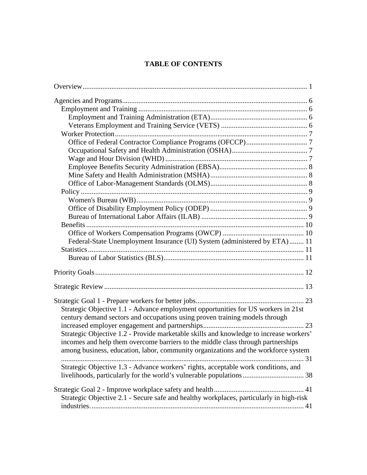### **TABLE OF CONTENTS**

| Federal-State Unemployment Insurance (UI) System (administered by ETA) 11               |  |
|-----------------------------------------------------------------------------------------|--|
|                                                                                         |  |
|                                                                                         |  |
|                                                                                         |  |
|                                                                                         |  |
|                                                                                         |  |
|                                                                                         |  |
| Strategic Objective 1.1 - Advance employment opportunities for US workers in 21st       |  |
| century demand sectors and occupations using proven training models through             |  |
|                                                                                         |  |
| Strategic Objective 1.2 - Provide marketable skills and knowledge to increase workers'  |  |
| incomes and help them overcome barriers to the middle class through partnerships        |  |
| among business, education, labor, community organizations and the workforce system      |  |
|                                                                                         |  |
| Strategic Objective 1.3 - Advance workers' rights, acceptable work conditions, and      |  |
|                                                                                         |  |
|                                                                                         |  |
|                                                                                         |  |
| Strategic Objective 2.1 - Secure safe and healthy workplaces, particularly in high-risk |  |
|                                                                                         |  |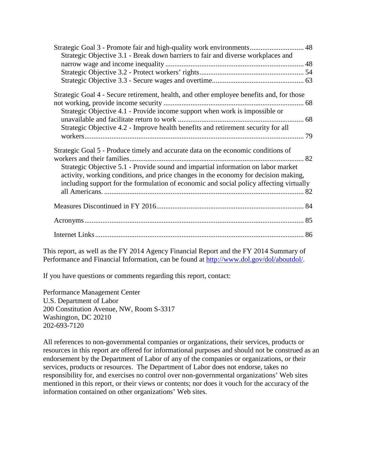| Strategic Goal 3 - Promote fair and high-quality work environments 48<br>Strategic Objective 3.1 - Break down barriers to fair and diverse workplaces and |  |
|-----------------------------------------------------------------------------------------------------------------------------------------------------------|--|
|                                                                                                                                                           |  |
|                                                                                                                                                           |  |
|                                                                                                                                                           |  |
| Strategic Goal 4 - Secure retirement, health, and other employee benefits and, for those                                                                  |  |
|                                                                                                                                                           |  |
| Strategic Objective 4.1 - Provide income support when work is impossible or                                                                               |  |
|                                                                                                                                                           |  |
| Strategic Objective 4.2 - Improve health benefits and retirement security for all                                                                         |  |
| Strategic Goal 5 - Produce timely and accurate data on the economic conditions of                                                                         |  |
|                                                                                                                                                           |  |
| Strategic Objective 5.1 - Provide sound and impartial information on labor market                                                                         |  |
| activity, working conditions, and price changes in the economy for decision making,                                                                       |  |
| including support for the formulation of economic and social policy affecting virtually                                                                   |  |
|                                                                                                                                                           |  |
|                                                                                                                                                           |  |
|                                                                                                                                                           |  |

This report, as well as the FY 2014 Agency Financial Report and the FY 2014 Summary of Performance and Financial Information, can be found at [http://www.dol.gov/dol/aboutdol/.](http://www.dol.gov/dol/aboutdol/)

If you have questions or comments regarding this report, contact:

Performance Management Center U.S. Department of Labor 200 Constitution Avenue, NW, Room S-3317 Washington, DC 20210 202-693-7120

All references to non-governmental companies or organizations, their services, products or resources in this report are offered for informational purposes and should not be construed as an endorsement by the Department of Labor of any of the companies or organizations, or their services, products or resources. The Department of Labor does not endorse, takes no responsibility for, and exercises no control over non-governmental organizations' Web sites mentioned in this report, or their views or contents; nor does it vouch for the accuracy of the information contained on other organizations' Web sites.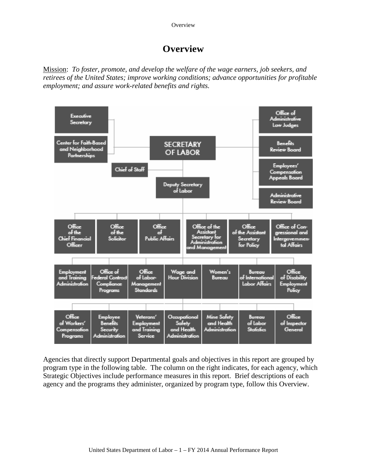**Overview** 

## **Overview**

<span id="page-4-0"></span>Mission: *To foster, promote, and develop the welfare of the wage earners, job seekers, and retirees of the United States; improve working conditions; advance opportunities for profitable employment; and assure work-related benefits and rights.*



Agencies that directly support Departmental goals and objectives in this report are grouped by program type in the following table. The column on the right indicates, for each agency, which Strategic Objectives include performance measures in this report. Brief descriptions of each agency and the programs they administer, organized by program type, follow this Overview.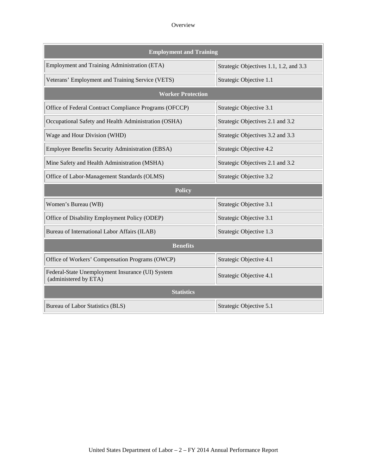#### **Overview**

| <b>Employment and Training</b>                                            |                                        |  |  |  |  |  |  |  |  |  |  |
|---------------------------------------------------------------------------|----------------------------------------|--|--|--|--|--|--|--|--|--|--|
| Employment and Training Administration (ETA)                              | Strategic Objectives 1.1, 1.2, and 3.3 |  |  |  |  |  |  |  |  |  |  |
| Veterans' Employment and Training Service (VETS)                          | Strategic Objective 1.1                |  |  |  |  |  |  |  |  |  |  |
| <b>Worker Protection</b>                                                  |                                        |  |  |  |  |  |  |  |  |  |  |
| Office of Federal Contract Compliance Programs (OFCCP)                    | Strategic Objective 3.1                |  |  |  |  |  |  |  |  |  |  |
| Occupational Safety and Health Administration (OSHA)                      | Strategic Objectives 2.1 and 3.2       |  |  |  |  |  |  |  |  |  |  |
| Wage and Hour Division (WHD)                                              | Strategic Objectives 3.2 and 3.3       |  |  |  |  |  |  |  |  |  |  |
| Employee Benefits Security Administration (EBSA)                          | Strategic Objective 4.2                |  |  |  |  |  |  |  |  |  |  |
| Mine Safety and Health Administration (MSHA)                              | Strategic Objectives 2.1 and 3.2       |  |  |  |  |  |  |  |  |  |  |
| Office of Labor-Management Standards (OLMS)                               | Strategic Objective 3.2                |  |  |  |  |  |  |  |  |  |  |
| <b>Policy</b>                                                             |                                        |  |  |  |  |  |  |  |  |  |  |
| Women's Bureau (WB)                                                       | Strategic Objective 3.1                |  |  |  |  |  |  |  |  |  |  |
| Office of Disability Employment Policy (ODEP)                             | Strategic Objective 3.1                |  |  |  |  |  |  |  |  |  |  |
| Bureau of International Labor Affairs (ILAB)                              | Strategic Objective 1.3                |  |  |  |  |  |  |  |  |  |  |
| <b>Benefits</b>                                                           |                                        |  |  |  |  |  |  |  |  |  |  |
| Office of Workers' Compensation Programs (OWCP)                           | Strategic Objective 4.1                |  |  |  |  |  |  |  |  |  |  |
| Federal-State Unemployment Insurance (UI) System<br>(administered by ETA) | Strategic Objective 4.1                |  |  |  |  |  |  |  |  |  |  |
| <b>Statistics</b>                                                         |                                        |  |  |  |  |  |  |  |  |  |  |
| Bureau of Labor Statistics (BLS)                                          | Strategic Objective 5.1                |  |  |  |  |  |  |  |  |  |  |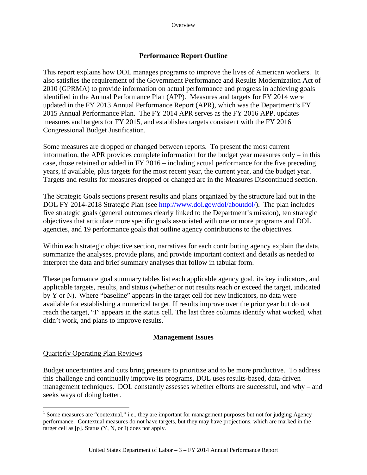#### **Performance Report Outline**

This report explains how DOL manages programs to improve the lives of American workers. It also satisfies the requirement of the Government Performance and Results Modernization Act of 2010 (GPRMA) to provide information on actual performance and progress in achieving goals identified in the Annual Performance Plan (APP). Measures and targets for FY 2014 were updated in the FY 2013 Annual Performance Report (APR), which was the Department's FY 2015 Annual Performance Plan. The FY 2014 APR serves as the FY 2016 APP, updates measures and targets for FY 2015, and establishes targets consistent with the FY 2016 Congressional Budget Justification.

Some measures are dropped or changed between reports. To present the most current information, the APR provides complete information for the budget year measures only – in this case, those retained or added in FY 2016 – including actual performance for the five preceding years, if available, plus targets for the most recent year, the current year, and the budget year. Targets and results for measures dropped or changed are in the Measures Discontinued section.

The Strategic Goals sections present results and plans organized by the structure laid out in the DOL FY 2014-2018 Strategic Plan (see [http://www.dol.gov/dol/aboutdol/\)](http://www.dol.gov/dol/aboutdol/). The plan includes five strategic goals (general outcomes clearly linked to the Department's mission), ten strategic objectives that articulate more specific goals associated with one or more programs and DOL agencies, and 19 performance goals that outline agency contributions to the objectives.

Within each strategic objective section, narratives for each contributing agency explain the data, summarize the analyses, provide plans, and provide important context and details as needed to interpret the data and brief summary analyses that follow in tabular form.

These performance goal summary tables list each applicable agency goal, its key indicators, and applicable targets, results, and status (whether or not results reach or exceed the target, indicated by Y or N). Where "baseline" appears in the target cell for new indicators, no data were available for establishing a numerical target. If results improve over the prior year but do not reach the target, "I" appears in the status cell. The last three columns identify what worked, what didn't work, and plans to improve results. $<sup>1</sup>$  $<sup>1</sup>$  $<sup>1</sup>$ </sup>

#### **Management Issues**

#### Quarterly Operating Plan Reviews

Budget uncertainties and cuts bring pressure to prioritize and to be more productive. To address this challenge and continually improve its programs, DOL uses results-based, data-driven management techniques. DOL constantly assesses whether efforts are successful, and why – and seeks ways of doing better.

<span id="page-6-0"></span><sup>&</sup>lt;sup>1</sup> Some measures are "contextual," i.e., they are important for management purposes but not for judging Agency performance. Contextual measures do not have targets, but they may have projections, which are marked in the target cell as [p]. Status (Y, N, or I) does not apply.  $\overline{a}$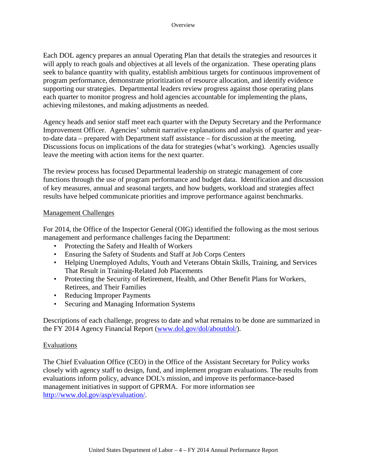Each DOL agency prepares an annual Operating Plan that details the strategies and resources it will apply to reach goals and objectives at all levels of the organization. These operating plans seek to balance quantity with quality, establish ambitious targets for continuous improvement of program performance, demonstrate prioritization of resource allocation, and identify evidence supporting our strategies. Departmental leaders review progress against those operating plans each quarter to monitor progress and hold agencies accountable for implementing the plans, achieving milestones, and making adjustments as needed.

Agency heads and senior staff meet each quarter with the Deputy Secretary and the Performance Improvement Officer. Agencies' submit narrative explanations and analysis of quarter and yearto-date data – prepared with Department staff assistance – for discussion at the meeting. Discussions focus on implications of the data for strategies (what's working). Agencies usually leave the meeting with action items for the next quarter.

The review process has focused Departmental leadership on strategic management of core functions through the use of program performance and budget data. Identification and discussion of key measures, annual and seasonal targets, and how budgets, workload and strategies affect results have helped communicate priorities and improve performance against benchmarks.

#### Management Challenges

For 2014, the Office of the Inspector General (OIG) identified the following as the most serious management and performance challenges facing the Department:

- Protecting the Safety and Health of Workers
- Ensuring the Safety of Students and Staff at Job Corps Centers
- Helping Unemployed Adults, Youth and Veterans Obtain Skills, Training, and Services That Result in Training-Related Job Placements
- Protecting the Security of Retirement, Health, and Other Benefit Plans for Workers, Retirees, and Their Families
- Reducing Improper Payments
- Securing and Managing Information Systems

Descriptions of each challenge, progress to date and what remains to be done are summarized in the FY 2014 Agency Financial Report [\(www.dol.gov/dol/aboutdol/\)](http://www.dol.gov/dol/aboutdol/).

#### Evaluations

The Chief Evaluation Office (CEO) in the Office of the Assistant Secretary for Policy works closely with agency staff to design, fund, and implement program evaluations. The results from evaluations inform policy, advance DOL's mission, and improve its performance-based management initiatives in support of GPRMA. For more information see [http://www.dol.gov/asp/evaluation/.](http://www.dol.gov/asp/evaluation/)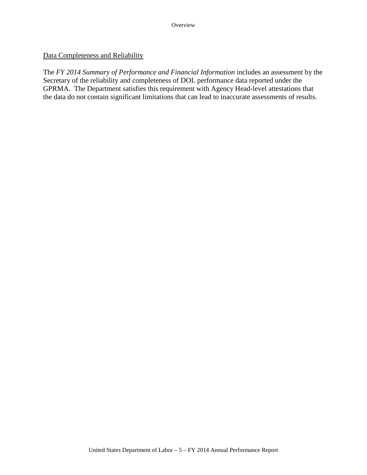#### Data Completeness and Reliability

The *FY 2014 Summary of Performance and Financial Information* includes an assessment by the Secretary of the reliability and completeness of DOL performance data reported under the GPRMA. The Department satisfies this requirement with Agency Head-level attestations that the data do not contain significant limitations that can lead to inaccurate assessments of results.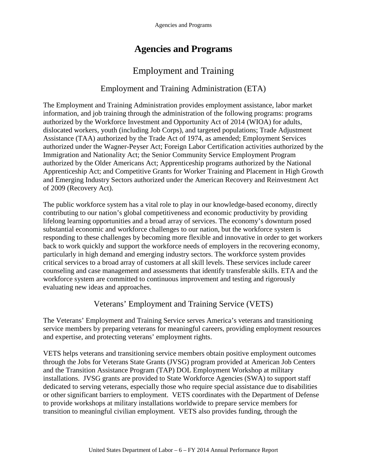## **Agencies and Programs**

## Employment and Training

### Employment and Training Administration (ETA)

<span id="page-9-0"></span>The Employment and Training Administration provides employment assistance, labor market information, and job training through the administration of the following programs: programs authorized by the Workforce Investment and Opportunity Act of 2014 (WIOA) for adults, dislocated workers, youth (including Job Corps), and targeted populations; Trade Adjustment Assistance (TAA) authorized by the Trade Act of 1974, as amended; Employment Services authorized under the Wagner-Peyser Act; Foreign Labor Certification activities authorized by the Immigration and Nationality Act; the Senior Community Service Employment Program authorized by the Older Americans Act; Apprenticeship programs authorized by the National Apprenticeship Act; and Competitive Grants for Worker Training and Placement in High Growth and Emerging Industry Sectors authorized under the American Recovery and Reinvestment Act of 2009 (Recovery Act).

The public workforce system has a vital role to play in our knowledge-based economy, directly contributing to our nation's global competitiveness and economic productivity by providing lifelong learning opportunities and a broad array of services. The economy's downturn posed substantial economic and workforce challenges to our nation, but the workforce system is responding to these challenges by becoming more flexible and innovative in order to get workers back to work quickly and support the workforce needs of employers in the recovering economy, particularly in high demand and emerging industry sectors. The workforce system provides critical services to a broad array of customers at all skill levels. These services include career counseling and case management and assessments that identify transferable skills. ETA and the workforce system are committed to continuous improvement and testing and rigorously evaluating new ideas and approaches.

### Veterans' Employment and Training Service (VETS)

The Veterans' Employment and Training Service serves America's veterans and transitioning service members by preparing veterans for meaningful careers, providing employment resources and expertise, and protecting veterans' employment rights.

VETS helps veterans and transitioning service members obtain positive employment outcomes through the Jobs for Veterans State Grants (JVSG) program provided at American Job Centers and the Transition Assistance Program (TAP) DOL Employment Workshop at military installations. JVSG grants are provided to State Workforce Agencies (SWA) to support staff dedicated to serving veterans, especially those who require special assistance due to disabilities or other significant barriers to employment. VETS coordinates with the Department of Defense to provide workshops at military installations worldwide to prepare service members for transition to meaningful civilian employment. VETS also provides funding, through the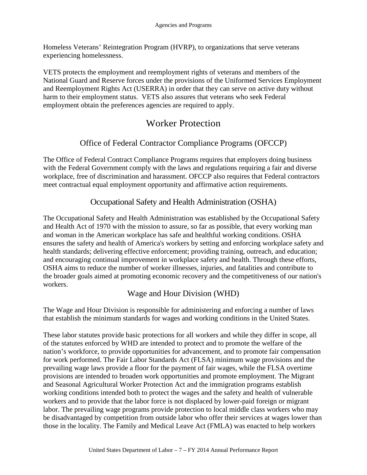<span id="page-10-0"></span>Homeless Veterans' Reintegration Program (HVRP), to organizations that serve veterans experiencing homelessness.

VETS protects the employment and reemployment rights of veterans and members of the National Guard and Reserve forces under the provisions of the Uniformed Services Employment and Reemployment Rights Act (USERRA) in order that they can serve on active duty without harm to their employment status. VETS also assures that veterans who seek Federal employment obtain the preferences agencies are required to apply.

## Worker Protection

### Office of Federal Contractor Compliance Programs (OFCCP)

The Office of Federal Contract Compliance Programs requires that employers doing business with the Federal Government comply with the laws and regulations requiring a fair and diverse workplace, free of discrimination and harassment. OFCCP also requires that Federal contractors meet contractual equal employment opportunity and affirmative action requirements.

### Occupational Safety and Health Administration (OSHA)

The Occupational Safety and Health Administration was established by the Occupational Safety and Health Act of 1970 with the mission to assure, so far as possible, that every working man and woman in the American workplace has safe and healthful working conditions. OSHA ensures the safety and health of America's workers by setting and enforcing workplace safety and health standards; delivering effective enforcement; providing training, outreach, and education; and encouraging continual improvement in workplace safety and health. Through these efforts, OSHA aims to reduce the number of worker illnesses, injuries, and fatalities and contribute to the broader goals aimed at promoting economic recovery and the competitiveness of our nation's workers.

### Wage and Hour Division (WHD)

The Wage and Hour Division is responsible for administering and enforcing a number of laws that establish the minimum standards for wages and working conditions in the United States.

These labor statutes provide basic protections for all workers and while they differ in scope, all of the statutes enforced by WHD are intended to protect and to promote the welfare of the nation's workforce, to provide opportunities for advancement, and to promote fair compensation for work performed. The Fair Labor Standards Act (FLSA) minimum wage provisions and the prevailing wage laws provide a floor for the payment of fair wages, while the FLSA overtime provisions are intended to broaden work opportunities and promote employment. The Migrant and Seasonal Agricultural Worker Protection Act and the immigration programs establish working conditions intended both to protect the wages and the safety and health of vulnerable workers and to provide that the labor force is not displaced by lower-paid foreign or migrant labor. The prevailing wage programs provide protection to local middle class workers who may be disadvantaged by competition from outside labor who offer their services at wages lower than those in the locality. The Family and Medical Leave Act (FMLA) was enacted to help workers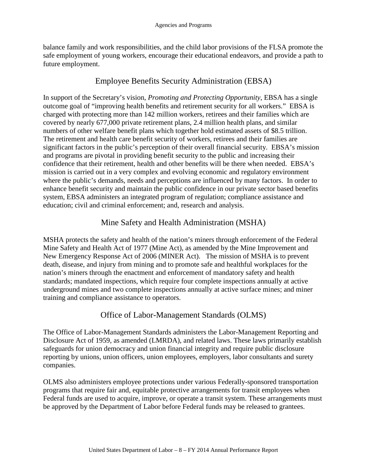<span id="page-11-0"></span>balance family and work responsibilities, and the child labor provisions of the FLSA promote the safe employment of young workers, encourage their educational endeavors, and provide a path to future employment.

## Employee Benefits Security Administration (EBSA)

In support of the Secretary's vision, *Promoting and Protecting Opportunity*, EBSA has a single outcome goal of "improving health benefits and retirement security for all workers." EBSA is charged with protecting more than 142 million workers, retirees and their families which are covered by nearly 677,000 private retirement plans, 2.4 million health plans, and similar numbers of other welfare benefit plans which together hold estimated assets of \$8.5 trillion. The retirement and health care benefit security of workers, retirees and their families are significant factors in the public's perception of their overall financial security. EBSA's mission and programs are pivotal in providing benefit security to the public and increasing their confidence that their retirement, health and other benefits will be there when needed. EBSA's mission is carried out in a very complex and evolving economic and regulatory environment where the public's demands, needs and perceptions are influenced by many factors. In order to enhance benefit security and maintain the public confidence in our private sector based benefits system, EBSA administers an integrated program of regulation; compliance assistance and education; civil and criminal enforcement; and, research and analysis.

## Mine Safety and Health Administration (MSHA)

MSHA protects the safety and health of the nation's miners through enforcement of the Federal Mine Safety and Health Act of 1977 (Mine Act), as amended by the Mine Improvement and New Emergency Response Act of 2006 (MINER Act). The mission of MSHA is to prevent death, disease, and injury from mining and to promote safe and healthful workplaces for the nation's miners through the enactment and enforcement of mandatory safety and health standards; mandated inspections, which require four complete inspections annually at active underground mines and two complete inspections annually at active surface mines; and miner training and compliance assistance to operators.

## Office of Labor-Management Standards (OLMS)

The Office of Labor-Management Standards administers the Labor-Management Reporting and Disclosure Act of 1959, as amended (LMRDA), and related laws. These laws primarily establish safeguards for union democracy and union financial integrity and require public disclosure reporting by unions, union officers, union employees, employers, labor consultants and surety companies.

OLMS also administers employee protections under various Federally-sponsored transportation programs that require fair and, equitable protective arrangements for transit employees when Federal funds are used to acquire, improve, or operate a transit system. These arrangements must be approved by the Department of Labor before Federal funds may be released to grantees.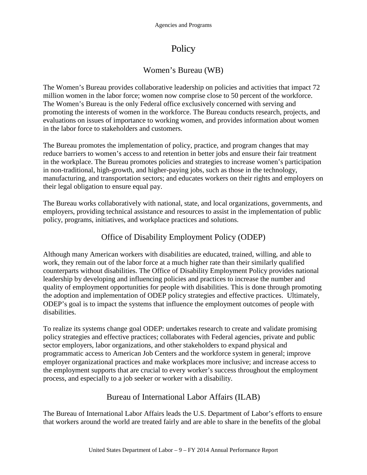## Policy

## Women's Bureau (WB)

<span id="page-12-0"></span>The Women's Bureau provides collaborative leadership on policies and activities that impact 72 million women in the labor force; women now comprise close to 50 percent of the workforce. The Women's Bureau is the only Federal office exclusively concerned with serving and promoting the interests of women in the workforce. The Bureau conducts research, projects, and evaluations on issues of importance to working women, and provides information about women in the labor force to stakeholders and customers.

The Bureau promotes the implementation of policy, practice, and program changes that may reduce barriers to women's access to and retention in better jobs and ensure their fair treatment in the workplace. The Bureau promotes policies and strategies to increase women's participation in non-traditional, high-growth, and higher-paying jobs, such as those in the technology, manufacturing, and transportation sectors; and educates workers on their rights and employers on their legal obligation to ensure equal pay.

The Bureau works collaboratively with national, state, and local organizations, governments, and employers, providing technical assistance and resources to assist in the implementation of public policy, programs, initiatives, and workplace practices and solutions.

## Office of Disability Employment Policy (ODEP)

Although many American workers with disabilities are educated, trained, willing, and able to work, they remain out of the labor force at a much higher rate than their similarly qualified counterparts without disabilities. The Office of Disability Employment Policy provides national leadership by developing and influencing policies and practices to increase the number and quality of employment opportunities for people with disabilities. This is done through promoting the adoption and implementation of ODEP policy strategies and effective practices. Ultimately, ODEP's goal is to impact the systems that influence the employment outcomes of people with disabilities.

To realize its systems change goal ODEP: undertakes research to create and validate promising policy strategies and effective practices; collaborates with Federal agencies, private and public sector employers, labor organizations, and other stakeholders to expand physical and programmatic access to American Job Centers and the workforce system in general; improve employer organizational practices and make workplaces more inclusive; and increase access to the employment supports that are crucial to every worker's success throughout the employment process, and especially to a job seeker or worker with a disability.

## Bureau of International Labor Affairs (ILAB)

The Bureau of International Labor Affairs leads the U.S. Department of Labor's efforts to ensure that workers around the world are treated fairly and are able to share in the benefits of the global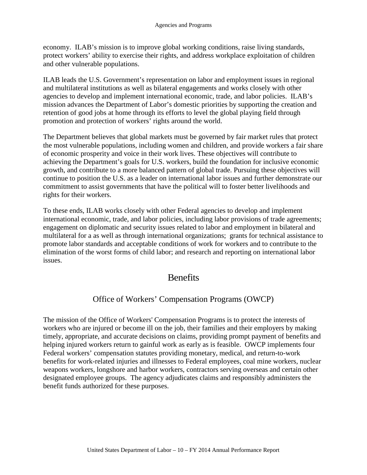<span id="page-13-1"></span>economy. ILAB's mission is to improve global working conditions, raise living standards, protect workers' ability to exercise their rights, and address workplace exploitation of children and other vulnerable populations.

ILAB leads the U.S. Government's representation on labor and employment issues in regional and multilateral institutions as well as bilateral engagements and works closely with other agencies to develop and implement international economic, trade, and labor policies. ILAB's mission advances the Department of Labor's domestic priorities by supporting the creation and retention of good jobs at home through its efforts to level the global playing field through promotion and protection of workers' rights around the world.

The Department believes that global markets must be governed by fair market rules that protect the most vulnerable populations, including women and children, and provide workers a fair share of economic prosperity and voice in their work lives. These objectives will contribute to achieving the Department's goals for U.S. workers, build the foundation for inclusive economic growth, and contribute to a more balanced pattern of global trade. Pursuing these objectives will continue to position the U.S. as a leader on international labor issues and further demonstrate our commitment to assist governments that have the political will to foster better livelihoods and rights for their workers.

To these ends, ILAB works closely with other Federal agencies to develop and implement international economic, trade, and labor policies, including labor provisions of trade agreements; engagement on diplomatic and security issues related to labor and employment in bilateral and multilateral for a as well as through international organizations; grants for technical assistance to promote labor standards and acceptable conditions of work for workers and to contribute to the elimination of the worst forms of child labor; and research and reporting on international labor issues.

## **Benefits**

## <span id="page-13-0"></span>Office of Workers' Compensation Programs (OWCP)

The mission of the Office of Workers' Compensation Programs is to protect the interests of workers who are injured or become ill on the job, their families and their employers by making timely, appropriate, and accurate decisions on claims, providing prompt payment of benefits and helping injured workers return to gainful work as early as is feasible. OWCP implements four Federal workers' compensation statutes providing monetary, medical, and return-to-work benefits for work-related injuries and illnesses to Federal employees, coal mine workers, nuclear weapons workers, longshore and harbor workers, contractors serving overseas and certain other designated employee groups. The agency adjudicates claims and responsibly administers the benefit funds authorized for these purposes.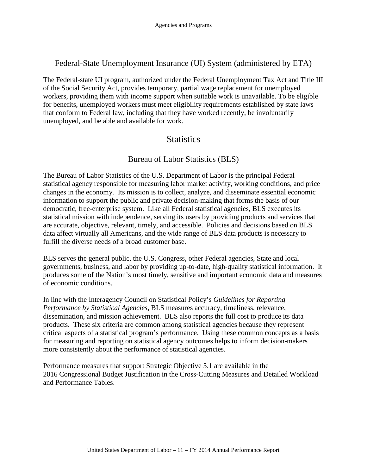### <span id="page-14-0"></span>Federal-State Unemployment Insurance (UI) System (administered by ETA)

The Federal-state UI program, authorized under the Federal Unemployment Tax Act and Title III of the Social Security Act, provides temporary, partial wage replacement for unemployed workers, providing them with income support when suitable work is unavailable. To be eligible for benefits, unemployed workers must meet eligibility requirements established by state laws that conform to Federal law, including that they have worked recently, be involuntarily unemployed, and be able and available for work.

## <span id="page-14-1"></span>**Statistics**

### Bureau of Labor Statistics (BLS)

The Bureau of Labor Statistics of the U.S. Department of Labor is the principal Federal statistical agency responsible for measuring labor market activity, working conditions, and price changes in the economy. Its mission is to collect, analyze, and disseminate essential economic information to support the public and private decision-making that forms the basis of our democratic, free-enterprise system. Like all Federal statistical agencies, BLS executes its statistical mission with independence, serving its users by providing products and services that are accurate, objective, relevant, timely, and accessible. Policies and decisions based on BLS data affect virtually all Americans, and the wide range of BLS data products is necessary to fulfill the diverse needs of a broad customer base.

BLS serves the general public, the U.S. Congress, other Federal agencies, State and local governments, business, and labor by providing up-to-date, high-quality statistical information. It produces some of the Nation's most timely, sensitive and important economic data and measures of economic conditions.

In line with the Interagency Council on Statistical Policy's *Guidelines for Reporting Performance by Statistical Agencies*, BLS measures accuracy, timeliness, relevance, dissemination, and mission achievement. BLS also reports the full cost to produce its data products. These six criteria are common among statistical agencies because they represent critical aspects of a statistical program's performance. Using these common concepts as a basis for measuring and reporting on statistical agency outcomes helps to inform decision-makers more consistently about the performance of statistical agencies.

Performance measures that support Strategic Objective 5.1 are available in the 2016 Congressional Budget Justification in the Cross-Cutting Measures and Detailed Workload and Performance Tables.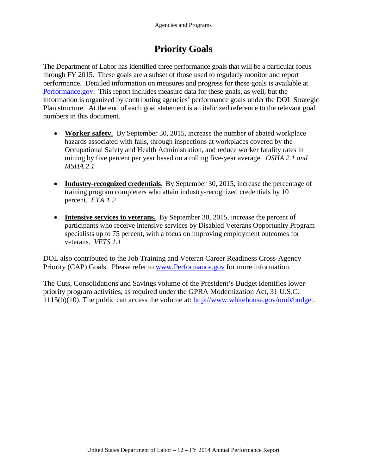## **Priority Goals**

<span id="page-15-0"></span>The Department of Labor has identified three performance goals that will be a particular focus through FY 2015. These goals are a subset of those used to regularly monitor and report performance. Detailed information on measures and progress for these goals is available at [Performance.gov.](http://www.performance.gov/) This report includes measure data for these goals, as well, but the information is organized by contributing agencies' performance goals under the DOL Strategic Plan structure. At the end of each goal statement is an italicized reference to the relevant goal numbers in this document.

- **Worker safety.** By September 30, 2015, increase the number of abated workplace hazards associated with falls, through inspections at workplaces covered by the Occupational Safety and Health Administration, and reduce worker fatality rates in mining by five percent per year based on a rolling five-year average. *OSHA 2.1 and MSHA 2.1*
- **Industry-recognized credentials.** By September 30, 2015, increase the percentage of training program completers who attain industry-recognized credentials by 10 percent. *ETA 1.2*
- **Intensive services to veterans.** By September 30, 2015, increase the percent of participants who receive intensive services by Disabled Veterans Opportunity Program specialists up to 75 percent, with a focus on improving employment outcomes for veterans. *VETS 1.1*

DOL also contributed to the Job Training and Veteran Career Readiness Cross-Agency Priority (CAP) Goals. Please refer to [www.Performance.gov](http://www.performance.gov/) for more information.

The Cuts, Consolidations and Savings volume of the President's Budget identifies lowerpriority program activities, as required under the GPRA Modernization Act, 31 U.S.C. 1115(b)(10). The public can access the volume at: [http://www.whitehouse.gov/omb/budget.](http://www.whitehouse.gov/omb/budget)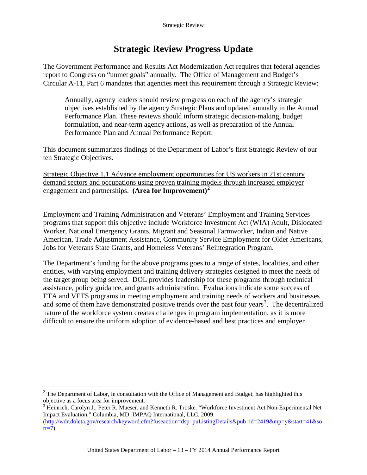## **Strategic Review Progress Update**

<span id="page-16-0"></span>The Government Performance and Results Act Modernization Act requires that federal agencies report to Congress on "unmet goals" annually. The Office of Management and Budget's Circular A-11, Part 6 mandates that agencies meet this requirement through a Strategic Review:

Annually, agency leaders should review progress on each of the agency's strategic objectives established by the agency Strategic Plans and updated annually in the Annual Performance Plan. These reviews should inform strategic decision-making, budget formulation, and near-term agency actions, as well as preparation of the Annual Performance Plan and Annual Performance Report.

This document summarizes findings of the Department of Labor's first Strategic Review of our ten Strategic Objectives.

Strategic Objective 1.1 Advance employment opportunities for US workers in 21st century demand sectors and occupations using proven training models through increased employer engagement and partnerships. **(Area for Improvement)[2](#page-16-1)**

Employment and Training Administration and Veterans' Employment and Training Services programs that support this objective include Workforce Investment Act (WIA) Adult, Dislocated Worker, National Emergency Grants, Migrant and Seasonal Farmworker, Indian and Native American, Trade Adjustment Assistance, Community Service Employment for Older Americans, Jobs for Veterans State Grants, and Homeless Veterans' Reintegration Program.

The Department's funding for the above programs goes to a range of states, localities, and other entities, with varying employment and training delivery strategies designed to meet the needs of the target group being served. DOL provides leadership for these programs through technical assistance, policy guidance, and grants administration. Evaluations indicate some success of ETA and VETS programs in meeting employment and training needs of workers and businesses and some of them have demonstrated positive trends over the past four years<sup>[3](#page-16-2)</sup>. The decentralized nature of the workforce system creates challenges in program implementation, as it is more difficult to ensure the uniform adoption of evidence-based and best practices and employer

<span id="page-16-1"></span> $2$  The Department of Labor, in consultation with the Office of Management and Budget, has highlighted this objective as a focus area for improvement.  $\overline{a}$ 

<span id="page-16-2"></span><sup>3</sup> Heinrich, Carolyn J., Peter R. Mueser, and Kenneth R. Troske. "Workforce Investment Act Non-Experimental Net Impact Evaluation." Columbia, MD: IMPAQ International, LLC, 2009. [\(http://wdr.doleta.gov/research/keyword.cfm?fuseaction=dsp\\_puListingDetails&pub\\_id=2419&mp=y&start=41&so](http://wdr.doleta.gov/research/keyword.cfm?fuseaction=dsp_puListingDetails&pub_id=2419&mp=y&start=41&sort=7)  $rt=7$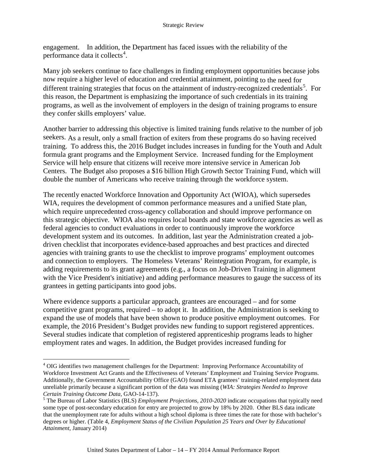engagement. In addition, the Department has faced issues with the reliability of the performance data it collects<sup>[4](#page-17-0)</sup>.

Many job seekers continue to face challenges in finding employment opportunities because jobs now require a higher level of education and credential attainment, pointing to the need for different training strategies that focus on the attainment of industry-recognized credentials<sup>[5](#page-17-1)</sup>. For this reason, the Department is emphasizing the importance of such credentials in its training programs, as well as the involvement of employers in the design of training programs to ensure they confer skills employers' value.

Another barrier to addressing this objective is limited training funds relative to the number of job seekers. As a result, only a small fraction of exiters from these programs do so having received training. To address this, the 2016 Budget includes increases in funding for the Youth and Adult formula grant programs and the Employment Service. Increased funding for the Employment Service will help ensure that citizens will receive more intensive service in American Job Centers. The Budget also proposes a \$16 billion High Growth Sector Training Fund, which will double the number of Americans who receive training through the workforce system.

The recently enacted Workforce Innovation and Opportunity Act (WIOA), which supersedes WIA, requires the development of common performance measures and a unified State plan, which require unprecedented cross-agency collaboration and should improve performance on this strategic objective. WIOA also requires local boards and state workforce agencies as well as federal agencies to conduct evaluations in order to continuously improve the workforce development system and its outcomes. In addition, last year the Administration created a jobdriven checklist that incorporates evidence-based approaches and best practices and directed agencies with training grants to use the checklist to improve programs' employment outcomes and connection to employers. The Homeless Veterans' Reintegration Program, for example, is adding requirements to its grant agreements (e.g., a focus on Job-Driven Training in alignment with the Vice President's initiative) and adding performance measures to gauge the success of its grantees in getting participants into good jobs.

Where evidence supports a particular approach, grantees are encouraged – and for some competitive grant programs, required – to adopt it. In addition, the Administration is seeking to expand the use of models that have been shown to produce positive employment outcomes. For example, the 2016 President's Budget provides new funding to support registered apprentices. Several studies indicate that completion of registered apprenticeship programs leads to higher employment rates and wages. In addition, the Budget provides increased funding for

<span id="page-17-0"></span><sup>&</sup>lt;sup>4</sup> OIG identifies two management challenges for the Department: Improving Performance Accountability of Workforce Investment Act Grants and the Effectiveness of Veterans' Employment and Training Service Programs. Additionally, the Government Accountability Office (GAO) found ETA grantees' training-related employment data unreliable primarily because a significant portion of the data was missing (*WIA: Strategies Needed to Improve Certain Training Outcome Data, GAO-14-137*).<br><sup>5</sup> The Bureau of Labor Statistics (BLS) *Employment Projections, 2010-2020* indicate occupations that typically need  $\overline{a}$ 

<span id="page-17-1"></span>some type of post-secondary education for entry are projected to grow by 18% by 2020. Other BLS data indicate that the unemployment rate for adults without a high school diploma is three times the rate for those with bachelor's degrees or higher. (Table 4, *Employment Status of the Civilian Population 25 Years and Over by Educational Attainment*, January 2014)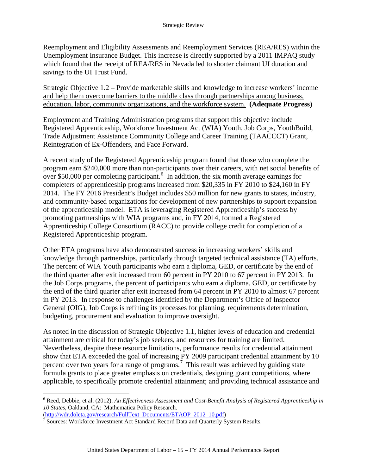Reemployment and Eligibility Assessments and Reemployment Services (REA/RES) within the Unemployment Insurance Budget. This increase is directly supported by a 2011 IMPAQ study which found that the receipt of REA/RES in Nevada led to shorter claimant UI duration and savings to the UI Trust Fund.

Strategic Objective 1.2 – Provide marketable skills and knowledge to increase workers' income and help them overcome barriers to the middle class through partnerships among business, education, labor, community organizations, and the workforce system. **(Adequate Progress)**

Employment and Training Administration programs that support this objective include Registered Apprenticeship, Workforce Investment Act (WIA) Youth, Job Corps, YouthBuild, Trade Adjustment Assistance Community College and Career Training (TAACCCT) Grant, Reintegration of Ex-Offenders, and Face Forward.

A recent study of the Registered Apprenticeship program found that those who complete the program earn \$240,000 more than non-participants over their careers, with net social benefits of over \$50,000 per completing participant.  $6\,$  $6\,$  In addition, the six month average earnings for completers of apprenticeship programs increased from \$20,335 in FY 2010 to \$24,160 in FY 2014. The FY 2016 President's Budget includes \$50 million for new grants to states, industry, and community-based organizations for development of new partnerships to support expansion of the apprenticeship model. ETA is leveraging Registered Apprenticeship's success by promoting partnerships with WIA programs and, in FY 2014, formed a Registered Apprenticeship College Consortium (RACC) to provide college credit for completion of a Registered Apprenticeship program.

Other ETA programs have also demonstrated success in increasing workers' skills and knowledge through partnerships, particularly through targeted technical assistance (TA) efforts. The percent of WIA Youth participants who earn a diploma, GED, or certificate by the end of the third quarter after exit increased from 60 percent in PY 2010 to 67 percent in PY 2013. In the Job Corps programs, the percent of participants who earn a diploma, GED, or certificate by the end of the third quarter after exit increased from 64 percent in PY 2010 to almost 67 percent in PY 2013. In response to challenges identified by the Department's Office of Inspector General (OIG), Job Corps is refining its processes for planning, requirements determination, budgeting, procurement and evaluation to improve oversight.

As noted in the discussion of Strategic Objective 1.1, higher levels of education and credential attainment are critical for today's job seekers, and resources for training are limited. Nevertheless, despite these resource limitations, performance results for credential attainment show that ETA exceeded the goal of increasing PY 2009 participant credential attainment by 10 percent over two years for a range of programs.<sup>[7](#page-18-1)</sup> This result was achieved by guiding state formula grants to place greater emphasis on credentials, designing grant competitions, where applicable, to specifically promote credential attainment; and providing technical assistance and

 $\overline{a}$ 

<span id="page-18-0"></span><sup>6</sup> Reed, Debbie, et al. (2012). *An Effectiveness Assessment and Cost-Benefit Analysis of Registered Apprenticeship in 10 States*, Oakland, CA: Mathematica Policy Research.

<span id="page-18-1"></span>[<sup>\(</sup>http://wdr.doleta.gov/research/FullText\\_Documents/ETAOP\\_2012\\_10.pdf\)](http://wdr.doleta.gov/research/FullText_Documents/ETAOP_2012_10.pdf) <sup>7</sup> Sources: Workforce Investment Act Standard Record Data and Quarterly System Results.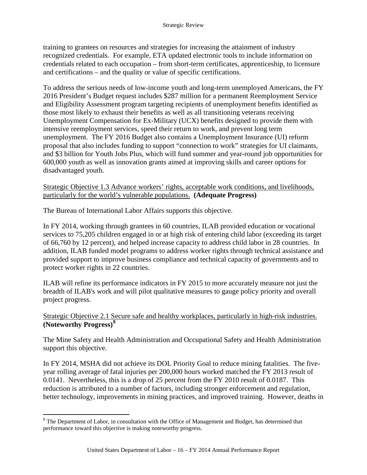training to grantees on resources and strategies for increasing the attainment of industry recognized credentials. For example, ETA updated electronic tools to include information on credentials related to each occupation – from short-term certificates, apprenticeship, to licensure and certifications – and the quality or value of specific certifications.

To address the serious needs of low-income youth and long-term unemployed Americans, the FY 2016 President's Budget request includes \$287 million for a permanent Reemployment Service and Eligibility Assessment program targeting recipients of unemployment benefits identified as those most likely to exhaust their benefits as well as all transitioning veterans receiving Unemployment Compensation for Ex-Military (UCX) benefits designed to provide them with intensive reemployment services, speed their return to work, and prevent long term unemployment. The FY 2016 Budget also contains a Unemployment Insurance (UI) reform proposal that also includes funding to support "connection to work" strategies for UI claimants, and \$3 billion for Youth Jobs Plus, which will fund summer and year-round job opportunities for 600,000 youth as well as innovation grants aimed at improving skills and career options for disadvantaged youth.

### Strategic Objective 1.3 Advance workers' rights, acceptable work conditions, and livelihoods, particularly for the world's vulnerable populations. **(Adequate Progress)**

The Bureau of International Labor Affairs supports this objective.

In FY 2014, working through grantees in 60 countries, ILAB provided education or vocational services to 75,205 children engaged in or at high risk of entering child labor (exceeding its target of 66,760 by 12 percent), and helped increase capacity to address child labor in 28 countries. In addition, ILAB funded model programs to address worker rights through technical assistance and provided support to improve business compliance and technical capacity of governments and to protect worker rights in 22 countries.

ILAB will refine its performance indicators in FY 2015 to more accurately measure not just the breadth of ILAB's work and will pilot qualitative measures to gauge policy priority and overall project progress.

### Strategic Objective 2.1 Secure safe and healthy workplaces, particularly in high-risk industries. **(Noteworthy Progress)[8](#page-19-0)**

The Mine Safety and Health Administration and Occupational Safety and Health Administration support this objective.

In FY 2014, MSHA did not achieve its DOL Priority Goal to reduce mining fatalities. The fiveyear rolling average of fatal injuries per 200,000 hours worked matched the FY 2013 result of 0.0141. Nevertheless, this is a drop of 25 percent from the FY 2010 result of 0.0187. This reduction is attributed to a number of factors, including stronger enforcement and regulation, better technology, improvements in mining practices, and improved training. However, deaths in

<span id="page-19-0"></span> $8$  The Department of Labor, in consultation with the Office of Management and Budget, has determined that performance toward this objective is making noteworthy progress.  $\overline{a}$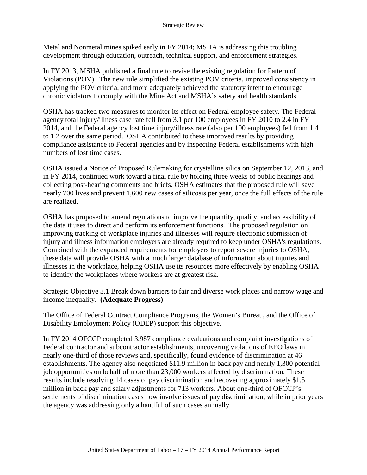Metal and Nonmetal mines spiked early in FY 2014; MSHA is addressing this troubling development through education, outreach, technical support, and enforcement strategies.

In FY 2013, MSHA published a final rule to revise the existing regulation for Pattern of Violations (POV). The new rule simplified the existing POV criteria, improved consistency in applying the POV criteria, and more adequately achieved the statutory intent to encourage chronic violators to comply with the Mine Act and MSHA's safety and health standards.

OSHA has tracked two measures to monitor its effect on Federal employee safety. The Federal agency total injury/illness case rate fell from 3.1 per 100 employees in FY 2010 to 2.4 in FY 2014, and the Federal agency lost time injury/illness rate (also per 100 employees) fell from 1.4 to 1.2 over the same period. OSHA contributed to these improved results by providing compliance assistance to Federal agencies and by inspecting Federal establishments with high numbers of lost time cases.

OSHA issued a Notice of Proposed Rulemaking for crystalline silica on September 12, 2013, and in FY 2014, continued work toward a final rule by holding three weeks of public hearings and collecting post-hearing comments and briefs. OSHA estimates that the proposed rule will save nearly 700 lives and prevent 1,600 new cases of silicosis per year, once the full effects of the rule are realized.

OSHA has proposed to amend regulations to improve the quantity, quality, and accessibility of the data it uses to direct and perform its enforcement functions. The proposed regulation on improving tracking of workplace injuries and illnesses will require electronic submission of injury and illness information employers are already required to keep under OSHA's regulations. Combined with the expanded requirements for employers to report severe injuries to OSHA, these data will provide OSHA with a much larger database of information about injuries and illnesses in the workplace, helping OSHA use its resources more effectively by enabling OSHA to identify the workplaces where workers are at greatest risk.

#### Strategic Objective 3.1 Break down barriers to fair and diverse work places and narrow wage and income inequality. **(Adequate Progress)**

The Office of Federal Contract Compliance Programs, the Women's Bureau, and the Office of Disability Employment Policy (ODEP) support this objective.

In FY 2014 OFCCP completed 3,987 compliance evaluations and complaint investigations of Federal contractor and subcontractor establishments, uncovering violations of EEO laws in nearly one-third of those reviews and, specifically, found evidence of discrimination at 46 establishments. The agency also negotiated \$11.9 million in back pay and nearly 1,300 potential job opportunities on behalf of more than 23,000 workers affected by discrimination. These results include resolving 14 cases of pay discrimination and recovering approximately \$1.5 million in back pay and salary adjustments for 713 workers. About one-third of OFCCP's settlements of discrimination cases now involve issues of pay discrimination, while in prior years the agency was addressing only a handful of such cases annually.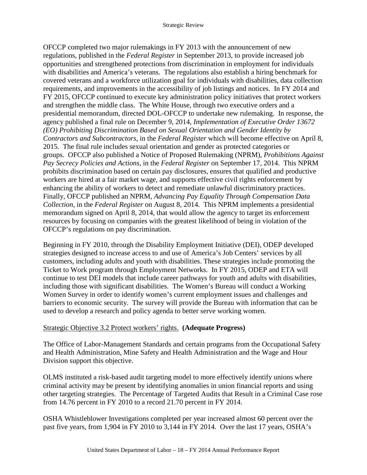OFCCP completed two major rulemakings in FY 2013 with the announcement of new regulations, published in the *Federal Register* in September 2013, to provide increased job opportunities and strengthened protections from discrimination in employment for individuals with disabilities and America's veterans. The regulations also establish a hiring benchmark for covered veterans and a workforce utilization goal for individuals with disabilities, data collection requirements, and improvements in the accessibility of job listings and notices. In FY 2014 and FY 2015, OFCCP continued to execute key administration policy initiatives that protect workers and strengthen the middle class. The White House, through two executive orders and a presidential memorandum, directed DOL-OFCCP to undertake new rulemaking. In response, the agency published a final rule on December 9, 2014, *Implementation of Executive Order 13672 (EO) Prohibiting Discrimination Based on Sexual Orientation and Gender Identity by Contractors and Subcontractors,* in the *Federal Register* which will become effective on April 8, 2015. The final rule includes sexual orientation and gender as protected categories or groups. OFCCP also published a Notice of Proposed Rulemaking (NPRM), *Prohibitions Against Pay Secrecy Policies and Actions*, in the *Federal Register* on September 17, 2014. This NPRM prohibits discrimination based on certain pay disclosures, ensures that qualified and productive workers are hired at a fair market wage, and supports effective civil rights enforcement by enhancing the ability of workers to detect and remediate unlawful discriminatory practices. Finally, OFCCP published an NPRM, *Advancing Pay Equality Through Compensation Data Collection*, in the *Federal Register* on August 8, 2014. This NPRM implements a presidential memorandum signed on April 8, 2014, that would allow the agency to target its enforcement resources by focusing on companies with the greatest likelihood of being in violation of the OFCCP's regulations on pay discrimination.

Beginning in FY 2010, through the Disability Employment Initiative (DEI), ODEP developed strategies designed to increase access to and use of America's Job Centers' services by all customers, including adults and youth with disabilities. These strategies include promoting the Ticket to Work program through Employment Networks. In FY 2015, ODEP and ETA will continue to test DEI models that include career pathways for youth and adults with disabilities, including those with significant disabilities. The Women's Bureau will conduct a Working Women Survey in order to identify women's current employment issues and challenges and barriers to economic security. The survey will provide the Bureau with information that can be used to develop a research and policy agenda to better serve working women.

### Strategic Objective 3.2 Protect workers' rights. **(Adequate Progress)**

The Office of Labor-Management Standards and certain programs from the Occupational Safety and Health Administration, Mine Safety and Health Administration and the Wage and Hour Division support this objective.

OLMS instituted a risk-based audit targeting model to more effectively identify unions where criminal activity may be present by identifying anomalies in union financial reports and using other targeting strategies. The Percentage of Targeted Audits that Result in a Criminal Case rose from 14.76 percent in FY 2010 to a record 21.70 percent in FY 2014.

OSHA Whistleblower Investigations completed per year increased almost 60 percent over the past five years, from 1,904 in FY 2010 to 3,144 in FY 2014. Over the last 17 years, OSHA's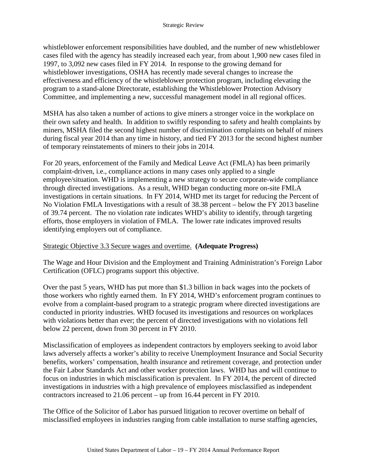whistleblower enforcement responsibilities have doubled, and the number of new whistleblower cases filed with the agency has steadily increased each year, from about 1,900 new cases filed in 1997, to 3,092 new cases filed in FY 2014. In response to the growing demand for whistleblower investigations, OSHA has recently made several changes to increase the effectiveness and efficiency of the whistleblower protection program, including elevating the program to a stand-alone Directorate, establishing the Whistleblower Protection Advisory Committee, and implementing a new, successful management model in all regional offices.

MSHA has also taken a number of actions to give miners a stronger voice in the workplace on their own safety and health. In addition to swiftly responding to safety and health complaints by miners, MSHA filed the second highest number of discrimination complaints on behalf of miners during fiscal year 2014 than any time in history, and tied FY 2013 for the second highest number of temporary reinstatements of miners to their jobs in 2014.

For 20 years, enforcement of the Family and Medical Leave Act (FMLA) has been primarily complaint-driven, i.e., compliance actions in many cases only applied to a single employee/situation. WHD is implementing a new strategy to secure corporate-wide compliance through directed investigations. As a result, WHD began conducting more on-site FMLA investigations in certain situations. In FY 2014, WHD met its target for reducing the Percent of No Violation FMLA Investigations with a result of 38.38 percent – below the FY 2013 baseline of 39.74 percent. The no violation rate indicates WHD's ability to identify, through targeting efforts, those employers in violation of FMLA. The lower rate indicates improved results identifying employers out of compliance.

### Strategic Objective 3.3 Secure wages and overtime. **(Adequate Progress)**

The Wage and Hour Division and the Employment and Training Administration's Foreign Labor Certification (OFLC) programs support this objective.

Over the past 5 years, WHD has put more than \$1.3 billion in back wages into the pockets of those workers who rightly earned them. In FY 2014, WHD's enforcement program continues to evolve from a complaint-based program to a strategic program where directed investigations are conducted in priority industries. WHD focused its investigations and resources on workplaces with violations better than ever; the percent of directed investigations with no violations fell below 22 percent, down from 30 percent in FY 2010.

Misclassification of employees as independent contractors by employers seeking to avoid labor laws adversely affects a worker's ability to receive Unemployment Insurance and Social Security benefits, workers' compensation, health insurance and retirement coverage, and protection under the Fair Labor Standards Act and other worker protection laws. WHD has and will continue to focus on industries in which misclassification is prevalent. In FY 2014, the percent of directed investigations in industries with a high prevalence of employees misclassified as independent contractors increased to 21.06 percent – up from 16.44 percent in FY 2010.

The Office of the Solicitor of Labor has pursued litigation to recover overtime on behalf of misclassified employees in industries ranging from cable installation to nurse staffing agencies,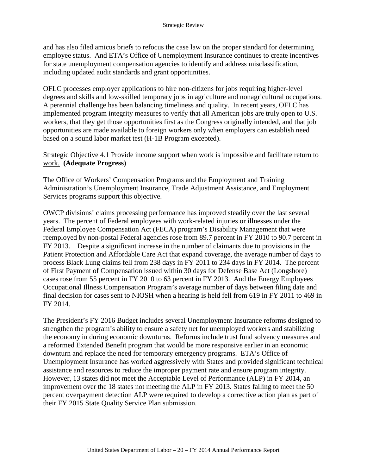and has also filed amicus briefs to refocus the case law on the proper standard for determining employee status. And ETA's Office of Unemployment Insurance continues to create incentives for state unemployment compensation agencies to identify and address misclassification, including updated audit standards and grant opportunities.

OFLC processes employer applications to hire non-citizens for jobs requiring higher-level degrees and skills and low-skilled temporary jobs in agriculture and nonagricultural occupations. A perennial challenge has been balancing timeliness and quality. In recent years, OFLC has implemented program integrity measures to verify that all American jobs are truly open to U.S. workers, that they get those opportunities first as the Congress originally intended, and that job opportunities are made available to foreign workers only when employers can establish need based on a sound labor market test (H-1B Program excepted).

#### Strategic Objective 4.1 Provide income support when work is impossible and facilitate return to work. **(Adequate Progress)**

The Office of Workers' Compensation Programs and the Employment and Training Administration's Unemployment Insurance, Trade Adjustment Assistance, and Employment Services programs support this objective.

OWCP divisions' claims processing performance has improved steadily over the last several years. The percent of Federal employees with work-related injuries or illnesses under the Federal Employee Compensation Act (FECA) program's Disability Management that were reemployed by non-postal Federal agencies rose from 89.7 percent in FY 2010 to 90.7 percent in FY 2013. Despite a significant increase in the number of claimants due to provisions in the Patient Protection and Affordable Care Act that expand coverage, the average number of days to process Black Lung claims fell from 238 days in FY 2011 to 234 days in FY 2014. The percent of First Payment of Compensation issued within 30 days for Defense Base Act (Longshore) cases rose from 55 percent in FY 2010 to 63 percent in FY 2013. And the Energy Employees Occupational Illness Compensation Program's average number of days between filing date and final decision for cases sent to NIOSH when a hearing is held fell from 619 in FY 2011 to 469 in FY 2014.

The President's FY 2016 Budget includes several Unemployment Insurance reforms designed to strengthen the program's ability to ensure a safety net for unemployed workers and stabilizing the economy in during economic downturns. Reforms include trust fund solvency measures and a reformed Extended Benefit program that would be more responsive earlier in an economic downturn and replace the need for temporary emergency programs. ETA's Office of Unemployment Insurance has worked aggressively with States and provided significant technical assistance and resources to reduce the improper payment rate and ensure program integrity. However, 13 states did not meet the Acceptable Level of Performance (ALP) in FY 2014, an improvement over the 18 states not meeting the ALP in FY 2013. States failing to meet the 50 percent overpayment detection ALP were required to develop a corrective action plan as part of their FY 2015 State Quality Service Plan submission.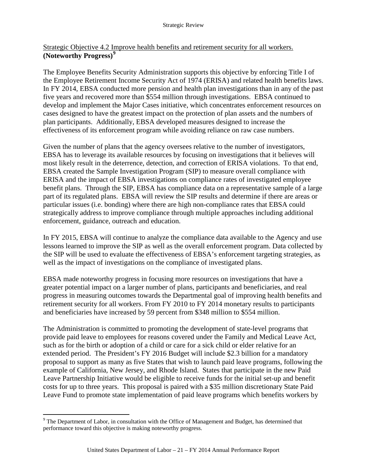### Strategic Objective 4.2 Improve health benefits and retirement security for all workers. **(Noteworthy Progress)[9](#page-24-0)**

The Employee Benefits Security Administration supports this objective by enforcing Title I of the Employee Retirement Income Security Act of 1974 (ERISA) and related health benefits laws. In FY 2014, EBSA conducted more pension and health plan investigations than in any of the past five years and recovered more than \$554 million through investigations. EBSA continued to develop and implement the Major Cases initiative, which concentrates enforcement resources on cases designed to have the greatest impact on the protection of plan assets and the numbers of plan participants. Additionally, EBSA developed measures designed to increase the effectiveness of its enforcement program while avoiding reliance on raw case numbers.

Given the number of plans that the agency oversees relative to the number of investigators, EBSA has to leverage its available resources by focusing on investigations that it believes will most likely result in the deterrence, detection, and correction of ERISA violations. To that end, EBSA created the Sample Investigation Program (SIP) to measure overall compliance with ERISA and the impact of EBSA investigations on compliance rates of investigated employee benefit plans. Through the SIP, EBSA has compliance data on a representative sample of a large part of its regulated plans. EBSA will review the SIP results and determine if there are areas or particular issues (i.e. bonding) where there are high non-compliance rates that EBSA could strategically address to improve compliance through multiple approaches including additional enforcement, guidance, outreach and education.

In FY 2015, EBSA will continue to analyze the compliance data available to the Agency and use lessons learned to improve the SIP as well as the overall enforcement program. Data collected by the SIP will be used to evaluate the effectiveness of EBSA's enforcement targeting strategies, as well as the impact of investigations on the compliance of investigated plans.

EBSA made noteworthy progress in focusing more resources on investigations that have a greater potential impact on a larger number of plans, participants and beneficiaries, and real progress in measuring outcomes towards the Departmental goal of improving health benefits and retirement security for all workers. From FY 2010 to FY 2014 monetary results to participants and beneficiaries have increased by 59 percent from \$348 million to \$554 million.

The Administration is committed to promoting the development of state-level programs that provide paid leave to employees for reasons covered under the Family and Medical Leave Act, such as for the birth or adoption of a child or care for a sick child or elder relative for an extended period. The President's FY 2016 Budget will include \$2.3 billion for a mandatory proposal to support as many as five States that wish to launch paid leave programs, following the example of California, New Jersey, and Rhode Island. States that participate in the new Paid Leave Partnership Initiative would be eligible to receive funds for the initial set-up and benefit costs for up to three years. This proposal is paired with a \$35 million discretionary State Paid Leave Fund to promote state implementation of paid leave programs which benefits workers by

<span id="page-24-0"></span> $9^9$  The Department of Labor, in consultation with the Office of Management and Budget, has determined that performance toward this objective is making noteworthy progress.  $\overline{a}$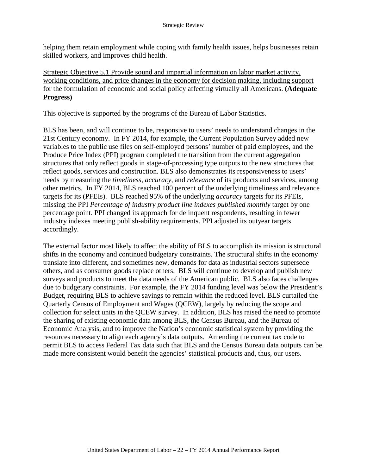helping them retain employment while coping with family health issues, helps businesses retain skilled workers, and improves child health.

Strategic Objective 5.1 Provide sound and impartial information on labor market activity, working conditions, and price changes in the economy for decision making, including support for the formulation of economic and social policy affecting virtually all Americans. **(Adequate Progress)**

This objective is supported by the programs of the Bureau of Labor Statistics.

BLS has been, and will continue to be, responsive to users' needs to understand changes in the 21st Century economy. In FY 2014, for example, the Current Population Survey added new variables to the public use files on self-employed persons' number of paid employees, and the Produce Price Index (PPI) program completed the transition from the current aggregation structures that only reflect goods in stage-of-processing type outputs to the new structures that reflect goods, services and construction. BLS also demonstrates its responsiveness to users' needs by measuring the *timeliness, accuracy,* and *relevance* of its products and services, among other metrics. In FY 2014, BLS reached 100 percent of the underlying timeliness and relevance targets for its (PFEIs). BLS reached 95% of the underlying *accuracy* targets for its PFEIs, missing the PPI *Percentage of industry product line indexes published monthly* target by one percentage point. PPI changed its approach for delinquent respondents, resulting in fewer industry indexes meeting publish-ability requirements. PPI adjusted its outyear targets accordingly.

The external factor most likely to affect the ability of BLS to accomplish its mission is structural shifts in the economy and continued budgetary constraints. The structural shifts in the economy translate into different, and sometimes new, demands for data as industrial sectors supersede others, and as consumer goods replace others. BLS will continue to develop and publish new surveys and products to meet the data needs of the American public. BLS also faces challenges due to budgetary constraints. For example, the FY 2014 funding level was below the President's Budget, requiring BLS to achieve savings to remain within the reduced level. BLS curtailed the Quarterly Census of Employment and Wages (QCEW), largely by reducing the scope and collection for select units in the QCEW survey. In addition, BLS has raised the need to promote the sharing of existing economic data among BLS, the Census Bureau, and the Bureau of Economic Analysis, and to improve the Nation's economic statistical system by providing the resources necessary to align each agency's data outputs. Amending the current tax code to permit BLS to access Federal Tax data such that BLS and the Census Bureau data outputs can be made more consistent would benefit the agencies' statistical products and, thus, our users.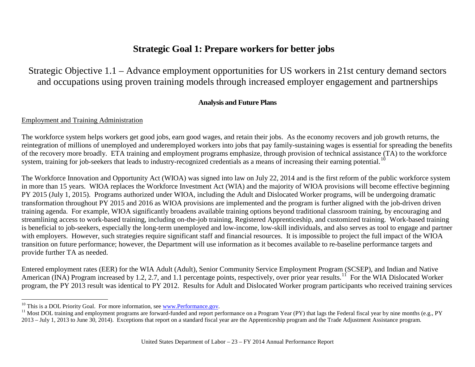## <span id="page-26-2"></span><span id="page-26-1"></span>**Strategic Goal 1: Prepare workers for better jobs**

Strategic Objective 1.1 – Advance employment opportunities for US workers in 21st century demand sectors and occupations using proven training models through increased employer engagement and partnerships

#### **Analysis and Future Plans**

#### <span id="page-26-0"></span>Employment and Training Administration

The workforce system helps workers get good jobs, earn good wages, and retain their jobs. As the economy recovers and job growth returns, the reintegration of millions of unemployed and underemployed workers into jobs that pay family-sustaining wages is essential for spreading the benefits of the recovery more broadly. ETA training and employment programs emphasize, through provision of technical assistance (TA) to the workforce system, training for job-seekers that leads to industry-recognized credentials as a means of increasing their earning potential.<sup>[10](#page-26-1)</sup>

The Workforce Innovation and Opportunity Act (WIOA) was signed into law on July 22, 2014 and is the first reform of the public workforce system in more than 15 years. WIOA replaces the Workforce Investment Act (WIA) and the majority of WIOA provisions will become effective beginning PY 2015 (July 1, 2015). Programs authorized under WIOA, including the Adult and Dislocated Worker programs, will be undergoing dramatic transformation throughout PY 2015 and 2016 as WIOA provisions are implemented and the program is further aligned with the job-driven driven training agenda. For example, WIOA significantly broadens available training options beyond traditional classroom training, by encouraging and streamlining access to work-based training, including on-the-job training, Registered Apprenticeship, and customized training. Work-based training is beneficial to job-seekers, especially the long-term unemployed and low-income, low-skill individuals, and also serves as tool to engage and partner with employers. However, such strategies require significant staff and financial resources. It is impossible to project the full impact of the WIOA transition on future performance; however, the Department will use information as it becomes available to re-baseline performance targets and provide further TA as needed.

Entered employment rates (EER) for the WIA Adult (Adult), Senior Community Service Employment Program (SCSEP), and Indian and Native American (INA) Program increased by 1.2, 2.7, and 1.1 percentage points, respectively, over prior year results.<sup>[11](#page-26-2)</sup> For the WIA Dislocated Worker program, the PY 2013 result was identical to PY 2012. Results for Adult and Dislocated Worker program participants who received training services

 $10$  This is a DOL Priority Goal. For more information, see www.Performance.gov.

<sup>&</sup>lt;sup>11</sup> Most DOL training and employment programs are forward-funded and report performance on a Program Year (PY) that lags the Federal fiscal year by nine months (e.g., PY) 2013 – July 1, 2013 to June 30, 2014). Exceptions that report on a standard fiscal year are the Apprenticeship program and the Trade Adjustment Assistance program.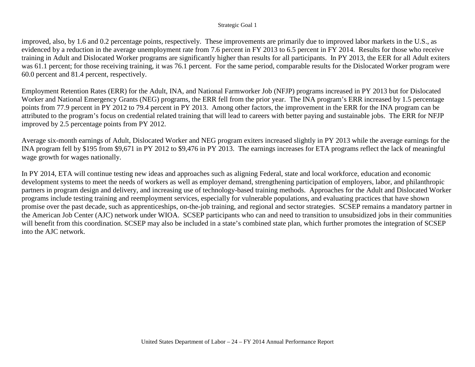#### Strategic Goal 1

improved, also, by 1.6 and 0.2 percentage points, respectively. These improvements are primarily due to improved labor markets in the U.S., as evidenced by a reduction in the average unemployment rate from 7.6 percent in FY 2013 to 6.5 percent in FY 2014. Results for those who receive training in Adult and Dislocated Worker programs are significantly higher than results for all participants. In PY 2013, the EER for all Adult exiters was 61.1 percent; for those receiving training, it was 76.1 percent. For the same period, comparable results for the Dislocated Worker program were 60.0 percent and 81.4 percent, respectively.

Employment Retention Rates (ERR) for the Adult, INA, and National Farmworker Job (NFJP) programs increased in PY 2013 but for Dislocated Worker and National Emergency Grants (NEG) programs, the ERR fell from the prior year. The INA program's ERR increased by 1.5 percentage points from 77.9 percent in PY 2012 to 79.4 percent in PY 2013. Among other factors, the improvement in the ERR for the INA program can be attributed to the program's focus on credential related training that will lead to careers with better paying and sustainable jobs. The ERR for NFJP improved by 2.5 percentage points from PY 2012.

Average six-month earnings of Adult, Dislocated Worker and NEG program exiters increased slightly in PY 2013 while the average earnings for the INA program fell by \$195 from \$9,671 in PY 2012 to \$9,476 in PY 2013. The earnings increases for ETA programs reflect the lack of meaningful wage growth for wages nationally.

In PY 2014, ETA will continue testing new ideas and approaches such as aligning Federal, state and local workforce, education and economic development systems to meet the needs of workers as well as employer demand, strengthening participation of employers, labor, and philanthropic partners in program design and delivery, and increasing use of technology-based training methods. Approaches for the Adult and Dislocated Worker programs include testing training and reemployment services, especially for vulnerable populations, and evaluating practices that have shown promise over the past decade, such as apprenticeships, on-the-job training, and regional and sector strategies. SCSEP remains a mandatory partner in the American Job Center (AJC) network under WIOA. SCSEP participants who can and need to transition to unsubsidized jobs in their communities will benefit from this coordination. SCSEP may also be included in a state's combined state plan, which further promotes the integration of SCSEP into the AJC network.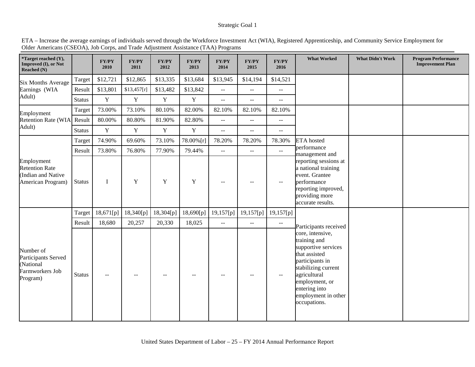#### Strategic Goal 1

| *Target reached (Y),<br>Improved (I), or Not<br>Reached $(N)$                  |               | FY/PY<br>2010 | <b>FY/PY</b><br>2011 | <b>FY/PY</b><br>2012 | <b>FY/PY</b><br>2013 | <b>FY/PY</b><br>2014                          | <b>FY/PY</b><br>2015        | FY/PY<br>2016                                 | <b>What Worked</b>                                                                                                                                                                                           | <b>What Didn't Work</b> | <b>Program Performance</b><br><b>Improvement Plan</b> |
|--------------------------------------------------------------------------------|---------------|---------------|----------------------|----------------------|----------------------|-----------------------------------------------|-----------------------------|-----------------------------------------------|--------------------------------------------------------------------------------------------------------------------------------------------------------------------------------------------------------------|-------------------------|-------------------------------------------------------|
| <b>Six Months Average</b><br>Earnings (WIA                                     | Target        | \$12,721      | \$12,865             | \$13,335             | \$13,684             | \$13,945                                      | \$14,194                    | \$14,521                                      |                                                                                                                                                                                                              |                         |                                                       |
|                                                                                | Result        | \$13,801      | \$13,457[r]          | \$13,482             | \$13,842             | $\sim$ $\sim$                                 | $-$                         | $\overline{a}$                                |                                                                                                                                                                                                              |                         |                                                       |
| Adult)                                                                         | <b>Status</b> | $\mathbf Y$   | $\mathbf Y$          | $\mathbf Y$          | $\mathbf Y$          | $\overline{a}$                                |                             | ٠.                                            |                                                                                                                                                                                                              |                         |                                                       |
| Employment                                                                     | Target        | 73.00%        | 73.10%               | 80.10%               | 82.00%               | 82.10%                                        | 82.10%                      | 82.10%                                        |                                                                                                                                                                                                              |                         |                                                       |
| Retention Rate (WIA Result                                                     |               | 80.00%        | 80.80%               | 81.90%               | 82.80%               | $\mathord{\hspace{1pt}\text{--}\hspace{1pt}}$ | $\hspace{0.05cm} \ldots$    | $\overline{\phantom{a}}$                      |                                                                                                                                                                                                              |                         |                                                       |
| Adult)                                                                         | <b>Status</b> | $\mathbf Y$   | Y                    | $\mathbf Y$          | $\mathbf Y$          | $\overline{\phantom{a}}$                      | $ -$                        | $\mathord{\hspace{1pt}\text{--}\hspace{1pt}}$ |                                                                                                                                                                                                              |                         |                                                       |
| Employment<br><b>Retention Rate</b><br>(Indian and Native<br>American Program) | Target        | 74.90%        | 69.60%               | 73.10%               | 78.00%[r]            | 78.20%                                        | 78.20%                      | 78.30%                                        | <b>ETA</b> hosted                                                                                                                                                                                            |                         |                                                       |
|                                                                                | Result        | 73.80%        | 76.80%               | 77.90%               | 79.44%               | $\mathbb{L}^{\mathbb{L}}$                     | $\sim$ $\sim$               | $\mathbf{L}$                                  | performance<br>management and                                                                                                                                                                                |                         |                                                       |
|                                                                                | <b>Status</b> | I             | $\mathbf Y$          | $\mathbf Y$          | $\mathbf Y$          | $-$                                           |                             | --                                            | reporting sessions at<br>a national training<br>event. Grantee<br>performance<br>reporting improved,<br>providing more<br>accurate results.                                                                  |                         |                                                       |
|                                                                                | Target        | 18,671[p]     | 18,340[p]            | 18,304[p]            | 18,690[p]            | 19,157[p]                                     | 19,157[p]                   | 19,157[p]                                     |                                                                                                                                                                                                              |                         |                                                       |
|                                                                                | Result        | 18,680        | 20,257               | 20,330               | 18,025               | $\overline{\phantom{a}}$                      | $\mathcal{L}_{\mathcal{F}}$ | $\overline{\phantom{a}}$                      | Participants received                                                                                                                                                                                        |                         |                                                       |
| Number of<br>Participants Served<br>(National<br>Farmworkers Job<br>Program)   | <b>Status</b> | $-$           | $-1$                 |                      |                      | $-$                                           |                             | $\mathord{\hspace{1pt}\text{--}\hspace{1pt}}$ | core, intensive,<br>training and<br>supportive services<br>that assisted<br>participants in<br>stabilizing current<br>agricultural<br>employment, or<br>entering into<br>employment in other<br>occupations. |                         |                                                       |

ETA – Increase the average earnings of individuals served through the Workforce Investment Act (WIA), Registered Apprenticeship, and Community Service Employment for Older Americans (CSEOA), Job Corps, and Trade Adjustment Assistance (TAA) Programs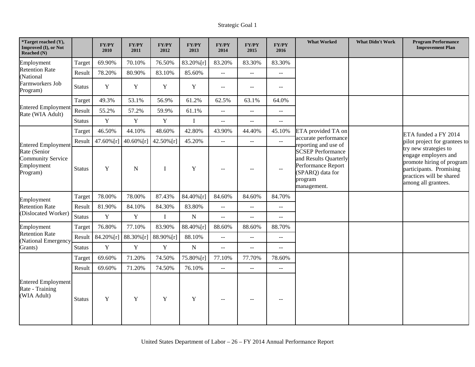| *Target reached (Y),<br>Improved (I), or Not<br>Reached (N)        |               | <b>FY/PY</b><br>2010 | <b>FY/PY</b><br>2011 | <b>FY/PY</b><br>2012 | <b>FY/PY</b><br>2013 | <b>FY/PY</b><br>2014     | <b>FY/PY</b><br>2015                          | <b>FY/PY</b><br>2016                          | <b>What Worked</b>                                                                                                    | <b>What Didn't Work</b> | <b>Program Performance</b><br><b>Improvement Plan</b>                                                                                                    |
|--------------------------------------------------------------------|---------------|----------------------|----------------------|----------------------|----------------------|--------------------------|-----------------------------------------------|-----------------------------------------------|-----------------------------------------------------------------------------------------------------------------------|-------------------------|----------------------------------------------------------------------------------------------------------------------------------------------------------|
| Employment                                                         | Target        | 69.90%               | 70.10%               | 76.50%               | 83.20% [r]           | 83.20%                   | 83.30%                                        | 83.30%                                        |                                                                                                                       |                         |                                                                                                                                                          |
| <b>Retention Rate</b><br>(National                                 | Result        | 78.20%               | 80.90%               | 83.10%               | 85.60%               | $-$                      | $\mathbb{L}^{\mathbb{L}}$                     | $\sim$ $\sim$                                 |                                                                                                                       |                         |                                                                                                                                                          |
| Farmworkers Job<br>Program)                                        | <b>Status</b> | Y                    | Y                    | Y                    | $\mathbf Y$          | $- -$                    | $\overline{a}$                                | $\sim$ $\sim$                                 |                                                                                                                       |                         |                                                                                                                                                          |
|                                                                    | Target        | 49.3%                | 53.1%                | 56.9%                | 61.2%                | 62.5%                    | 63.1%                                         | 64.0%                                         |                                                                                                                       |                         |                                                                                                                                                          |
| <b>Entered Employment</b><br>Rate (WIA Adult)                      | Result        | 55.2%                | 57.2%                | 59.9%                | 61.1%                | $-$                      | $\mathbf{u}$                                  | $\mathbf{u}$                                  |                                                                                                                       |                         |                                                                                                                                                          |
|                                                                    | <b>Status</b> | $\mathbf Y$          | $\mathbf Y$          | $\mathbf Y$          | $\mathbf I$          | --                       | $\overline{a}$                                | $\overline{a}$                                |                                                                                                                       |                         |                                                                                                                                                          |
|                                                                    | Target        | 46.50%               | 44.10%               | 48.60%               | 42.80%               | 43.90%                   | 44.40%                                        | 45.10%                                        | ETA provided TA on                                                                                                    |                         | ETA funded a FY 2014                                                                                                                                     |
| <b>Entered Employment</b>                                          | Result        | $47.60\%$ [r]        | $40.60\%$ [r]        | 42.50%[r]            | 45.20%               | $-$                      | $\mathbf{u}$                                  | $\mathbb{L}^{\mathbb{L}}$                     | accurate performance<br>reporting and use of                                                                          |                         | pilot project for grantees to                                                                                                                            |
| Rate (Senior<br><b>Community Service</b><br>Employment<br>Program) | <b>Status</b> | Y                    | $\mathbf N$          | $\bf{I}$             | $\mathbf Y$          | $\overline{\phantom{a}}$ |                                               | $\mathord{\hspace{1pt}\text{--}\hspace{1pt}}$ | <b>SCSEP Performance</b><br>and Results Quarterly<br>Performance Report<br>(SPARQ) data for<br>program<br>management. |                         | try new strategies to<br>engage employers and<br>promote hiring of program<br>participants. Promising<br>practices will be shared<br>among all grantees. |
| Employment                                                         | Target        | 78.00%               | 78.00%               | 87.43%               | 84.40%[r]            | 84.60%                   | 84.60%                                        | 84.70%                                        |                                                                                                                       |                         |                                                                                                                                                          |
| <b>Retention Rate</b>                                              | Result        | 81.90%               | 84.10%               | 84.30%               | 83.80%               | $- -$                    | $\mathord{\hspace{1pt}\text{--}\hspace{1pt}}$ | $\sim$ $\sim$                                 |                                                                                                                       |                         |                                                                                                                                                          |
| (Dislocated Worker)                                                | <b>Status</b> | $\mathbf Y$          | Y                    | I                    | ${\bf N}$            | $-$                      | $\overline{a}$                                | $\overline{a}$                                |                                                                                                                       |                         |                                                                                                                                                          |
| Employment                                                         | Target        | 76.80%               | 77.10%               | 83.90%               | 88.40% [r]           | 88.60%                   | 88.60%                                        | 88.70%                                        |                                                                                                                       |                         |                                                                                                                                                          |
| <b>Retention Rate</b><br>(National Emergency                       | Result        | $84.20\%$ [r]        | 88.30%[r]            | 88.90% [r]           | 88.10%               | $- -$                    | $\mathord{\hspace{1pt}\text{--}\hspace{1pt}}$ | $\sim$ $\sim$                                 |                                                                                                                       |                         |                                                                                                                                                          |
| Grants)                                                            | <b>Status</b> | $\mathbf Y$          | Y                    | $\mathbf Y$          | ${\bf N}$            | $-$                      | $\mathbf{u}$                                  | $\sim$ $\sim$                                 |                                                                                                                       |                         |                                                                                                                                                          |
|                                                                    | Target        | 69.60%               | 71.20%               | 74.50%               | 75.80%[r]            | 77.10%                   | 77.70%                                        | 78.60%                                        |                                                                                                                       |                         |                                                                                                                                                          |
|                                                                    | Result        | 69.60%               | 71.20%               | 74.50%               | 76.10%               | $\overline{a}$           | $\overline{a}$                                | $\overline{a}$                                |                                                                                                                       |                         |                                                                                                                                                          |
| <b>Entered Employment</b><br>Rate - Training<br>(WIA Adult)        | <b>Status</b> | Y                    | $\mathbf Y$          | Y                    | $\mathbf Y$          | $-$                      |                                               | $\sim$ $\sim$                                 |                                                                                                                       |                         |                                                                                                                                                          |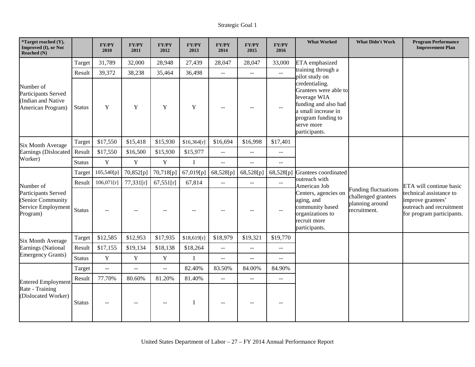| *Target reached (Y),<br>Improved (I), or Not<br>Reached (N)                 |               | <b>FY/PY</b><br>2010     | <b>FY/PY</b><br>2011 | <b>FY/PY</b><br>2012      | <b>FY/PY</b><br>2013 | <b>FY/PY</b><br>2014                          | <b>FY/PY</b><br>2015      | FY/PY<br>2016                                 | <b>What Worked</b>                                                                                                                 | <b>What Didn't Work</b>                                                               | <b>Program Performance</b><br><b>Improvement Plan</b>                                                 |
|-----------------------------------------------------------------------------|---------------|--------------------------|----------------------|---------------------------|----------------------|-----------------------------------------------|---------------------------|-----------------------------------------------|------------------------------------------------------------------------------------------------------------------------------------|---------------------------------------------------------------------------------------|-------------------------------------------------------------------------------------------------------|
|                                                                             | Target        | 31,789                   | 32,000               | 28,948                    | 27,439               | 28,047                                        | 28,047                    | 33,000                                        | ETA emphasized                                                                                                                     |                                                                                       |                                                                                                       |
|                                                                             | Result        | 39,372                   | 38,238               | 35,464                    | 36,498               | $\mathord{\hspace{1pt}\text{--}\hspace{1pt}}$ | $\sim$ $\sim$             | $\mathbb{H}^{\mathbb{H}}$                     | training through a<br>pilot study on                                                                                               |                                                                                       |                                                                                                       |
| Number of<br>Participants Served<br>(Indian and Native<br>American Program) | <b>Status</b> | Y                        | Y                    | Y                         | Y                    | $\sim$ $\sim$                                 | $\sim$                    | $\mathord{\hspace{1pt}\text{--}\hspace{1pt}}$ | credentialing.<br>leverage WIA<br>funding and also had<br>a small increase in<br>program funding to<br>serve more<br>participants. | Grantees were able to                                                                 |                                                                                                       |
| <b>Six Month Average</b>                                                    | Target        | \$17,550                 | \$15,418             | \$15,930                  | \$16,364[r]          | \$16,694                                      | \$16,998                  | \$17,401                                      |                                                                                                                                    |                                                                                       |                                                                                                       |
| Earnings (Dislocated<br>Worker)                                             | Result        | \$17,550                 | \$16,500             | \$15,930                  | \$15,977             | $\overline{a}$                                | $-$                       | $\overline{a}$                                |                                                                                                                                    |                                                                                       |                                                                                                       |
|                                                                             | <b>Status</b> | $\mathbf Y$              | $\mathbf Y$          | $\mathbf Y$               | $\mathbf I$          | $\mathbf{L}$                                  | $-$                       | --                                            |                                                                                                                                    |                                                                                       |                                                                                                       |
|                                                                             | Target        | 105,540[p]               | 70,852[p]            | 70,718[p]                 | 67,019[p]            | 68,528[p]                                     | 68,528[p]                 | 68,528[p]                                     | Grantees coordinated                                                                                                               |                                                                                       |                                                                                                       |
| Number of                                                                   | Result        | 106,071[r]               | 77,331[r]            | 67,551[r]                 | 67,814               | $\mathbb{L}^{\mathbb{L}}$                     | $\mathbf{u}$              | $\overline{a}$                                | outreach with<br>American Job                                                                                                      | <b>Funding fluctuations</b><br>challenged grantees<br>planning around<br>recruitment. | ETA will continue basic                                                                               |
| Participants Served<br>Senior Community<br>Service Employment<br>Program)   | <b>Status</b> |                          | --                   |                           |                      | $\overline{a}$                                |                           | $-$                                           | Centers, agencies on<br>aging, and<br>community based<br>organizations to<br>recruit more<br>participants.                         |                                                                                       | technical assistance to<br>improve grantees'<br>outreach and recruitment<br>for program participants. |
| <b>Six Month Average</b>                                                    | Target        | \$12,585                 | \$12,953             | \$17,935                  | \$18,619[r]          | \$18,979                                      | \$19,321                  | \$19,770                                      |                                                                                                                                    |                                                                                       |                                                                                                       |
| Earnings (National                                                          | Result        | \$17,155                 | \$19,134             | \$18,138                  | \$18,264             | $\mathord{\hspace{1pt}\text{--}\hspace{1pt}}$ | $\mathbb{L}^{\mathbb{L}}$ | $\overline{a}$                                |                                                                                                                                    |                                                                                       |                                                                                                       |
| <b>Emergency Grants)</b>                                                    | <b>Status</b> | $\mathbf Y$              | $\mathbf Y$          | $\mathbf Y$               | $\mathbf I$          | $-$                                           | $-$                       | $-$                                           |                                                                                                                                    |                                                                                       |                                                                                                       |
|                                                                             | Target        | $\overline{\phantom{a}}$ | $\overline{a}$       | $\mathbb{L}^{\mathbb{L}}$ | 82.40%               | 83.50%                                        | 84.00%                    | 84.90%                                        |                                                                                                                                    |                                                                                       |                                                                                                       |
| <b>Entered Employment</b>                                                   | Result        | 77.70%                   | 80.60%               | 81.20%                    | 81.40%               | $\mathbb{L}^{\mathbb{L}}$                     | $\mathbf{u}$              | $\overline{a}$                                |                                                                                                                                    |                                                                                       |                                                                                                       |
| Rate - Training<br>(Dislocated Worker)                                      | <b>Status</b> |                          |                      |                           | $\mathbf I$          | $\overline{a}$                                |                           | --                                            |                                                                                                                                    |                                                                                       |                                                                                                       |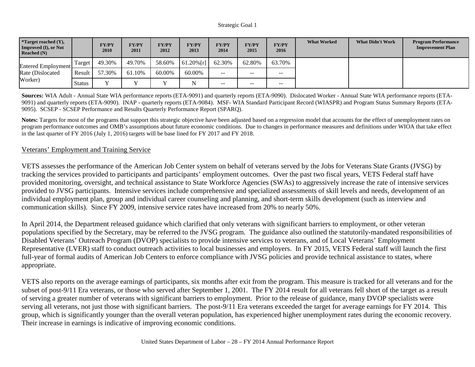| <b>*Target reached <math>(Y)</math>,</b><br><b>Improved (I), or Not</b><br>Reached $(N)$ |               | <b>FY/PY</b><br>2010 | <b>FY/PY</b><br>2011 | <b>FY/PY</b><br>2012 | <b>FY/PY</b><br>2013 | <b>FY/PY</b><br>2014 | <b>FY/PY</b><br>2015 | <b>FY/PY</b><br>2016 | <b>What Worked</b> | <b>What Didn't Work</b> | <b>Program Performance</b><br><b>Improvement Plan</b> |
|------------------------------------------------------------------------------------------|---------------|----------------------|----------------------|----------------------|----------------------|----------------------|----------------------|----------------------|--------------------|-------------------------|-------------------------------------------------------|
| Entered Employment<br>Rate (Dislocated)<br>Worker)                                       | l'arget       | 49.30%               | 49.70%               | 58.60%               | $61.20\%$ [r]        | 62.30%               | 62.80%               | 63.70%               |                    |                         |                                                       |
|                                                                                          | Result        | 57.30%               | 61.10%               | 60.00%               | 60.00%               | $- -$                | $- -$                | $- -$                |                    |                         |                                                       |
|                                                                                          | <b>Status</b> | <b>T</b>             |                      | $\mathbf{v}$         |                      | $- -$                | $- -$                | $- -$                |                    |                         |                                                       |

**Sources:** WIA Adult - Annual State WIA performance reports (ETA-9091) and quarterly reports (ETA-9090). Dislocated Worker - Annual State WIA performance reports (ETA-9091) and quarterly reports (ETA-9090). INAP - quarterly reports (ETA-9084). MSF- WIA Standard Participant Record (WIASPR) and Program Status Summary Reports (ETA-9095). SCSEP - SCSEP Performance and Results Quarterly Performance Report (SPARQ).

Notes: Targets for most of the programs that support this strategic objective have been adjusted based on a regression model that accounts for the effect of unemployment rates on program performance outcomes and OMB's assumptions about future economic conditions. Due to changes in performance measures and definitions under WIOA that take effect in the last quarter of FY 2016 (July 1, 2016) targets will be base lined for FY 2017 and FY 2018.

#### Veterans' Employment and Training Service

VETS assesses the performance of the American Job Center system on behalf of veterans served by the Jobs for Veterans State Grants (JVSG) by tracking the services provided to participants and participants' employment outcomes. Over the past two fiscal years, VETS Federal staff have provided monitoring, oversight, and technical assistance to State Workforce Agencies (SWAs) to aggressively increase the rate of intensive services provided to JVSG participants. Intensive services include comprehensive and specialized assessments of skill levels and needs, development of an individual employment plan, group and individual career counseling and planning, and short-term skills development (such as interview and communication skills). Since FY 2009, intensive service rates have increased from 20% to nearly 50%.

In April 2014, the Department released guidance which clarified that only veterans with significant barriers to employment, or other veteran populations specified by the Secretary, may be referred to the JVSG program. The guidance also outlined the statutorily-mandated responsibilities of Disabled Veterans' Outreach Program (DVOP) specialists to provide intensive services to veterans, and of Local Veterans' Employment Representative (LVER) staff to conduct outreach activities to local businesses and employers. In FY 2015, VETS Federal staff will launch the first full-year of formal audits of American Job Centers to enforce compliance with JVSG policies and provide technical assistance to states, where appropriate.

VETS also reports on the average earnings of participants, six months after exit from the program. This measure is tracked for all veterans and for the subset of post-9/11 Era veterans, or those who served after September 1, 2001. The FY 2014 result for all veterans fell short of the target as a result of serving a greater number of veterans with significant barriers to employment. Prior to the release of guidance, many DVOP specialists were serving all veterans, not just those with significant barriers. The post-9/11 Era veterans exceeded the target for average earnings for FY 2014. This group, which is significantly younger than the overall veteran population, has experienced higher unemployment rates during the economic recovery. Their increase in earnings is indicative of improving economic conditions.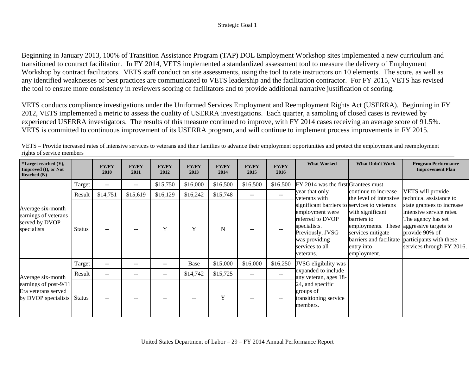#### Strategic Goal 1

Beginning in January 2013, 100% of Transition Assistance Program (TAP) DOL Employment Workshop sites implemented a new curriculum and transitioned to contract facilitation. In FY 2014, VETS implemented a standardized assessment tool to measure the delivery of Employment Workshop by contract facilitators. VETS staff conduct on site assessments, using the tool to rate instructors on 10 elements. The score, as well as any identified weaknesses or best practices are communicated to VETS leadership and the facilitation contractor. For FY 2015, VETS has revised the tool to ensure more consistency in reviewers scoring of facilitators and to provide additional narrative justification of scoring.

VETS conducts compliance investigations under the Uniformed Services Employment and Reemployment Rights Act (USERRA). Beginning in FY 2012, VETS implemented a metric to assess the quality of USERRA investigations. Each quarter, a sampling of closed cases is reviewed by experienced USERRA investigators. The results of this measure continued to improve, with FY 2014 cases receiving an average score of 91.5%. VETS is committed to continuous improvement of its USERRA program, and will continue to implement process improvements in FY 2015.

| <i>*</i> Target reached $(Y)$ ,<br>Improved (I), or Not<br>Reached $(N)$   |               | <b>FY/PY</b><br>2010     | <b>FY/PY</b><br>2011 | <b>FY/PY</b><br>2012 | <b>FY/PY</b><br>2013 | <b>FY/PY</b><br>2014 | <b>FY/PY</b><br>2015 | <b>FY/PY</b><br>2016 | <b>What Worked</b>                                                                                                                                    | <b>What Didn't Work</b>                                                                                                                               | <b>Program Performance</b><br><b>Improvement Plan</b>                                                                                                                           |
|----------------------------------------------------------------------------|---------------|--------------------------|----------------------|----------------------|----------------------|----------------------|----------------------|----------------------|-------------------------------------------------------------------------------------------------------------------------------------------------------|-------------------------------------------------------------------------------------------------------------------------------------------------------|---------------------------------------------------------------------------------------------------------------------------------------------------------------------------------|
| Average six-month<br>earnings of veterans<br>served by DVOP<br>specialists | Target        | $\overline{\phantom{m}}$ | $\qquad \qquad -$    | \$15,750             | \$16,000             | \$16,500             | \$16,500             | \$16,500             | FY 2014 was the first Grantees must                                                                                                                   |                                                                                                                                                       |                                                                                                                                                                                 |
|                                                                            | Result        | \$14,751                 | \$15,619             | \$16,129             | \$16,242             | \$15,748             | --                   | $\sim$ $\sim$        | year that only<br>veterans with                                                                                                                       | continue to increase<br>the level of intensive                                                                                                        | VETS will provide<br>technical assistance to                                                                                                                                    |
|                                                                            | <b>Status</b> |                          | --                   | Y                    | Y                    | N                    |                      |                      | employment were<br>referred to DVOP<br>barriers to<br>specialists.<br>Previously, JVSG<br>was providing<br>services to all<br>entry into<br>veterans. | significant barriers to services to veterans<br>with significant<br>employments. These<br>services mitigate<br>barriers and facilitate<br>employment. | state grantees to increase<br>intensive service rates.<br>The agency has set<br>aggressive targets to<br>provide 90% of<br>participants with these<br>services through FY 2016. |
|                                                                            | Target        | $\overline{\phantom{m}}$ | --                   | --                   | Base                 | \$15,000             | \$16,000             | \$16,250             | JVSG eligibility was                                                                                                                                  |                                                                                                                                                       |                                                                                                                                                                                 |
| Average six-month                                                          | Result        | $- -$                    |                      | --                   | \$14,742             | \$15,725             |                      | $\qquad \qquad -$    | expanded to include<br>any veteran, ages 18-                                                                                                          |                                                                                                                                                       |                                                                                                                                                                                 |
| earnings of post-9/11<br>Era veterans served<br>by DVOP specialists Status |               |                          |                      |                      |                      | Y                    |                      |                      | 24, and specific<br>groups of<br>transitioning service<br>members.                                                                                    |                                                                                                                                                       |                                                                                                                                                                                 |

VETS – Provide increased rates of intensive services to veterans and their families to advance their employment opportunities and protect the employment and reemployment rights of service members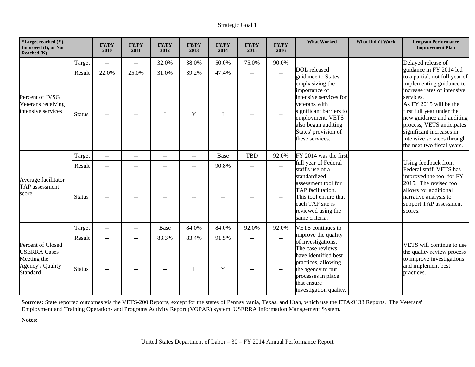| *Target reached (Y),<br>Improved (I), or Not<br>Reached (N)                                    |               | <b>FY/PY</b><br>2010      | FY/PY<br>2011  | <b>FY/PY</b><br>2012 | <b>FY/PY</b><br>2013     | <b>FY/PY</b><br>2014 | <b>FY/PY</b><br>2015 | <b>FY/PY</b><br>2016        | <b>What Worked</b>                                                                                                                                                                                                                 | <b>What Didn't Work</b>                                                                                                                                                                                                                                                       | <b>Program Performance</b><br><b>Improvement Plan</b> |  |  |
|------------------------------------------------------------------------------------------------|---------------|---------------------------|----------------|----------------------|--------------------------|----------------------|----------------------|-----------------------------|------------------------------------------------------------------------------------------------------------------------------------------------------------------------------------------------------------------------------------|-------------------------------------------------------------------------------------------------------------------------------------------------------------------------------------------------------------------------------------------------------------------------------|-------------------------------------------------------|--|--|
|                                                                                                | Target        | $\sim$ $\sim$             | $\overline{a}$ | 32.0%                | 38.0%                    | 50.0%                | 75.0%                | 90.0%                       |                                                                                                                                                                                                                                    |                                                                                                                                                                                                                                                                               | Delayed release of                                    |  |  |
|                                                                                                | Result        | 22.0%                     | 25.0%          | 31.0%                | 39.2%                    | 47.4%                | $\mathbf{u}$         | $\overline{a}$              | DOL released<br>guidance to States<br>emphasizing the<br>importance of<br>intensive services for<br>veterans with<br>significant barriers to<br>employment. VETS<br>also began auditing<br>States' provision of<br>these services. | guidance in FY 2014 led<br>to a partial, not full year of                                                                                                                                                                                                                     |                                                       |  |  |
| Percent of JVSG<br>Veterans receiving<br>intensive services                                    | <b>Status</b> |                           | --             | I                    | Y                        | I                    |                      | $-$                         |                                                                                                                                                                                                                                    | implementing guidance to<br>increase rates of intensive<br>services.<br>As FY 2015 will be the<br>first full year under the<br>new guidance and auditing<br>process, VETS anticipates<br>significant increases in<br>intensive services through<br>the next two fiscal years. |                                                       |  |  |
|                                                                                                | Target        | $\sim$ $\sim$             | $-$            | $\sim$               | $\overline{\phantom{m}}$ | Base                 | <b>TBD</b>           | 92.0%                       | FY 2014 was the first<br>full year of Federal<br>staff's use of a<br>standardized<br>assessment tool for<br>TAP facilitation.<br>This tool ensure that<br>each TAP site is<br>reviewed using the<br>same criteria.                 |                                                                                                                                                                                                                                                                               |                                                       |  |  |
|                                                                                                | Result        | $\mathbb{L}^{\mathbb{L}}$ | $-$            | $-$                  | $\mathbf{u}$             | 90.8%                | $\mathbf{u}$         | $\overline{a}$              |                                                                                                                                                                                                                                    |                                                                                                                                                                                                                                                                               | Using feedback from<br>Federal staff, VETS has        |  |  |
| Average facilitator<br>TAP assessment<br>score                                                 | <b>Status</b> |                           |                |                      |                          |                      |                      | $-$                         |                                                                                                                                                                                                                                    | improved the tool for FY<br>2015. The revised tool<br>allows for additional<br>narrative analysis to<br>support TAP assessment<br>scores.                                                                                                                                     |                                                       |  |  |
|                                                                                                | Target        | $\sim$ $\sim$             | $-$            | <b>Base</b>          | 84.0%                    | 84.0%                | 92.0%                | 92.0%                       | VETS continues to                                                                                                                                                                                                                  |                                                                                                                                                                                                                                                                               |                                                       |  |  |
|                                                                                                | Result        | $\sim$ $\sim$             | $-$            | 83.3%                | 83.4%                    | 91.5%                | $\overline{a}$       | $\mathcal{L}_{\mathcal{L}}$ | improve the quality<br>of investigations.                                                                                                                                                                                          |                                                                                                                                                                                                                                                                               |                                                       |  |  |
| Percent of Closed<br><b>USERRA</b> Cases<br>Meeting the<br><b>Agency's Quality</b><br>Standard | <b>Status</b> |                           | --             |                      | $\mathbf I$              | $\mathbf Y$          |                      | $- -$                       | The case reviews<br>have identified best<br>practices, allowing<br>the agency to put<br>processes in place<br>that ensure<br>investigation quality.                                                                                | VETS will continue to use<br>the quality review process<br>to improve investigations<br>and implement best<br>practices.                                                                                                                                                      |                                                       |  |  |

**Sources:** State reported outcomes via the VETS-200 Reports, except for the states of Pennsylvania, Texas, and Utah, which use the ETA-9133 Reports. The Veterans' Employment and Training Operations and Programs Activity Report (VOPAR) system, USERRA Information Management System.

**Notes:**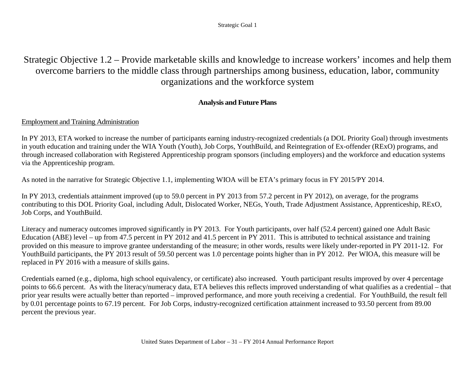Strategic Goal 1

## Strategic Objective 1.2 – Provide marketable skills and knowledge to increase workers' incomes and help them overcome barriers to the middle class through partnerships among business, education, labor, community organizations and the workforce system

### **Analysis and Future Plans**

### <span id="page-34-0"></span>Employment and Training Administration

In PY 2013, ETA worked to increase the number of participants earning industry-recognized credentials (a DOL Priority Goal) through investments in youth education and training under the WIA Youth (Youth), Job Corps, YouthBuild, and Reintegration of Ex-offender (RExO) programs, and through increased collaboration with Registered Apprenticeship program sponsors (including employers) and the workforce and education systems via the Apprenticeship program.

As noted in the narrative for Strategic Objective 1.1, implementing WIOA will be ETA's primary focus in FY 2015/PY 2014.

In PY 2013, credentials attainment improved (up to 59.0 percent in PY 2013 from 57.2 percent in PY 2012), on average, for the programs contributing to this DOL Priority Goal, including Adult, Dislocated Worker, NEGs, Youth, Trade Adjustment Assistance, Apprenticeship, RExO, Job Corps, and YouthBuild.

Literacy and numeracy outcomes improved significantly in PY 2013. For Youth participants, over half (52.4 percent) gained one Adult Basic Education (ABE) level – up from 47.5 percent in PY 2012 and 41.5 percent in PY 2011. This is attributed to technical assistance and training provided on this measure to improve grantee understanding of the measure; in other words, results were likely under-reported in PY 2011-12. For YouthBuild participants, the PY 2013 result of 59.50 percent was 1.0 percentage points higher than in PY 2012. Per WIOA, this measure will be replaced in PY 2016 with a measure of skills gains.

Credentials earned (e.g., diploma, high school equivalency, or certificate) also increased. Youth participant results improved by over 4 percentage points to 66.6 percent. As with the literacy/numeracy data, ETA believes this reflects improved understanding of what qualifies as a credential – that prior year results were actually better than reported – improved performance, and more youth receiving a credential. For YouthBuild, the result fell by 0.01 percentage points to 67.19 percent. For Job Corps, industry-recognized certification attainment increased to 93.50 percent from 89.00 percent the previous year.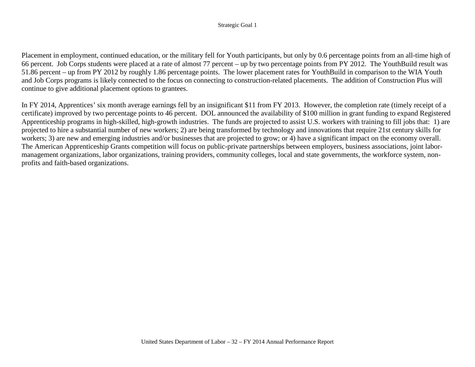#### Strategic Goal 1

Placement in employment, continued education, or the military fell for Youth participants, but only by 0.6 percentage points from an all-time high of 66 percent. Job Corps students were placed at a rate of almost 77 percent – up by two percentage points from PY 2012. The YouthBuild result was 51.86 percent – up from PY 2012 by roughly 1.86 percentage points. The lower placement rates for YouthBuild in comparison to the WIA Youth and Job Corps programs is likely connected to the focus on connecting to construction-related placements. The addition of Construction Plus will continue to give additional placement options to grantees.

In FY 2014, Apprentices' six month average earnings fell by an insignificant \$11 from FY 2013. However, the completion rate (timely receipt of a certificate) improved by two percentage points to 46 percent. DOL announced the availability of \$100 million in grant funding to expand Registered Apprenticeship programs in high-skilled, high-growth industries. The funds are projected to assist U.S. workers with training to fill jobs that: 1) are projected to hire a substantial number of new workers; 2) are being transformed by technology and innovations that require 21st century skills for workers; 3) are new and emerging industries and/or businesses that are projected to grow; or 4) have a significant impact on the economy overall. The American Apprenticeship Grants competition will focus on public-private partnerships between employers, business associations, joint labormanagement organizations, labor organizations, training providers, community colleges, local and state governments, the workforce system, nonprofits and faith-based organizations.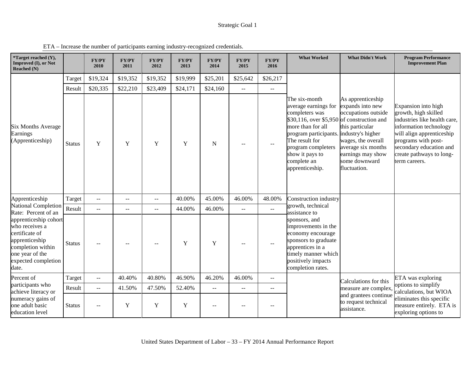| *Target reached (Y),<br>Improved (I), or Not<br><b>Reached</b> (N)                                                                                  |               | <b>FY/PY</b><br>2010    | <b>FY/PY</b><br>2011 | <b>FY/PY</b><br>2012     | <b>FY/PY</b><br>2013 | <b>FY/PY</b><br>2014 | <b>FY/PY</b><br>2015        | <b>FY/PY</b><br>2016      | <b>What Worked</b>                                                                                                                                                                                                                                                 | <b>What Didn't Work</b>                                                                                                                                                           | <b>Program Performance</b><br><b>Improvement Plan</b>                                                                                                                                                                             |
|-----------------------------------------------------------------------------------------------------------------------------------------------------|---------------|-------------------------|----------------------|--------------------------|----------------------|----------------------|-----------------------------|---------------------------|--------------------------------------------------------------------------------------------------------------------------------------------------------------------------------------------------------------------------------------------------------------------|-----------------------------------------------------------------------------------------------------------------------------------------------------------------------------------|-----------------------------------------------------------------------------------------------------------------------------------------------------------------------------------------------------------------------------------|
|                                                                                                                                                     | Target        | \$19,324                | \$19,352             | \$19,352                 | \$19,999             | \$25,201             | \$25,642                    | \$26,217                  |                                                                                                                                                                                                                                                                    |                                                                                                                                                                                   |                                                                                                                                                                                                                                   |
|                                                                                                                                                     | Result        | \$20,335                | \$22,210             | \$23,409                 | \$24,171             | \$24,160             | $\overline{a}$              | $\mathbb{L}^{\mathbb{L}}$ |                                                                                                                                                                                                                                                                    |                                                                                                                                                                                   |                                                                                                                                                                                                                                   |
| <b>Six Months Average</b><br>Earnings<br>(Apprenticeship)                                                                                           | <b>Status</b> | Y                       | Y                    | Y                        | Y                    | ${\bf N}$            |                             |                           | The six-month<br>average earnings for<br>completers was<br>\$30,116, over \$5,950 of construction and<br>more than for all<br>program participants. industry's higher<br>The result for<br>program completers<br>show it pays to<br>complete an<br>apprenticeship. | As apprenticeship<br>expands into new<br>occupations outside<br>this particular<br>wages, the overall<br>average six months<br>earnings may show<br>some downward<br>fluctuation. | Expansion into high<br>growth, high skilled<br>industries like health care,<br>information technology<br>will align apprenticeship<br>programs with post-<br>secondary education and<br>create pathways to long-<br>term careers. |
| Apprenticeship                                                                                                                                      | Target        | $\sim$ $\sim$           | $- -$                | $\overline{\phantom{a}}$ | 40.00%               | 45.00%               | 46.00%                      | 48.00%                    | Construction industry                                                                                                                                                                                                                                              |                                                                                                                                                                                   |                                                                                                                                                                                                                                   |
| National Completion<br>Rate: Percent of an                                                                                                          | Result        | $\overline{a}$          | $-1$                 | $\overline{\phantom{a}}$ | 44.00%               | 46.00%               | $\overline{a}$              | $\mathbb{L}^{\mathbb{L}}$ | growth, technical<br>assistance to                                                                                                                                                                                                                                 |                                                                                                                                                                                   |                                                                                                                                                                                                                                   |
| apprenticeship cohort<br>who receives a<br>certificate of<br>apprenticeship<br>completion within<br>one year of the<br>expected completion<br>date. | <b>Status</b> |                         |                      |                          | Y                    | $\mathbf Y$          |                             |                           | sponsors, and<br>improvements in the<br>economy encourage<br>sponsors to graduate<br>apprentices in a<br>timely manner which<br>positively impacts<br>completion rates.                                                                                            |                                                                                                                                                                                   |                                                                                                                                                                                                                                   |
| Percent of                                                                                                                                          | Target        | $\mathbb{L} \mathbb{L}$ | 40.40%               | 40.80%                   | 46.90%               | 46.20%               | 46.00%                      | $\mathbb{L}^{\mathbb{L}}$ |                                                                                                                                                                                                                                                                    | Calculations for this                                                                                                                                                             | ETA was exploring                                                                                                                                                                                                                 |
| participants who<br>achieve literacy or                                                                                                             | Result        | $\sim$ $\sim$           | 41.50%               | 47.50%                   | 52.40%               | $\overline{a}$       | $\mathcal{L} = \mathcal{L}$ | $ -$                      |                                                                                                                                                                                                                                                                    | measure are complex.                                                                                                                                                              | options to simplify<br>calculations, but WIOA                                                                                                                                                                                     |
| numeracy gains of<br>one adult basic<br>education level                                                                                             | <b>Status</b> | $-$                     | Y                    | Y                        | $\mathbf Y$          |                      |                             |                           |                                                                                                                                                                                                                                                                    | and grantees continue<br>to request technical<br>assistance.                                                                                                                      | eliminates this specific<br>measure entirely. ETA is<br>exploring options to                                                                                                                                                      |

ETA – Increase the number of participants earning industry-recognized credentials.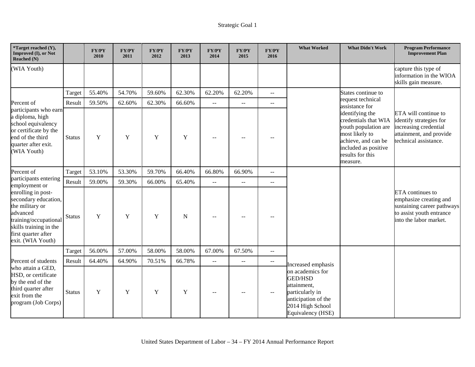| *Target reached (Y),<br>Improved (I), or Not<br>Reached (N)                                                                                                              |               | <b>FY/PY</b><br>2010 | <b>FY/PY</b><br>2011 | FY/PY<br>2012 | FY/PY<br>2013 | <b>FY/PY</b><br>2014      | <b>FY/PY</b><br>2015 | FY/PY<br>2016                                 | <b>What Worked</b>                                                                                                                   | <b>What Didn't Work</b>                                                                                                                                          | <b>Program Performance</b><br><b>Improvement Plan</b>                                                                          |
|--------------------------------------------------------------------------------------------------------------------------------------------------------------------------|---------------|----------------------|----------------------|---------------|---------------|---------------------------|----------------------|-----------------------------------------------|--------------------------------------------------------------------------------------------------------------------------------------|------------------------------------------------------------------------------------------------------------------------------------------------------------------|--------------------------------------------------------------------------------------------------------------------------------|
| (WIA Youth)                                                                                                                                                              |               |                      |                      |               |               |                           |                      |                                               |                                                                                                                                      |                                                                                                                                                                  | capture this type of<br>information in the WIOA<br>skills gain measure.                                                        |
|                                                                                                                                                                          | Target        | 55.40%               | 54.70%               | 59.60%        | 62.30%        | 62.20%                    | 62.20%               | $\bar{\omega}$                                |                                                                                                                                      | States continue to                                                                                                                                               |                                                                                                                                |
| Percent of                                                                                                                                                               | Result        | 59.50%               | 62.60%               | 62.30%        | 66.60%        | $\sim$ $\sim$             | $- -$                | $\mathord{\hspace{1pt}\text{--}\hspace{1pt}}$ |                                                                                                                                      | request technical<br>assistance for                                                                                                                              |                                                                                                                                |
| participants who earn<br>a diploma, high<br>school equivalency<br>or certificate by the<br>end of the third<br>quarter after exit.<br>(WIA Youth)                        | <b>Status</b> | $\mathbf Y$          | $\mathbf Y$          | Y             | Y             | $-$                       |                      | $-$                                           |                                                                                                                                      | identifying the<br>credentials that WIA<br>youth population are<br>most likely to<br>achieve, and can be<br>included as positive<br>results for this<br>measure. | ETA will continue to<br>identify strategies for<br>increasing credential<br>attainment, and provide<br>technical assistance.   |
| Percent of                                                                                                                                                               | Target        | 53.10%               | 53.30%               | 59.70%        | 66.40%        | 66.80%                    | 66.90%               | $\sim$ $\sim$                                 |                                                                                                                                      |                                                                                                                                                                  |                                                                                                                                |
| participants entering<br>employment or                                                                                                                                   | Result        | 59.00%               | 59.30%               | 66.00%        | 65.40%        | $\mathbb{L}^{\mathbb{L}}$ | $\mathbb{L}^{\perp}$ | $\sim$ $\sim$                                 |                                                                                                                                      |                                                                                                                                                                  |                                                                                                                                |
| enrolling in post-<br>secondary education,<br>the military or<br>advanced<br>training/occupational<br>skills training in the<br>first quarter after<br>exit. (WIA Youth) | <b>Status</b> | $\mathbf Y$          | $\mathbf Y$          | $\mathbf Y$   | N             |                           |                      |                                               |                                                                                                                                      |                                                                                                                                                                  | ETA continues to<br>emphasize creating and<br>sustaining career pathways<br>to assist youth entrance<br>into the labor market. |
|                                                                                                                                                                          | Target        | 56.00%               | 57.00%               | 58.00%        | 58.00%        | 67.00%                    | 67.50%               | $\overline{a}$                                |                                                                                                                                      |                                                                                                                                                                  |                                                                                                                                |
| Percent of students                                                                                                                                                      | Result        | 64.40%               | 64.90%               | 70.51%        | 66.78%        | 44                        | --                   | $\overline{a}$                                | Increased emphasis                                                                                                                   |                                                                                                                                                                  |                                                                                                                                |
| who attain a GED,<br>HSD, or certificate<br>by the end of the<br>third quarter after<br>exit from the<br>program (Job Corps)                                             | <b>Status</b> | $\mathbf Y$          | Y                    | Y             | Y             | $\qquad \qquad -$         |                      | $\mathord{\hspace{1pt}\text{--}\hspace{1pt}}$ | on academics for<br><b>GED/HSD</b><br>attainment,<br>particularly in<br>anticipation of the<br>2014 High School<br>Equivalency (HSE) |                                                                                                                                                                  |                                                                                                                                |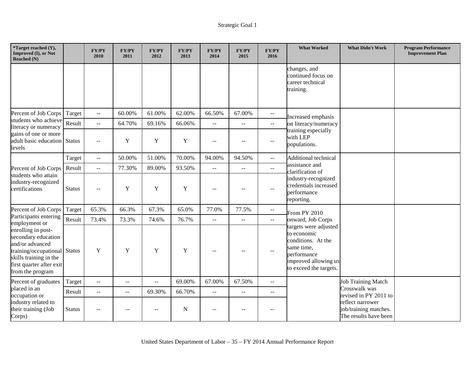| *Target reached (Y),<br>Improved (I), or Not<br><b>Reached</b> (N)                                                                                                     |               | FY/PY<br>2010            | <b>FY/PY</b><br>2011 | FY/PY<br>2012 | <b>FY/PY</b><br>2013 | <b>FY/PY</b><br>2014    | <b>FY/PY</b><br>2015                          | FY/PY<br>2016                                 | <b>What Worked</b>                                                                                                                        | <b>What Didn't Work</b>                                            | <b>Program Performance</b><br><b>Improvement Plan</b> |
|------------------------------------------------------------------------------------------------------------------------------------------------------------------------|---------------|--------------------------|----------------------|---------------|----------------------|-------------------------|-----------------------------------------------|-----------------------------------------------|-------------------------------------------------------------------------------------------------------------------------------------------|--------------------------------------------------------------------|-------------------------------------------------------|
|                                                                                                                                                                        |               |                          |                      |               |                      |                         |                                               |                                               | changes, and<br>continued focus on<br>career technical<br>training.                                                                       |                                                                    |                                                       |
| Percent of Job Corps                                                                                                                                                   | Target        | $\sim$ $\sim$            | 60.00%               | 61.00%        | 62.00%               | 66.50%                  | 67.00%                                        | $-$                                           | Increased emphasis                                                                                                                        |                                                                    |                                                       |
| students who achieve<br>literacy or numeracy                                                                                                                           | Result        | $\bar{\omega}$           | 64.70%               | 69.16%        | 66.06%               | $\sim$ $\sim$           | ΞĒ,                                           | $\overline{\phantom{a}}$                      | on literacy/numeracy                                                                                                                      |                                                                    |                                                       |
| gains of one or more<br>adult basic education Status<br>levels                                                                                                         |               | $-$                      | $\mathbf Y$          | Y             | $\mathbf Y$          | $\sim$ $\sim$           | --                                            | $\mathord{\hspace{1pt}\text{--}\hspace{1pt}}$ | training especially<br>with LEP<br>populations.                                                                                           |                                                                    |                                                       |
|                                                                                                                                                                        | Target        | $\sim$ $\sim$            | 50.00%               | 51.00%        | 70.00%               | 94.00%                  | 94.50%                                        | $\overline{a}$                                | Additional technical                                                                                                                      |                                                                    |                                                       |
| Percent of Job Corps                                                                                                                                                   | Result        | $\overline{\phantom{a}}$ | 77.30%               | 89.00%        | 93.50%               | $\mathbb{L} \mathbb{L}$ | $\overline{\phantom{a}}$                      | ΞĒ,                                           | assistance and<br>clarification of                                                                                                        |                                                                    |                                                       |
| students who attain<br>industry-recognized<br>certifications                                                                                                           | <b>Status</b> | $-$                      | Y                    | Y             | Y                    | $\sim$                  | $-$                                           | $-$                                           | industry-recognized<br>credentials increased<br>performance<br>reporting.                                                                 |                                                                    |                                                       |
| Percent of Job Corps                                                                                                                                                   | Target        | 65.3%                    | 66.3%                | 67.3%         | 65.0%                | 77.0%                   | 77.5%                                         | $\overline{a}$                                | From PY 2010                                                                                                                              |                                                                    |                                                       |
| Participants entering<br>employment or                                                                                                                                 | Result        | 73.4%                    | 73.3%                | 74.6%         | 76.7%                | $\sim$ $\sim$           | $\overline{a}$                                | $\mathcal{L}_{\mathcal{L}}$                   | onward, Job Corps                                                                                                                         |                                                                    |                                                       |
| enrolling in post-<br>secondary education<br>and/or advanced<br>training/occupational Status<br>skills training in the<br>first quarter after exit<br>from the program |               | Y                        | Y                    | Y             | Y                    | $\sim$                  | --                                            | $\sim$                                        | targets were adjusted<br>to economic<br>conditions. At the<br>same time,<br>performance<br>improved allowing us<br>to exceed the targets. |                                                                    |                                                       |
| Percent of graduates                                                                                                                                                   | Target        | $\overline{a}$           | $-$                  | $\mathbf{u}$  | 69.00%               | 67.00%                  | 67.50%                                        | $\mathbf{u}$                                  |                                                                                                                                           | <b>Job Training Match</b>                                          |                                                       |
| placed in an<br>occupation or                                                                                                                                          | Result        | $\overline{a}$           | 44                   | 69.30%        | 66.70%               | $\sim$ $\sim$           | $\mathbb{L}^{\mathbb{L}}$                     | $-$                                           |                                                                                                                                           | Crosswalk was<br>revised in PY 2011 to                             |                                                       |
| industry related to<br>their training (Job<br>Corps)                                                                                                                   | <b>Status</b> | $-$                      |                      | $\sim$ $\sim$ | N                    | $\sim$ $\sim$           | $\mathord{\hspace{1pt}\text{--}\hspace{1pt}}$ | $\overline{\phantom{a}}$                      |                                                                                                                                           | reflect narrower<br>job/training matches.<br>The results have been |                                                       |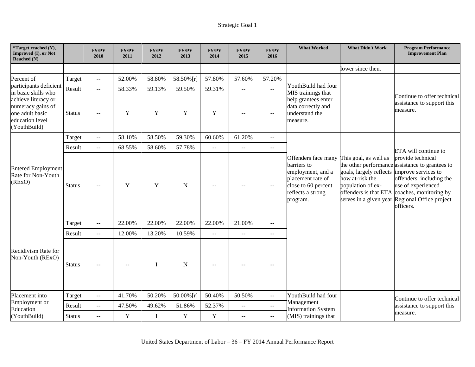| *Target reached (Y),<br>Improved (I), or Not<br>Reached (N)                                    |               | <b>FY/PY</b><br>2010 | <b>FY/PY</b><br>2011 | <b>FY/PY</b><br>2012 | <b>FY/PY</b><br>2013 | <b>FY/PY</b><br>2014    | <b>FY/PY</b><br>2015      | <b>FY/PY</b><br>2016                          | <b>What Worked</b>                                                                                                                                         | <b>What Didn't Work</b>                                                                  | <b>Program Performance</b><br><b>Improvement Plan</b>                                                                                                                                                                                   |
|------------------------------------------------------------------------------------------------|---------------|----------------------|----------------------|----------------------|----------------------|-------------------------|---------------------------|-----------------------------------------------|------------------------------------------------------------------------------------------------------------------------------------------------------------|------------------------------------------------------------------------------------------|-----------------------------------------------------------------------------------------------------------------------------------------------------------------------------------------------------------------------------------------|
|                                                                                                |               |                      |                      |                      |                      |                         |                           |                                               |                                                                                                                                                            | lower since then.                                                                        |                                                                                                                                                                                                                                         |
| Percent of                                                                                     | Target        | $\overline{a}$       | 52.00%               | 58.80%               | 58.50% [r]           | 57.80%                  | 57.60%                    | 57.20%                                        |                                                                                                                                                            |                                                                                          |                                                                                                                                                                                                                                         |
| participants deficient<br>in basic skills who                                                  | Result        | $\overline{a}$       | 58.33%               | 59.13%               | 59.50%               | 59.31%                  | $-$                       | $\mathcal{L}_{\mathcal{L}}$                   | YouthBuild had four<br>MIS trainings that                                                                                                                  |                                                                                          | Continue to offer technical                                                                                                                                                                                                             |
| achieve literacy or<br>numeracy gains of<br>one adult basic<br>education level<br>(YouthBuild) | <b>Status</b> | $-$                  | Y                    | Y                    | Y                    | Y                       | --                        | $-$                                           | help grantees enter<br>data correctly and<br>understand the<br>measure.                                                                                    |                                                                                          | assistance to support this<br>measure.                                                                                                                                                                                                  |
|                                                                                                | Target        | $\overline{a}$       | 58.10%               | 58.50%               | 59.30%               | 60.60%                  | 61.20%                    | $\overline{a}$                                |                                                                                                                                                            |                                                                                          |                                                                                                                                                                                                                                         |
|                                                                                                | Result        | $\overline{a}$       | 68.55%               | 58.60%               | 57.78%               | $\mathbb{L} \mathbb{L}$ | $\overline{a}$            | $- -$                                         |                                                                                                                                                            |                                                                                          | ETA will continue to                                                                                                                                                                                                                    |
| <b>Entered Employment</b><br>Rate for Non-Youth<br>(REXO)                                      | <b>Status</b> | $\sim$ $\sim$        | Y                    | Y                    | N                    | $\sim$                  | $-$                       | $-$                                           | Offenders face many This goal, as well as<br>barriers to<br>employment, and a<br>placement rate of<br>close to 60 percent<br>reflects a strong<br>program. | goals, largely reflects<br>how at-risk the<br>population of ex-<br>offenders is that ETA | provide technical<br>the other performance assistance to grantees to<br>improve services to<br>offenders, including the<br>use of experienced<br>coaches, monitoring by<br>serves in a given year. Regional Office project<br>officers. |
|                                                                                                | Target        | $\sim$ $\sim$        | 22.00%               | 22.00%               | 22.00%               | 22.00%                  | 21.00%                    | $\overline{a}$                                |                                                                                                                                                            |                                                                                          |                                                                                                                                                                                                                                         |
|                                                                                                | Result        | $\sim$ $\sim$        | 12.00%               | 13.20%               | 10.59%               | $\mathbf{u}$            | $\overline{a}$            | $-$                                           |                                                                                                                                                            |                                                                                          |                                                                                                                                                                                                                                         |
| Recidivism Rate for<br>Non-Youth (RExO)                                                        | <b>Status</b> | --                   | $-$                  | $\mathbf I$          | N                    | $\sim$ $-$              | $- -$                     |                                               |                                                                                                                                                            |                                                                                          |                                                                                                                                                                                                                                         |
| Placement into                                                                                 | Target        | $\bar{\omega}$       | 41.70%               | 50.20%               | $50.00\%$ [r]        | 50.40%                  | 50.50%                    | $\overline{a}$                                | YouthBuild had four                                                                                                                                        |                                                                                          | Continue to offer technical                                                                                                                                                                                                             |
| Employment or<br>Education                                                                     | Result        | $\overline{a}$       | 47.50%               | 49.62%               | 51.86%               | 52.37%                  | $\mathbb{L}^{\mathbb{L}}$ | $\overline{a}$                                | Management<br><b>Information System</b>                                                                                                                    |                                                                                          | assistance to support this                                                                                                                                                                                                              |
| (YouthBuild)                                                                                   | <b>Status</b> | $\overline{a}$       | $\mathbf Y$          | $\bf{I}$             | $\mathbf Y$          | $\mathbf Y$             | $-$                       | $\mathord{\hspace{1pt}\text{--}\hspace{1pt}}$ | (MIS) trainings that                                                                                                                                       |                                                                                          | measure.                                                                                                                                                                                                                                |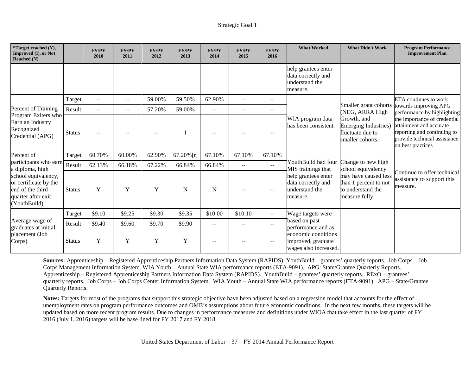| *Target reached (Y),<br>Improved (I), or Not<br><b>Reached</b> (N)                                     |               | <b>FY/PY</b><br>2010 | <b>FY/PY</b><br>2011 | <b>FY/PY</b><br>2012 | <b>FY/PY</b><br>2013 | <b>FY/PY</b><br>2014 | <b>FY/PY</b><br>2015 | <b>FY/PY</b><br>2016     | <b>What Worked</b>                                                      | <b>What Didn't Work</b>                                                              | <b>Program Performance</b><br><b>Improvement Plan</b>                                                                                       |
|--------------------------------------------------------------------------------------------------------|---------------|----------------------|----------------------|----------------------|----------------------|----------------------|----------------------|--------------------------|-------------------------------------------------------------------------|--------------------------------------------------------------------------------------|---------------------------------------------------------------------------------------------------------------------------------------------|
|                                                                                                        |               |                      |                      |                      |                      |                      |                      |                          | help grantees enter<br>data correctly and<br>understand the<br>measure. |                                                                                      |                                                                                                                                             |
|                                                                                                        | Target        | $- -$                | $\qquad \qquad -$    | 59.00%               | 59.50%               | 62.90%               | $-$                  | $--$                     |                                                                         |                                                                                      | ETA continues to work                                                                                                                       |
| Percent of Training                                                                                    | Result        | $-$                  | $\qquad \qquad -$    | 57.20%               | 59.00%               | $- -$                | --                   | --                       |                                                                         | Smaller grant cohorts<br>(NEG, ARRA High                                             | towards improving APG<br>performance by highlighting                                                                                        |
| Program Exiters who<br>Earn an Industry<br>Recognized<br>Credential (APG)                              | <b>Status</b> |                      |                      |                      |                      |                      |                      |                          | WIA program data<br>has been consistent.                                | Growth, and<br><b>Emerging Industries</b> )<br>fluctuate due to<br>smaller cohorts.  | the importance of credential<br>attainment and accurate<br>reporting and continuing to<br>provide technical assistance<br>on best practices |
| Percent of                                                                                             | Target        | 60.70%               | 60.00%               | 62.90%               | 67.20%[r]            | 67.10%               | 67.10%               | 67.10%                   |                                                                         |                                                                                      |                                                                                                                                             |
| participants who earn<br>a diploma, high                                                               | Result        | 62.13%               | 66.18%               | 67.22%               | 66.84%               | 66.84%               | $- -$                | $\overline{\phantom{m}}$ | YouthBuild had four<br>MIS trainings that                               | Change to new high<br>school equivalency                                             |                                                                                                                                             |
| school equivalency,<br>or certificate by the<br>end of the third<br>quarter after exit<br>(YouthBuild) | <b>Status</b> | Y                    | Y                    | Y                    | N                    | $\mathbf N$          |                      | $\overline{\phantom{m}}$ | help grantees enter<br>data correctly and<br>understand the<br>measure. | may have caused less<br>than 1 percent to not<br>to understand the<br>measure fully. | Continue to offer technical<br>assistance to support this<br>measure.                                                                       |
|                                                                                                        | Target        | \$9.10               | \$9.25               | \$9.30               | \$9.35               | \$10.00              | \$10.10              | $\overline{\phantom{a}}$ | Wage targets were                                                       |                                                                                      |                                                                                                                                             |
| Average wage of<br>graduates at initial                                                                | Result        | \$9.40               | \$9.60               | \$9.70               | \$9.90               | $- -$                | $-$                  | $\mathbf{u}$             | based on past<br>performance and as                                     |                                                                                      |                                                                                                                                             |
| placement (Job<br>Corps)                                                                               | <b>Status</b> | Y                    | Y                    | Y                    | Y                    |                      |                      |                          | economic conditions<br>improved, graduate<br>wages also increased.      |                                                                                      |                                                                                                                                             |

**Sources:** Apprenticeship – Registered Apprenticeship Partners Information Data System (RAPIDS). YouthBuild – grantees' quarterly reports. Job Corps – Job Corps Management Information System. WIA Youth – Annual State WIA performance reports (ETA-9091). APG: State/Grantee Quarterly Reports. Apprenticeship – Registered Apprenticeship Partners Information Data System (RAPIDS). YouthBuild – grantees' quarterly reports. RExO – grantees' quarterly reports. Job Corps – Job Corps Center Information System. WIA Youth – Annual State WIA performance reports (ETA-9091). APG – State/Grantee Quarterly Reports.

**Notes:** Targets for most of the programs that support this strategic objective have been adjusted based on a regression model that accounts for the effect of unemployment rates on program performance outcomes and OMB's assumptions about future economic conditions. In the next few months, these targets will be updated based on more recent program results. Due to changes in performance measures and definitions under WIOA that take effect in the last quarter of FY 2016 (July 1, 2016) targets will be base lined for FY 2017 and FY 2018.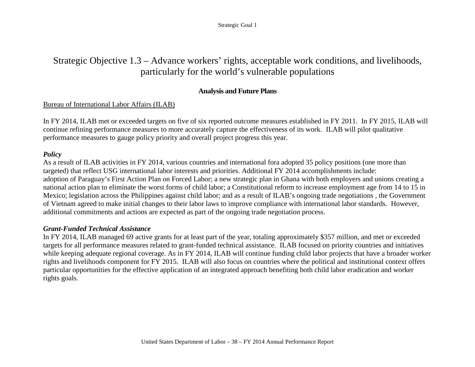# Strategic Objective 1.3 – Advance workers' rights, acceptable work conditions, and livelihoods, particularly for the world's vulnerable populations

# **Analysis and Future Plans**

# Bureau of International Labor Affairs (ILAB)

In FY 2014, ILAB met or exceeded targets on five of six reported outcome measures established in FY 2011. In FY 2015, ILAB will continue refining performance measures to more accurately capture the effectiveness of its work. ILAB will pilot qualitative performance measures to gauge policy priority and overall project progress this year.

# *Policy*

As a result of ILAB activities in FY 2014, various countries and international fora adopted 35 policy positions (one more than targeted) that reflect USG international labor interests and priorities. Additional FY 2014 accomplishments include: adoption of Paraguay's First Action Plan on Forced Labor; a new strategic plan in Ghana with both employers and unions creating a national action plan to eliminate the worst forms of child labor; a Constitutional reform to increase employment age from 14 to 15 in Mexico; legislation across the Philippines against child labor; and as a result of ILAB's ongoing trade negotiations , the Government of Vietnam agreed to make initial changes to their labor laws to improve compliance with international labor standards. However, additional commitments and actions are expected as part of the ongoing trade negotiation process.

# *Grant-Funded Technical Assistance*

In FY 2014, ILAB managed 69 active grants for at least part of the year, totaling approximately \$357 million, and met or exceeded targets for all performance measures related to grant-funded technical assistance. ILAB focused on priority countries and initiatives while keeping adequate regional coverage. As in FY 2014, ILAB will continue funding child labor projects that have a broader worker rights and livelihoods component for FY 2015. ILAB will also focus on countries where the political and institutional context offers particular opportunities for the effective application of an integrated approach benefiting both child labor eradication and worker rights goals.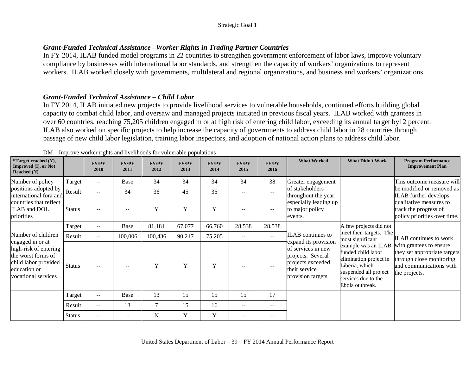# *Grant-Funded Technical Assistance* **–***Worker Rights in Trading Partner Countries*

In FY 2014, ILAB funded model programs in 22 countries to strengthen government enforcement of labor laws, improve voluntary compliance by businesses with international labor standards, and strengthen the capacity of workers' organizations to represent workers. ILAB worked closely with governments, multilateral and regional organizations, and business and workers' organizations.

# *Grant-Funded Technical Assistance* **–** *Child Labor*

In FY 2014, ILAB initiated new projects to provide livelihood services to vulnerable households, continued efforts building global capacity to combat child labor, and oversaw and managed projects initiated in previous fiscal years. ILAB worked with grantees in over 60 countries, reaching 75,205 children engaged in or at high risk of entering child labor, exceeding its annual target by12 percent. ILAB also worked on specific projects to help increase the capacity of governments to address child labor in 28 countries through passage of new child labor legislation, training labor inspectors, and adoption of national action plans to address child labor.

| <i>*</i> Target reached $(Y)$ ,<br><b>Improved (I), or Not</b><br>Reached $(N)$                                                |               | <b>FY/PY</b><br>2010     | employee women rights and inventiously remember pop-<br><b>FY/PY</b><br>2011 | <b>FY/PY</b><br>2012 | <b>FY/PY</b><br>2013 | <b>FY/PY</b><br>2014 | <b>FY/PY</b><br>2015 | FY/PY<br>2016 | <b>What Worked</b>                                                                                                          | <b>What Didn't Work</b>                                                                                                                                  | <b>Program Performance</b><br><b>Improvement Plan</b>                                                                           |
|--------------------------------------------------------------------------------------------------------------------------------|---------------|--------------------------|------------------------------------------------------------------------------|----------------------|----------------------|----------------------|----------------------|---------------|-----------------------------------------------------------------------------------------------------------------------------|----------------------------------------------------------------------------------------------------------------------------------------------------------|---------------------------------------------------------------------------------------------------------------------------------|
| Number of policy                                                                                                               | Target        | $\overline{\phantom{m}}$ | Base                                                                         | 34                   | 34                   | 34                   | 34                   | 38            | Greater engagement                                                                                                          |                                                                                                                                                          | This outcome measure will                                                                                                       |
| positions adopted by<br>international fora and                                                                                 | Result        | $--$                     | 34                                                                           | 36                   | 45                   | 35                   | $- -$                | $- -$         | of stakeholders<br>throughout the year,                                                                                     |                                                                                                                                                          | be modified or removed as<br><b>ILAB</b> further develops                                                                       |
| countries that reflect<br><b>ILAB</b> and DOL<br>priorities                                                                    | <b>Status</b> | --                       |                                                                              | Y                    | Y                    | Y                    |                      | --            | especially leading up<br>to major policy<br>events.                                                                         |                                                                                                                                                          | qualitative measures to<br>track the progress of<br>policy priorities over time.                                                |
|                                                                                                                                | Target        | $\sim$ $\sim$            | Base                                                                         | 81,181               | 67,077               | 66,760               | 28,538               | 28,538        |                                                                                                                             | A few projects did not                                                                                                                                   |                                                                                                                                 |
| Number of children                                                                                                             | Result        | $\sim$ $\sim$            | 100,006                                                                      | 100,436              | 90,217               | 75,205               | $- -$                | $\mathbf{u}$  | <b>ILAB</b> continues to                                                                                                    | meet their targets. The<br>most significant                                                                                                              | <b>ILAB</b> continues to work                                                                                                   |
| engaged in or at<br>high-risk of entering<br>the worst forms of<br>child labor provided<br>education or<br>vocational services | Status        | $\overline{\phantom{m}}$ |                                                                              | $\mathbf Y$          | Y                    | Y                    |                      |               | expand its provision<br>of services in new<br>projects. Several<br>projects exceeded<br>their service<br>provision targets. | example was an ILAB<br>funded child labor<br>elimination project in<br>Liberia, which<br>suspended all project<br>services due to the<br>Ebola outbreak. | with grantees to ensure<br>they set appropriate targets<br>through close monitoring<br>and communications with<br>the projects. |
|                                                                                                                                | Target        | $\mathbf{u}$             | Base                                                                         | 13                   | 15                   | 15                   | 15                   | 17            |                                                                                                                             |                                                                                                                                                          |                                                                                                                                 |
|                                                                                                                                | Result        | $\qquad \qquad -$        | 13                                                                           | $\tau$               | 15                   | 16                   | $- -$                | $- -$         |                                                                                                                             |                                                                                                                                                          |                                                                                                                                 |
|                                                                                                                                | Status        | $\overline{\phantom{m}}$ | --                                                                           | N                    | Y                    | Y                    | $-$                  | --            |                                                                                                                             |                                                                                                                                                          |                                                                                                                                 |

| DM – Improve worker rights and livelihoods for vulnerable populations |  |  |
|-----------------------------------------------------------------------|--|--|
|                                                                       |  |  |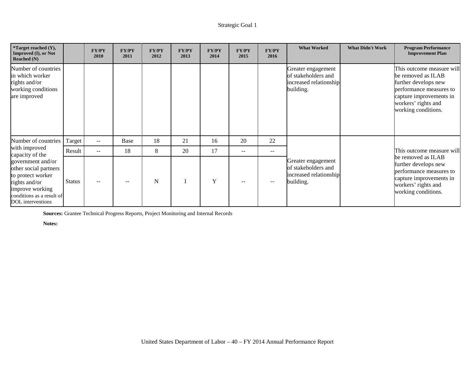| *Target reached (Y),<br>Improved (I), or Not<br>Reached $(N)$                                                                                         |               | <b>FY/PY</b><br>2010     | <b>FY/PY</b><br>2011 | <b>FY/PY</b><br>2012 | <b>FY/PY</b><br>2013 | <b>FY/PY</b><br>2014 | <b>FY/PY</b><br>2015     | FY/PY<br>2016     | <b>What Worked</b>                                                               | <b>What Didn't Work</b> | <b>Program Performance</b><br><b>Improvement Plan</b>                                                                                                                       |
|-------------------------------------------------------------------------------------------------------------------------------------------------------|---------------|--------------------------|----------------------|----------------------|----------------------|----------------------|--------------------------|-------------------|----------------------------------------------------------------------------------|-------------------------|-----------------------------------------------------------------------------------------------------------------------------------------------------------------------------|
| Number of countries<br>in which worker<br>rights and/or<br>working conditions<br>are improved                                                         |               |                          |                      |                      |                      |                      |                          |                   | Greater engagement<br>of stakeholders and<br>increased relationship<br>building. |                         | This outcome measure will<br>be removed as ILAB<br>further develops new<br>performance measures to<br>capture improvements in<br>workers' rights and<br>working conditions. |
| Number of countries                                                                                                                                   | Target        | $\sim$ $\sim$            | Base                 | 18                   | 21                   | 16                   | 20                       | 22                |                                                                                  |                         |                                                                                                                                                                             |
| with improved<br>capacity of the                                                                                                                      | Result        | $\overline{\phantom{m}}$ | 18                   | 8                    | 20                   | 17                   | $\overline{\phantom{m}}$ | $\qquad \qquad -$ |                                                                                  |                         | This outcome measure will                                                                                                                                                   |
| government and/or<br>other social partners<br>to protect worker<br>rights and/or<br>improve working<br>conditions as a result of<br>DOL interventions | <b>Status</b> | $- -$                    | $- -$                | N                    |                      | Y                    | $- -$                    | --                | Greater engagement<br>of stakeholders and<br>increased relationship<br>building. |                         | be removed as ILAB<br>further develops new<br>performance measures to<br>capture improvements in<br>workers' rights and<br>working conditions.                              |

**Sources:** Grantee Technical Progress Reports, Project Monitoring and Internal Records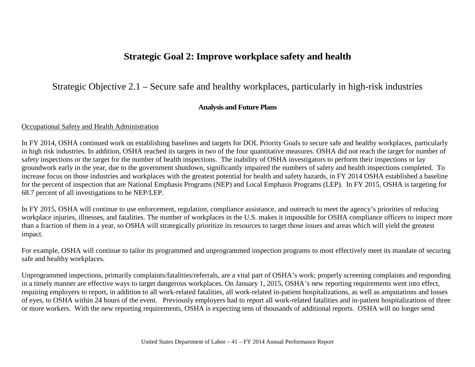# **Strategic Goal 2: Improve workplace safety and health**

# Strategic Objective 2.1 – Secure safe and healthy workplaces, particularly in high-risk industries

### **Analysis and Future Plans**

### Occupational Safety and Health Administration

In FY 2014, OSHA continued work on establishing baselines and targets for DOL Priority Goals to secure safe and healthy workplaces, particularly in high risk industries. In addition, OSHA reached its targets in two of the four quantitative measures. OSHA did not reach the target for number of safety inspections or the target for the number of health inspections. The inability of OSHA investigators to perform their inspections or lay groundwork early in the year, due to the government shutdown, significantly impaired the numbers of safety and health inspections completed. To increase focus on those industries and workplaces with the greatest potential for health and safety hazards, in FY 2014 OSHA established a baseline for the percent of inspection that are National Emphasis Programs (NEP) and Local Emphasis Programs (LEP). In FY 2015, OSHA is targeting for 68.7 percent of all investigations to be NEP/LEP.

In FY 2015, OSHA will continue to use enforcement, regulation, compliance assistance, and outreach to meet the agency's priorities of reducing workplace injuries, illnesses, and fatalities. The number of workplaces in the U.S. makes it impossible for OSHA compliance officers to inspect more than a fraction of them in a year, so OSHA will strategically prioritize its resources to target those issues and areas which will yield the greatest impact.

For example, OSHA will continue to tailor its programmed and unprogrammed inspection programs to most effectively meet its mandate of securing safe and healthy workplaces.

Unprogrammed inspections, primarily complaints/fatalities/referrals, are a vital part of OSHA's work; properly screening complaints and responding in a timely manner are effective ways to target dangerous workplaces. On January 1, 2015, OSHA's new reporting requirements went into effect, requiring employers to report, in addition to all work-related fatalities, all work-related in-patient hospitalizations, as well as amputations and losses of eyes, to OSHA within 24 hours of the event. Previously employers had to report all work-related fatalities and in-patient hospitalizations of three or more workers. With the new reporting requirements, OSHA is expecting tens of thousands of additional reports. OSHA will no longer send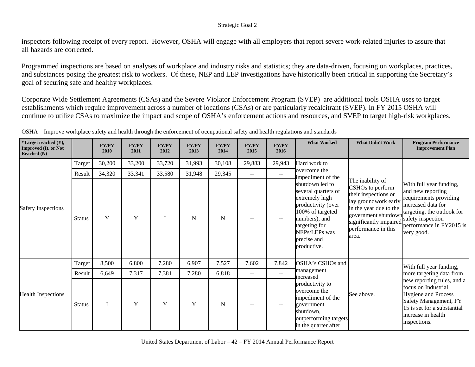inspectors following receipt of every report. However, OSHA will engage with all employers that report severe work-related injuries to assure that all hazards are corrected.

Programmed inspections are based on analyses of workplace and industry risks and statistics; they are data-driven, focusing on workplaces, practices, and substances posing the greatest risk to workers. Of these, NEP and LEP investigations have historically been critical in supporting the Secretary's goal of securing safe and healthy workplaces.

Corporate Wide Settlement Agreements (CSAs) and the Severe Violator Enforcement Program (SVEP) are additional tools OSHA uses to target establishments which require improvement across a number of locations (CSAs) or are particularly recalcitrant (SVEP). In FY 2015 OSHA will continue to utilize CSAs to maximize the impact and scope of OSHA's enforcement actions and resources, and SVEP to target high-risk workplaces.

| <i>*</i> Target reached $(Y)$ ,<br>Improved (I), or Not<br><b>Reached</b> (N) |               | <b>FY/PY</b><br>2010 | <b>FY/PY</b><br>2011 | <b>FY/PY</b><br>2012 | <b>FY/PY</b><br>2013 | <b>FY/PY</b><br>2014 | <b>FY/PY</b><br>2015 | <b>FY/PY</b><br>2016 | <b>What Worked</b>                                                                                                                                                                  | <b>What Didn't Work</b>                                                                                                                                                                         | <b>Program Performance</b><br><b>Improvement Plan</b>                                                                                                                                     |
|-------------------------------------------------------------------------------|---------------|----------------------|----------------------|----------------------|----------------------|----------------------|----------------------|----------------------|-------------------------------------------------------------------------------------------------------------------------------------------------------------------------------------|-------------------------------------------------------------------------------------------------------------------------------------------------------------------------------------------------|-------------------------------------------------------------------------------------------------------------------------------------------------------------------------------------------|
|                                                                               | Target        | 30,200               | 33,200               | 33,720               | 31,993               | 30,108               | 29,883               | 29,943               | Hard work to                                                                                                                                                                        |                                                                                                                                                                                                 |                                                                                                                                                                                           |
|                                                                               | Result        | 34,320               | 33,341               | 33,580               | 31,948               | 29,345               | $- -$                | $--$                 | overcome the<br>impediment of the                                                                                                                                                   |                                                                                                                                                                                                 |                                                                                                                                                                                           |
| <b>Safety Inspections</b>                                                     | <b>Status</b> | Y                    | Y                    | I                    | $\mathbf N$          | N                    |                      | $\qquad \qquad -$    | shutdown led to<br>several quarters of<br>extremely high<br>productivity (over<br>100% of targeted<br>numbers), and<br>targeting for<br>NEPs/LEPs was<br>precise and<br>productive. | The inability of<br>CSHOs to perform<br>their inspections or<br>lay groundwork early<br>in the year due to the<br>government shutdown<br>significantly impaired<br>performance in this<br>area. | With full year funding,<br>and new reporting<br>requirements providing<br>increased data for<br>targeting, the outlook for<br>safety inspection<br>performance in FY2015 is<br>very good. |
|                                                                               | Target        | 8,500                | 6,800                | 7,280                | 6,907                | 7,527                | 7,602                | 7,842                | OSHA's CSHOs and                                                                                                                                                                    |                                                                                                                                                                                                 | With full year funding,                                                                                                                                                                   |
|                                                                               | Result        | 6,649                | 7,317                | 7,381                | 7,280                | 6,818                | $--$                 | $\mathbf{u}$         | management<br>increased                                                                                                                                                             |                                                                                                                                                                                                 | more targeting data from                                                                                                                                                                  |
| <b>Health Inspections</b>                                                     | <b>Status</b> | $\mathbf I$          | Y                    | $\mathbf Y$          | Y                    | $\mathbf N$          |                      |                      | productivity to<br>overcome the<br>impediment of the<br>government<br>shutdown,<br>outperforming targets<br>in the quarter after                                                    | See above.                                                                                                                                                                                      | new reporting rules, and a<br>focus on Industrial<br><b>Hygiene and Process</b><br>Safety Management, FY<br>15 is set for a substantial<br>increase in health<br>inspections.             |

OSHA – Improve workplace safety and health through the enforcement of occupational safety and health regulations and standards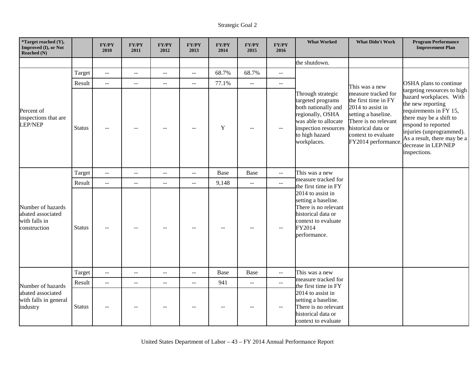| *Target reached (Y),<br>Improved (I), or Not<br>Reached (N)             |               | <b>FY/PY</b><br>2010                          | FY/PY<br>2011  | FY/PY<br>2012  | <b>FY/PY</b><br>2013     | ${\bf FY/PY}$<br>2014 | FY/PY<br>2015             | FY/PY<br>2016             | <b>What Worked</b>                                                                                                                                                 | <b>What Didn't Work</b>                                                                                                                                                             | <b>Program Performance</b><br><b>Improvement Plan</b>                                                                                                                                                                                                     |
|-------------------------------------------------------------------------|---------------|-----------------------------------------------|----------------|----------------|--------------------------|-----------------------|---------------------------|---------------------------|--------------------------------------------------------------------------------------------------------------------------------------------------------------------|-------------------------------------------------------------------------------------------------------------------------------------------------------------------------------------|-----------------------------------------------------------------------------------------------------------------------------------------------------------------------------------------------------------------------------------------------------------|
|                                                                         |               |                                               |                |                |                          |                       |                           |                           | the shutdown.                                                                                                                                                      |                                                                                                                                                                                     |                                                                                                                                                                                                                                                           |
|                                                                         | Target        | $\mathord{\hspace{1pt}\text{--}\hspace{1pt}}$ | $\sim$ $\sim$  | $- -$          | $\overline{a}$           | 68.7%                 | 68.7%                     | $-$                       |                                                                                                                                                                    |                                                                                                                                                                                     |                                                                                                                                                                                                                                                           |
|                                                                         | Result        | $\sim$ $\sim$                                 | $\mathbf{u}$   | $-$            | $\sim$ $\sim$            | 77.1%                 | $\mathbb{L}^{\mathbb{L}}$ | $\mathbb{L}^{\mathbb{L}}$ |                                                                                                                                                                    | This was a new                                                                                                                                                                      | OSHA plans to continue                                                                                                                                                                                                                                    |
| Percent of<br>inspections that are<br><b>LEP/NEP</b>                    | <b>Status</b> | $\sim$ $\sim$                                 | $\overline{a}$ |                | $-$                      | $\mathbf Y$           | $\sim$ $\sim$             | $\mathrel{{-}-}$          | Through strategic<br>targeted programs<br>both nationally and<br>regionally, OSHA<br>was able to allocate<br>inspection resources<br>to high hazard<br>workplaces. | measure tracked for<br>the first time in FY<br>2014 to assist in<br>setting a baseline.<br>There is no relevant<br>historical data or<br>context to evaluate<br>FY2014 performance. | targeting resources to high<br>hazard workplaces. With<br>the new reporting<br>requirements in FY 15,<br>there may be a shift to<br>respond to reported<br>injuries (unprogrammed).<br>As a result, there may be a<br>decrease in LEP/NEP<br>inspections. |
|                                                                         | Target        | $\mathbb{L}^{\perp}$                          | $\overline{a}$ | $\overline{a}$ | $\mathbb{L} \mathbb{L}$  | <b>Base</b>           | Base                      | $\overline{a}$            | This was a new                                                                                                                                                     |                                                                                                                                                                                     |                                                                                                                                                                                                                                                           |
|                                                                         | Result        | $\mathord{\hspace{1pt}\text{--}\hspace{1pt}}$ | $\sim$ $\sim$  | $- -$          | $\overline{\phantom{a}}$ | 9,148                 | $\mathbb{L}^{\mathbb{L}}$ | $\overline{\phantom{a}}$  | measure tracked for<br>the first time in FY                                                                                                                        |                                                                                                                                                                                     |                                                                                                                                                                                                                                                           |
| Number of hazards<br>abated associated<br>with falls in<br>construction | Status        |                                               | --             |                |                          |                       | $-$                       | $-$                       | 2014 to assist in<br>setting a baseline.<br>There is no relevant<br>historical data or<br>context to evaluate<br>FY2014<br>performance.                            |                                                                                                                                                                                     |                                                                                                                                                                                                                                                           |
|                                                                         | Target        | $\sim$ $\sim$                                 | $\overline{a}$ | --             | $\overline{a}$           | Base                  | Base                      | $-$                       | This was a new                                                                                                                                                     |                                                                                                                                                                                     |                                                                                                                                                                                                                                                           |
| Number of hazards                                                       | Result        | $\mathbb{L} \mathbb{L}$                       | $\overline{a}$ | $- -$          | $\mathbb{L} \mathbb{L}$  | 941                   | $-$                       | $\overline{a}$            | measure tracked for<br>the first time in FY                                                                                                                        |                                                                                                                                                                                     |                                                                                                                                                                                                                                                           |
| abated associated<br>with falls in general<br>industry                  | <b>Status</b> |                                               |                |                |                          |                       |                           | $-$                       | 2014 to assist in<br>setting a baseline.<br>There is no relevant<br>historical data or<br>context to evaluate                                                      |                                                                                                                                                                                     |                                                                                                                                                                                                                                                           |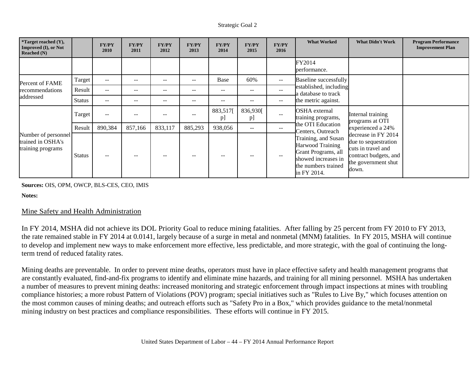| <i>*Target reached <math>(Y)</math>,</i><br><b>Improved (I), or Not</b><br>Reached $(N)$ |               | <b>FY/PY</b><br>2010 | <b>FY/PY</b><br>2011 | <b>FY/PY</b><br>2012     | <b>FY/PY</b><br>2013     | <b>FY/PY</b><br>2014 | <b>FY/PY</b><br>2015 | <b>FY/PY</b><br>2016     | <b>What Worked</b>                                                                                                                 | <b>What Didn't Work</b>                                                                                                    | <b>Program Performance</b><br><b>Improvement Plan</b> |
|------------------------------------------------------------------------------------------|---------------|----------------------|----------------------|--------------------------|--------------------------|----------------------|----------------------|--------------------------|------------------------------------------------------------------------------------------------------------------------------------|----------------------------------------------------------------------------------------------------------------------------|-------------------------------------------------------|
|                                                                                          |               |                      |                      |                          |                          |                      |                      |                          | FY2014<br>performance.                                                                                                             |                                                                                                                            |                                                       |
| Percent of FAME                                                                          | Target        | $- -$                | $- -$                | --                       |                          | Base                 | 60%                  | $--$                     | Baseline successfully                                                                                                              |                                                                                                                            |                                                       |
| recommendations                                                                          | Result        | $\qquad \qquad -$    | $- -$                | $\overline{\phantom{a}}$ | $\overline{\phantom{a}}$ | $-$                  | $- -$                | $--$                     | established, including<br>a database to track                                                                                      |                                                                                                                            |                                                       |
| addressed                                                                                | <b>Status</b> | $\sim$ $\sim$        | $- -$                | $- -$                    | $\qquad \qquad -$        | --                   | --                   | $\overline{\phantom{a}}$ | the metric against.                                                                                                                |                                                                                                                            |                                                       |
|                                                                                          | Target        | $\qquad \qquad -$    | $- -$                | $\overline{\phantom{a}}$ | $\qquad \qquad -$        | 883,517[<br>p        | 836,930[<br>p        | $--$                     | <b>OSHA</b> external<br>training programs,                                                                                         | Internal training<br>programs at OTI                                                                                       |                                                       |
|                                                                                          | Result        | 890,384              | 857,166              | 833,117                  | 885,293                  | 938,056              | $- -$                | $- -$                    | the OTI Education<br>Centers, Outreach                                                                                             | experienced a 24%                                                                                                          |                                                       |
| Number of personnel<br>trained in OSHA's<br>training programs                            | <b>Status</b> | $- -$                | $- -$                | $- -$                    |                          |                      |                      | $- -$                    | Training, and Susan<br><b>Harwood Training</b><br>Grant Programs, all<br>showed increases in<br>the numbers trained<br>in FY 2014. | decrease in FY 2014<br>due to sequestration<br>cuts in travel and<br>contract budgets, and<br>the government shut<br>down. |                                                       |

### **Sources:** OIS, OPM, OWCP, BLS-CES, CEO, IMIS

**Notes:**

### Mine Safety and Health Administration

In FY 2014, MSHA did not achieve its DOL Priority Goal to reduce mining fatalities. After falling by 25 percent from FY 2010 to FY 2013, the rate remained stable in FY 2014 at 0.0141, largely because of a surge in metal and nonmetal (MNM) fatalities. In FY 2015, MSHA will continue to develop and implement new ways to make enforcement more effective, less predictable, and more strategic, with the goal of continuing the longterm trend of reduced fatality rates.

Mining deaths are preventable. In order to prevent mine deaths, operators must have in place effective safety and health management programs that are constantly evaluated, find-and-fix programs to identify and eliminate mine hazards, and training for all mining personnel. MSHA has undertaken a number of measures to prevent mining deaths: increased monitoring and strategic enforcement through impact inspections at mines with troubling compliance histories; a more robust Pattern of Violations (POV) program; special initiatives such as "Rules to Live By," which focuses attention on the most common causes of mining deaths; and outreach efforts such as "Safety Pro in a Box," which provides guidance to the metal/nonmetal mining industry on best practices and compliance responsibilities. These efforts will continue in FY 2015.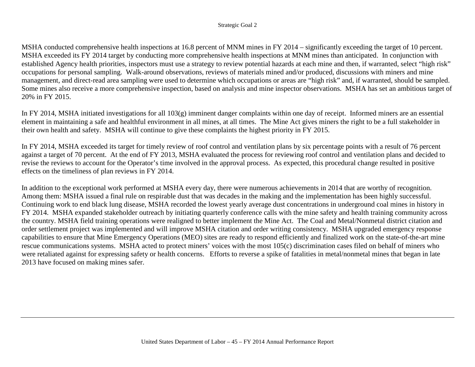MSHA conducted comprehensive health inspections at 16.8 percent of MNM mines in FY 2014 – significantly exceeding the target of 10 percent. MSHA exceeded its FY 2014 target by conducting more comprehensive health inspections at MNM mines than anticipated. In conjunction with established Agency health priorities, inspectors must use a strategy to review potential hazards at each mine and then, if warranted, select "high risk" occupations for personal sampling. Walk-around observations, reviews of materials mined and/or produced, discussions with miners and mine management, and direct-read area sampling were used to determine which occupations or areas are "high risk" and, if warranted, should be sampled. Some mines also receive a more comprehensive inspection, based on analysis and mine inspector observations. MSHA has set an ambitious target of 20% in FY 2015.

In FY 2014, MSHA initiated investigations for all 103(g) imminent danger complaints within one day of receipt. Informed miners are an essential element in maintaining a safe and healthful environment in all mines, at all times. The Mine Act gives miners the right to be a full stakeholder in their own health and safety. MSHA will continue to give these complaints the highest priority in FY 2015.

In FY 2014, MSHA exceeded its target for timely review of roof control and ventilation plans by six percentage points with a result of 76 percent against a target of 70 percent. At the end of FY 2013, MSHA evaluated the process for reviewing roof control and ventilation plans and decided to revise the reviews to account for the Operator's time involved in the approval process. As expected, this procedural change resulted in positive effects on the timeliness of plan reviews in FY 2014.

In addition to the exceptional work performed at MSHA every day, there were numerous achievements in 2014 that are worthy of recognition. Among them: MSHA issued a final rule on respirable dust that was decades in the making and the implementation has been highly successful. Continuing work to end black lung disease, MSHA recorded the lowest yearly average dust concentrations in underground coal mines in history in FY 2014. MSHA expanded stakeholder outreach by initiating quarterly conference calls with the mine safety and health training community across the country. MSHA field training operations were realigned to better implement the Mine Act. The Coal and Metal/Nonmetal district citation and order settlement project was implemented and will improve MSHA citation and order writing consistency. MSHA upgraded emergency response capabilities to ensure that Mine Emergency Operations (MEO) sites are ready to respond efficiently and finalized work on the state-of-the-art mine rescue communications systems. MSHA acted to protect miners' voices with the most 105(c) discrimination cases filed on behalf of miners who were retaliated against for expressing safety or health concerns. Efforts to reverse a spike of fatalities in metal/nonmetal mines that began in late 2013 have focused on making mines safer.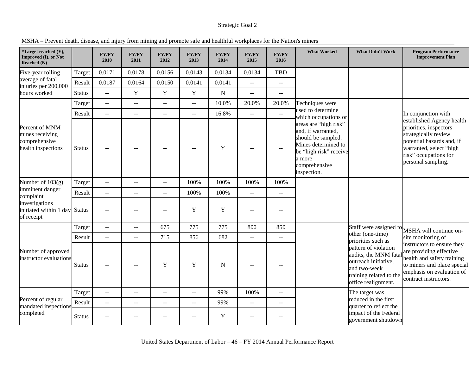|  |  | MSHA - Prevent death, disease, and injury from mining and promote safe and healthful workplaces for the Nation's miners |
|--|--|-------------------------------------------------------------------------------------------------------------------------|
|  |  |                                                                                                                         |

| *Target reached (Y),<br>Improved (I), or Not<br>Reached (N)              |               | <b>FY/PY</b><br>2010                          | FY/PY<br>2011  | FY/PY<br>2012  | <b>FY/PY</b><br>2013 | <b>FY/PY</b><br>2014 | <b>FY/PY</b><br>2015 | <b>FY/PY</b><br>2016    | <b>What Worked</b>                                                                                                                                           | <b>What Didn't Work</b>                                                                                                                | <b>Program Performance</b><br><b>Improvement Plan</b>                                                                                                                              |
|--------------------------------------------------------------------------|---------------|-----------------------------------------------|----------------|----------------|----------------------|----------------------|----------------------|-------------------------|--------------------------------------------------------------------------------------------------------------------------------------------------------------|----------------------------------------------------------------------------------------------------------------------------------------|------------------------------------------------------------------------------------------------------------------------------------------------------------------------------------|
| Five-year rolling                                                        | Target        | 0.0171                                        | 0.0178         | 0.0156         | 0.0143               | 0.0134               | 0.0134               | <b>TBD</b>              |                                                                                                                                                              |                                                                                                                                        |                                                                                                                                                                                    |
| average of fatal<br>injuries per 200,000                                 | Result        | 0.0187                                        | 0.0164         | 0.0150         | 0.0141               | 0.0141               | $\overline{a}$       | $\overline{a}$          |                                                                                                                                                              |                                                                                                                                        |                                                                                                                                                                                    |
| hours worked                                                             | <b>Status</b> | $\sim$ $\sim$                                 | $\mathbf Y$    | $\mathbf Y$    | $\mathbf Y$          | ${\bf N}$            | $\sim$ $\sim$        | $\sim$                  |                                                                                                                                                              |                                                                                                                                        |                                                                                                                                                                                    |
|                                                                          | Target        | $\overline{a}$                                | $\sim$ $\sim$  | $-$            | $-$                  | 10.0%                | 20.0%                | 20.0%                   | Techniques were                                                                                                                                              |                                                                                                                                        |                                                                                                                                                                                    |
|                                                                          | Result        | $\mathord{\hspace{1pt}\text{--}\hspace{1pt}}$ | $\overline{a}$ | $- -$          | $\overline{a}$       | 16.8%                | $\sim$ $\sim$        | $\mathbb{L} \mathbb{L}$ | used to determine<br>which occupations or                                                                                                                    |                                                                                                                                        | In conjunction with                                                                                                                                                                |
| Percent of MNM<br>mines receiving<br>comprehensive<br>health inspections | <b>Status</b> | $\sim$                                        |                |                |                      | $\mathbf Y$          |                      | $-$                     | areas are "high risk"<br>and, if warranted,<br>should be sampled.<br>Mines determined to<br>be "high risk" receive<br>a more<br>comprehensive<br>inspection. |                                                                                                                                        | established Agency health<br>priorities, inspectors<br>strategically review<br>potential hazards and, if<br>warranted, select "high<br>risk" occupations for<br>personal sampling. |
| Number of $103(g)$                                                       | Target        | $\sim$ $\sim$                                 | $\sim$ $\sim$  | $- -$          | 100%                 | 100%                 | 100%                 | 100%                    |                                                                                                                                                              |                                                                                                                                        |                                                                                                                                                                                    |
| imminent danger<br>complaint                                             | Result        | $\sim$ $\sim$                                 | $\overline{a}$ | $- -$          | 100%                 | 100%                 | $\sim$ $\sim$        | $\overline{a}$          |                                                                                                                                                              |                                                                                                                                        |                                                                                                                                                                                    |
| investigations<br>initiated within 1 day<br>of receipt                   | <b>Status</b> | $\sim$ $\sim$                                 | $-1$           | $-1$           | Y                    | $\mathbf Y$          | $\sim$               | $-$                     |                                                                                                                                                              |                                                                                                                                        |                                                                                                                                                                                    |
|                                                                          | Target        | $\mathord{\hspace{1pt}\text{--}\hspace{1pt}}$ | $\overline{a}$ | 675            | 775                  | 775                  | 800                  | 850                     |                                                                                                                                                              | Staff were assigned to                                                                                                                 | MSHA will continue on-                                                                                                                                                             |
|                                                                          | Result        | $\sim$ $\sim$                                 | $\overline{a}$ | 715            | 856                  | 682                  | $\sim$               | $\overline{a}$          |                                                                                                                                                              | other (one-time)<br>priorities such as                                                                                                 | site monitoring of                                                                                                                                                                 |
| Number of approved<br>instructor evaluations                             | <b>Status</b> |                                               | $\sim$ $\sim$  | Y              | Y                    | N                    |                      | $-$                     |                                                                                                                                                              | pattern of violation<br>audits, the MNM fata<br>outreach initiative,<br>and two-week<br>training related to the<br>office realignment. | instructors to ensure they<br>are providing effective<br>health and safety training<br>to miners and place special<br>emphasis on evaluation of<br>contract instructors.           |
|                                                                          | Target        | $\sim$ $\sim$                                 | $-$            | $-$            | $-$                  | 99%                  | 100%                 | $-$                     |                                                                                                                                                              | The target was                                                                                                                         |                                                                                                                                                                                    |
| Percent of regular                                                       | Result        | $\sim$ $\sim$                                 | $\overline{a}$ | $\overline{a}$ | $- -$                | 99%                  | $\sim$ $\sim$        | $\overline{a}$          |                                                                                                                                                              | reduced in the first                                                                                                                   |                                                                                                                                                                                    |
| mandated inspections<br>completed                                        | <b>Status</b> | $\sim$ $-$                                    | --             |                | $-$                  | Y                    | $\sim$ $\sim$        | $-$                     |                                                                                                                                                              | quarter to reflect the<br>impact of the Federal<br>government shutdown                                                                 |                                                                                                                                                                                    |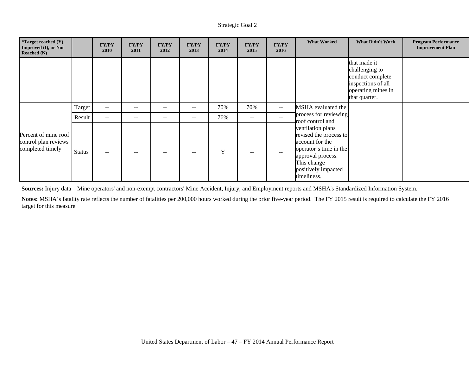| *Target reached (Y),<br>Improved (I), or Not<br><b>Reached (N)</b> |        | <b>FY/PY</b><br>2010 | <b>FY/PY</b><br>2011 | <b>FY/PY</b><br>2012 | <b>FY/PY</b><br>2013     | <b>FY/PY</b><br>2014 | <b>FY/PY</b><br>2015 | <b>FY/PY</b><br>2016 | <b>What Worked</b>                                                                                                                                                 | <b>What Didn't Work</b>                                                                                         | <b>Program Performance</b><br><b>Improvement Plan</b> |
|--------------------------------------------------------------------|--------|----------------------|----------------------|----------------------|--------------------------|----------------------|----------------------|----------------------|--------------------------------------------------------------------------------------------------------------------------------------------------------------------|-----------------------------------------------------------------------------------------------------------------|-------------------------------------------------------|
|                                                                    |        |                      |                      |                      |                          |                      |                      |                      |                                                                                                                                                                    | that made it<br>challenging to<br>conduct complete<br>inspections of all<br>operating mines in<br>that quarter. |                                                       |
|                                                                    | Target | $--$                 | $-$                  | --                   | $\overline{\phantom{m}}$ | 70%                  | 70%                  | $- -$                | MSHA evaluated the                                                                                                                                                 |                                                                                                                 |                                                       |
|                                                                    | Result | $ -$                 | $- -$                | $- -$                | $\qquad \qquad -$        | 76%                  | $- -$                | $- -$                | process for reviewing<br>roof control and                                                                                                                          |                                                                                                                 |                                                       |
| Percent of mine roof<br>control plan reviews<br>completed timely   | Status | $-$                  | $- -$                |                      |                          | Y                    | --                   | $- -$                | ventilation plans<br>revised the process to<br>account for the<br>operator's time in the<br>approval process.<br>This change<br>positively impacted<br>timeliness. |                                                                                                                 |                                                       |

**Sources:** Injury data – Mine operators' and non-exempt contractors' Mine Accident, Injury, and Employment reports and MSHA's Standardized Information System.

**Notes:** MSHA's fatality rate reflects the number of fatalities per 200,000 hours worked during the prior five-year period. The FY 2015 result is required to calculate the FY 2016 target for this measure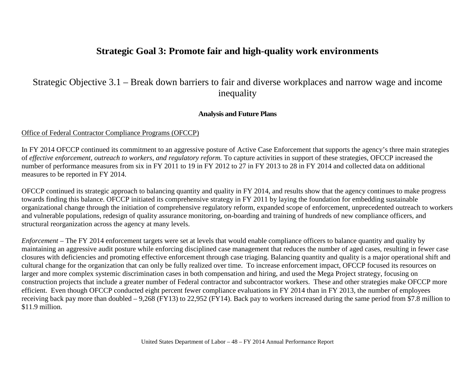# **Strategic Goal 3: Promote fair and high-quality work environments**

# Strategic Objective 3.1 – Break down barriers to fair and diverse workplaces and narrow wage and income inequality

# **Analysis and Future Plans**

#### Office of Federal Contractor Compliance Programs (OFCCP)

In FY 2014 OFCCP continued its commitment to an aggressive posture of Active Case Enforcement that supports the agency's three main strategies of *effective enforcement, outreach to workers, and regulatory reform.* To capture activities in support of these strategies, OFCCP increased the number of performance measures from six in FY 2011 to 19 in FY 2012 to 27 in FY 2013 to 28 in FY 2014 and collected data on additional measures to be reported in FY 2014.

OFCCP continued its strategic approach to balancing quantity and quality in FY 2014, and results show that the agency continues to make progress towards finding this balance. OFCCP initiated its comprehensive strategy in FY 2011 by laying the foundation for embedding sustainable organizational change through the initiation of comprehensive regulatory reform, expanded scope of enforcement, unprecedented outreach to workers and vulnerable populations, redesign of quality assurance monitoring, on-boarding and training of hundreds of new compliance officers, and structural reorganization across the agency at many levels.

*Enforcement* – The FY 2014 enforcement targets were set at levels that would enable compliance officers to balance quantity and quality by maintaining an aggressive audit posture while enforcing disciplined case management that reduces the number of aged cases, resulting in fewer case closures with deficiencies and promoting effective enforcement through case triaging. Balancing quantity and quality is a major operational shift and cultural change for the organization that can only be fully realized over time. To increase enforcement impact, OFCCP focused its resources on larger and more complex systemic discrimination cases in both compensation and hiring, and used the Mega Project strategy, focusing on construction projects that include a greater number of Federal contractor and subcontractor workers. These and other strategies make OFCCP more efficient. Even though OFCCP conducted eight percent fewer compliance evaluations in FY 2014 than in FY 2013, the number of employees receiving back pay more than doubled – 9,268 (FY13) to 22,952 (FY14). Back pay to workers increased during the same period from \$7.8 million to \$11.9 million.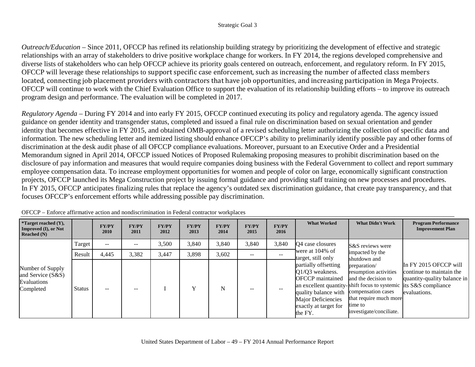*Outreach/Education* – Since 2011, OFCCP has refined its relationship building strategy by prioritizing the development of effective and strategic relationships with an array of stakeholders to drive positive workplace change for workers. In FY 2014, the regions developed comprehensive and diverse lists of stakeholders who can help OFCCP achieve its priority goals centered on outreach, enforcement, and regulatory reform. In FY 2015, OFCCP will leverage these relationships to support specific case enforcement, such as increasing the number of affected class members located, connecting job placement providers with contractors that have job opportunities, and increasing participation in Mega Projects. OFCCP will continue to work with the Chief Evaluation Office to support the evaluation of its relationship building efforts – to improve its outreach program design and performance. The evaluation will be completed in 2017.

*Regulatory Agenda* – During FY 2014 and into early FY 2015, OFCCP continued executing its policy and regulatory agenda. The agency issued guidance on gender identity and transgender status, completed and issued a final rule on discrimination based on sexual orientation and gender identity that becomes effective in FY 2015, and obtained OMB-approval of a revised scheduling letter authorizing the collection of specific data and information. The new scheduling letter and itemized listing should enhance OFCCP's ability to preliminarily identify possible pay and other forms of discrimination at the desk audit phase of all OFCCP compliance evaluations. Moreover, pursuant to an Executive Order and a Presidential Memorandum signed in April 2014, OFCCP issued Notices of Proposed Rulemaking proposing measures to prohibit discrimination based on the disclosure of pay information and measures that would require companies doing business with the Federal Government to collect and report summary employee compensation data. To increase employment opportunities for women and people of color on large, economically significant construction projects, OFCCP launched its Mega Construction project by issuing formal guidance and providing staff training on new processes and procedures. In FY 2015, OFCCP anticipates finalizing rules that replace the agency's outdated sex discrimination guidance, that create pay transparency, and that focuses OFCCP's enforcement efforts while addressing possible pay discrimination.

| <i>*Target reached <math>(Y)</math>,</i><br>Improved (I), or Not<br>Reached $(N)$ |               | <b>FY/PY</b><br>2010 | <b>FY/PY</b><br>2011 | <b>FY/PY</b><br>2012 | <b>FY/PY</b><br>2013 | <b>FY/PY</b><br>2014 | <b>FY/PY</b><br>2015     | <b>FY/PY</b><br>2016 | <b>What Worked</b>                                                                                                                                     | <b>What Didn't Work</b>                                                                                                                                                                                                | <b>Program Performance</b><br><b>Improvement Plan</b>                                            |
|-----------------------------------------------------------------------------------|---------------|----------------------|----------------------|----------------------|----------------------|----------------------|--------------------------|----------------------|--------------------------------------------------------------------------------------------------------------------------------------------------------|------------------------------------------------------------------------------------------------------------------------------------------------------------------------------------------------------------------------|--------------------------------------------------------------------------------------------------|
|                                                                                   | Target        | $- -$                | $- -$                | 3,500                | 3,840                | 3,840                | 3,840                    | 3,840                | <b>O</b> 4 case closures                                                                                                                               | S&S reviews were                                                                                                                                                                                                       |                                                                                                  |
|                                                                                   | Result        | 4,445                | 3,382                | 3,447                | 3,898                | 3,602                | $\overline{\phantom{m}}$ | $-$                  | were at 104% of<br>target, still only                                                                                                                  | impacted by the<br>shutdown and                                                                                                                                                                                        |                                                                                                  |
| Number of Supply<br>and Service (S&S)<br>Evaluations<br>Completed                 | <b>Status</b> | $- -$                | $- -$                |                      |                      | N                    |                          | --                   | partially offsetting<br>$Q1/Q3$ weakness.<br><b>OFCCP</b> maintained<br>quality balance with<br>Major Deficiencies<br>exactly at target for<br>the FY. | preparation/<br>resumption activities<br>and the decision to<br>an excellent quantity-shift focus to systemic its S&S compliance<br>compensation cases<br>that require much more<br>time to<br>investigate/conciliate. | In FY 2015 OFCCP will<br>continue to maintain the<br>quantity-quality balance in<br>evaluations. |

OFCCP – Enforce affirmative action and nondiscrimination in Federal contractor workplaces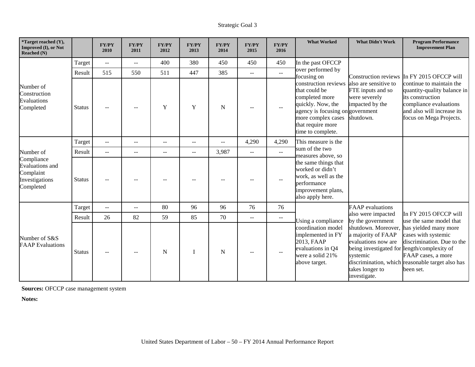| *Target reached (Y),<br>Improved (I), or Not<br>Reached (N)                            |               | <b>FY/PY</b><br>2010 | FY/PY<br>2011            | <b>FY/PY</b><br>2012 | <b>FY/PY</b><br>2013     | <b>FY/PY</b><br>2014 | <b>FY/PY</b><br>2015     | <b>FY/PY</b><br>2016      | <b>What Worked</b>                                                                                                                                                               | <b>What Didn't Work</b>                                                                                                                                        | <b>Program Performance</b><br><b>Improvement Plan</b>                                                                                                             |
|----------------------------------------------------------------------------------------|---------------|----------------------|--------------------------|----------------------|--------------------------|----------------------|--------------------------|---------------------------|----------------------------------------------------------------------------------------------------------------------------------------------------------------------------------|----------------------------------------------------------------------------------------------------------------------------------------------------------------|-------------------------------------------------------------------------------------------------------------------------------------------------------------------|
|                                                                                        | Target        | $\sim$               | $\mathbf{u}$             | 400                  | 380                      | 450                  | 450                      | 450                       | In the past OFCCP                                                                                                                                                                |                                                                                                                                                                |                                                                                                                                                                   |
|                                                                                        | Result        | 515                  | 550                      | 511                  | 447                      | 385                  | $\sim$ $\sim$            | $\mathbb{L}^{\mathbb{L}}$ | over performed by<br>focusing on                                                                                                                                                 |                                                                                                                                                                | Construction reviews In FY 2015 OFCCP will                                                                                                                        |
| Number of<br>Construction<br>Evaluations<br>Completed                                  | Status        |                      | --                       | Y                    | Y                        | $\mathbf N$          |                          | $\overline{\phantom{a}}$  | construction reviews<br>that could be<br>completed more<br>quickly. Now, the<br>agency is focusing on government<br>more complex cases<br>that require more<br>time to complete. | also are sensitive to<br>FTE inputs and so<br>were severely<br>impacted by the<br>shutdown.                                                                    | continue to maintain the<br>quantity-quality balance in<br>its construction<br>compliance evaluations<br>and also will increase its<br>focus on Mega Projects.    |
|                                                                                        | Target        | $\mathbf{u}$         | $-$                      | $ -$                 |                          | $-$                  | 4,290                    | 4,290                     | This measure is the                                                                                                                                                              |                                                                                                                                                                |                                                                                                                                                                   |
| Number of<br>Compliance<br>Evaluations and<br>Complaint<br>Investigations<br>Completed | Result        | $\sim$ $\sim$        | $\overline{\phantom{a}}$ | $- -$                | $\overline{\phantom{a}}$ | 3,987                | $\overline{\phantom{a}}$ | $\mathbb{L}^{\mathbb{L}}$ | sum of the two<br>measures above, so                                                                                                                                             |                                                                                                                                                                |                                                                                                                                                                   |
|                                                                                        | Status        |                      |                          |                      |                          |                      |                          | --                        | the same things that<br>worked or didn't<br>work, as well as the<br>performance<br>improvement plans,<br>also apply here.                                                        |                                                                                                                                                                |                                                                                                                                                                   |
|                                                                                        | Target        | $\mathbf{L}$         | $\overline{\phantom{m}}$ | 80                   | 96                       | 96                   | 76                       | 76                        |                                                                                                                                                                                  | <b>FAAP</b> evaluations                                                                                                                                        |                                                                                                                                                                   |
|                                                                                        | Result        | 26                   | 82                       | 59                   | 85                       | 70                   | $\overline{\phantom{a}}$ | $\mathrel{{-}-}$          | Using a compliance                                                                                                                                                               | also were impacted<br>by the government                                                                                                                        | In FY 2015 OFCCP will<br>use the same model that                                                                                                                  |
| Number of S&S<br><b>FAAP</b> Evaluations                                               | <b>Status</b> |                      | --                       | N                    |                          | $\mathbf N$          |                          |                           | coordination model<br>implemented in FY<br>2013, FAAP<br>evaluations in Q4<br>were a solid 21%<br>above target.                                                                  | shutdown. Moreover.<br>a majority of FAAP<br>evaluations now are<br>being investigated for length/complexity of<br>systemic<br>takes longer to<br>investigate. | has yielded many more<br>cases with systemic<br>discrimination. Due to the<br>FAAP cases, a more<br>discrimination, which reasonable target also has<br>been set. |

**Sources:** OFCCP case management system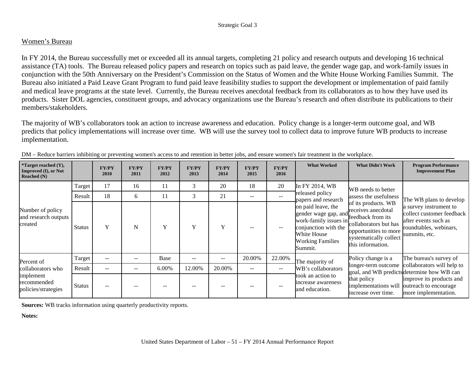## Women's Bureau

In FY 2014, the Bureau successfully met or exceeded all its annual targets, completing 21 policy and research outputs and developing 16 technical assistance (TA) tools. The Bureau released policy papers and research on topics such as paid leave, the gender wage gap, and work-family issues in conjunction with the 50th Anniversary on the President's Commission on the Status of Women and the White House Working Families Summit. The Bureau also initiated a Paid Leave Grant Program to fund paid leave feasibility studies to support the development or implementation of paid family and medical leave programs at the state level. Currently, the Bureau receives anecdotal feedback from its collaborators as to how they have used its products. Sister DOL agencies, constituent groups, and advocacy organizations use the Bureau's research and often distribute its publications to their members/stakeholders.

The majority of WB's collaborators took an action to increase awareness and education. Policy change is a longer-term outcome goal, and WB predicts that policy implementations will increase over time. WB will use the survey tool to collect data to improve future WB products to increase implementation.

| *Target reached (Y),<br>Improved (I), or Not<br>Reached $(N)$                      |               | <b>FY/PY</b><br>2010     | <b>FY/PY</b><br>2011     | <b>FY/PY</b><br>2012 | <b>FY/PY</b><br>2013 | <b>FY/PY</b><br>2014     | <b>FY/PY</b><br>2015 | <b>FY/PY</b><br>2016 | <b>What Worked</b>                                                                                                                                                  | <b>What Didn't Work</b>                                                                                                                    | <b>Program Performance</b><br><b>Improvement Plan</b>                                                                  |
|------------------------------------------------------------------------------------|---------------|--------------------------|--------------------------|----------------------|----------------------|--------------------------|----------------------|----------------------|---------------------------------------------------------------------------------------------------------------------------------------------------------------------|--------------------------------------------------------------------------------------------------------------------------------------------|------------------------------------------------------------------------------------------------------------------------|
|                                                                                    | Target        | 17                       | 16                       | 11                   | 3                    | 20                       | 18                   | 20                   | In FY 2014, WB                                                                                                                                                      | WB needs to better                                                                                                                         |                                                                                                                        |
|                                                                                    | Result        | 18                       | 6                        | 11                   | 3                    | 21                       | $\qquad \qquad -$    |                      | released policy<br>papers and research                                                                                                                              | assess the usefulness                                                                                                                      | The WB plans to develop                                                                                                |
| Number of policy<br>and research outputs<br>created                                | <b>Status</b> | Y                        | N                        | Y                    | Y                    | Y                        |                      |                      | on paid leave, the<br>gender wage gap, and freedback from its<br>work-family issues in<br>conjunction with the<br>White House<br><b>Working Families</b><br>Summit. | of its products. WB<br>receives anecdotal<br>collaborators but has<br>opportunities to more<br>systematically collect<br>this information. | a survey instrument to<br>collect customer feedback<br>after events such as<br>roundtables, webinars,<br>summits, etc. |
|                                                                                    | Target        | $\overline{\phantom{a}}$ | $- -$                    | Base                 | $- -$                | $\overline{\phantom{m}}$ | 20.00%               | 22.00%               | The majority of                                                                                                                                                     | Policy change is a                                                                                                                         | The bureau's survey of                                                                                                 |
| Percent of<br>collaborators who<br>implement<br>recommended<br>policies/strategies | Result        | $\qquad \qquad -$        | $\overline{\phantom{a}}$ | 6.00%                | 12.00%               | 20.00%                   | $- -$                | $\qquad \qquad -$    | WB's collaborators                                                                                                                                                  | longer-term outcome                                                                                                                        | collaborators will help to<br>goal, and WB predicts determine how WB can                                               |
|                                                                                    | <b>Status</b> | --                       | --                       |                      |                      |                          |                      |                      | took an action to<br>increase awareness<br>and education.                                                                                                           | that policy<br>implementations will<br>increase over time.                                                                                 | improve its products and<br>outreach to encourage<br>more implementation.                                              |

|  |  | DM – Reduce barriers inhibiting or preventing women's access to and retention in better jobs, and ensure women's fair treatment in the workplace. |  |
|--|--|---------------------------------------------------------------------------------------------------------------------------------------------------|--|
|  |  |                                                                                                                                                   |  |

**Sources:** WB tracks information using quarterly productivity reports.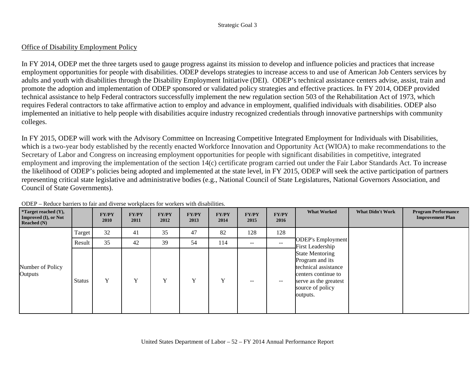# Office of Disability Employment Policy

In FY 2014, ODEP met the three targets used to gauge progress against its mission to develop and influence policies and practices that increase employment opportunities for people with disabilities. ODEP develops strategies to increase access to and use of American Job Centers services by adults and youth with disabilities through the Disability Employment Initiative (DEI). ODEP's technical assistance centers advise, assist, train and promote the adoption and implementation of ODEP sponsored or validated policy strategies and effective practices. In FY 2014, ODEP provided technical assistance to help Federal contractors successfully implement the new regulation section 503 of the Rehabilitation Act of 1973, which requires Federal contractors to take affirmative action to employ and advance in employment, qualified individuals with disabilities. ODEP also implemented an initiative to help people with disabilities acquire industry recognized credentials through innovative partnerships with community colleges.

In FY 2015, ODEP will work with the Advisory Committee on Increasing Competitive Integrated Employment for Individuals with Disabilities, which is a two-year body established by the recently enacted Workforce Innovation and Opportunity Act (WIOA) to make recommendations to the Secretary of Labor and Congress on increasing employment opportunities for people with significant disabilities in competitive, integrated employment and improving the implementation of the section 14(c) certificate program carried out under the Fair Labor Standards Act. To increase the likelihood of ODEP's policies being adopted and implemented at the state level, in FY 2015, ODEP will seek the active participation of partners representing critical state legislative and administrative bodies (e.g., National Council of State Legislatures, National Governors Association, and Council of State Governments).

| <i>*</i> Target reached $(Y)$ ,<br>Improved (I), or Not<br>Reached $(N)$ |               | <b>FY/PY</b><br>2010 | <b>FY/PY</b><br>2011 | <b>FY/PY</b><br>2012 | <b>FY/PY</b><br>2013 | <b>FY/PY</b><br>2014 | <b>FY/PY</b><br>2015     | <b>FY/PY</b><br>2016 | <b>What Worked</b>                                                                                                                                | <b>What Didn't Work</b> | <b>Program Performance</b><br><b>Improvement Plan</b> |
|--------------------------------------------------------------------------|---------------|----------------------|----------------------|----------------------|----------------------|----------------------|--------------------------|----------------------|---------------------------------------------------------------------------------------------------------------------------------------------------|-------------------------|-------------------------------------------------------|
|                                                                          | Target        | 32                   | 41                   | 35                   | 47                   | 82                   | 128                      | 128                  |                                                                                                                                                   |                         |                                                       |
|                                                                          | Result        | 35                   | 42                   | 39                   | 54                   | 114                  | $\overline{\phantom{a}}$ | $\qquad \qquad -$    | <b>ODEP's Employment</b><br>First Leadership                                                                                                      |                         |                                                       |
| Number of Policy<br>Outputs                                              | <b>Status</b> | Y                    | $\mathbf{v}$         | Y                    | Y                    | Y                    | $\qquad \qquad -$        | $\qquad \qquad -$    | <b>State Mentoring</b><br>Program and its<br>technical assistance<br>centers continue to<br>serve as the greatest<br>source of policy<br>outputs. |                         |                                                       |

ODEP – Reduce barriers to fair and diverse workplaces for workers with disabilities.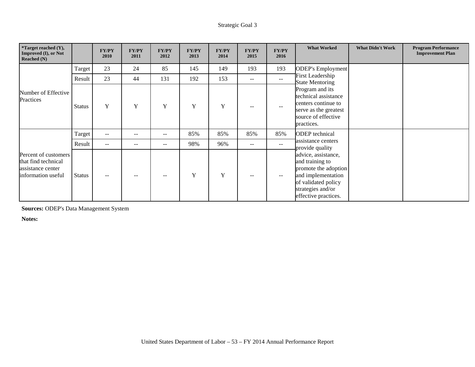| *Target reached (Y),<br>Improved (I), or Not<br>Reached $(N)$                          |               | <b>FY/PY</b><br>2010 | <b>FY/PY</b><br>2011 | <b>FY/PY</b><br>2012 | <b>FY/PY</b><br>2013 | <b>FY/PY</b><br>2014 | <b>FY/PY</b><br>2015     | <b>FY/PY</b><br>2016 | <b>What Worked</b>                                                                                                                                       | <b>What Didn't Work</b> | <b>Program Performance</b><br><b>Improvement Plan</b> |
|----------------------------------------------------------------------------------------|---------------|----------------------|----------------------|----------------------|----------------------|----------------------|--------------------------|----------------------|----------------------------------------------------------------------------------------------------------------------------------------------------------|-------------------------|-------------------------------------------------------|
|                                                                                        | Target        | 23                   | 24                   | 85                   | 145                  | 149                  | 193                      | 193                  | <b>ODEP's Employment</b>                                                                                                                                 |                         |                                                       |
|                                                                                        | Result        | 23                   | 44                   | 131                  | 192                  | 153                  | $- -$                    | $-$                  | <b>First Leadership</b><br><b>State Mentoring</b>                                                                                                        |                         |                                                       |
| Number of Effective<br>Practices                                                       | <b>Status</b> | Y                    | Y                    | Y                    | Y                    | Y                    | --                       | $-$                  | Program and its<br>technical assistance<br>centers continue to<br>serve as the greatest<br>source of effective<br>practices.                             |                         |                                                       |
|                                                                                        | Target        | $\sim$ $\sim$        | $-$                  | $- -$                | 85%                  | 85%                  | 85%                      | 85%                  | <b>ODEP</b> technical                                                                                                                                    |                         |                                                       |
|                                                                                        | Result        | $\sim$ $\sim$        | $-$                  | --                   | 98%                  | 96%                  | $\qquad \qquad -$        | $\qquad \qquad -$    | assistance centers<br>provide quality                                                                                                                    |                         |                                                       |
| Percent of customers<br>that find technical<br>assistance center<br>information useful | <b>Status</b> | $- -$                | $-$                  | --                   | Y                    | Y                    | $\overline{\phantom{m}}$ | $--$                 | advice, assistance,<br>and training to<br>promote the adoption<br>and implementation<br>of validated policy<br>strategies and/or<br>effective practices. |                         |                                                       |

**Sources:** ODEP's Data Management System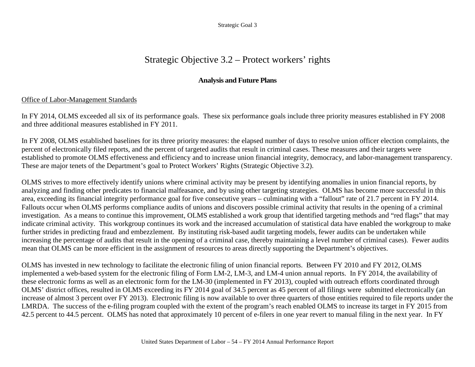# Strategic Objective 3.2 – Protect workers' rights

# **Analysis and Future Plans**

# Office of Labor-Management Standards

In FY 2014, OLMS exceeded all six of its performance goals. These six performance goals include three priority measures established in FY 2008 and three additional measures established in FY 2011.

In FY 2008, OLMS established baselines for its three priority measures: the elapsed number of days to resolve union officer election complaints, the percent of electronically filed reports, and the percent of targeted audits that result in criminal cases. These measures and their targets were established to promote OLMS effectiveness and efficiency and to increase union financial integrity, democracy, and labor-management transparency. These are major tenets of the Department's goal to Protect Workers' Rights (Strategic Objective 3.2).

OLMS strives to more effectively identify unions where criminal activity may be present by identifying anomalies in union financial reports, by analyzing and finding other predicates to financial malfeasance, and by using other targeting strategies. OLMS has become more successful in this area, exceeding its financial integrity performance goal for five consecutive years – culminating with a "fallout" rate of 21.7 percent in FY 2014. Fallouts occur when OLMS performs compliance audits of unions and discovers possible criminal activity that results in the opening of a criminal investigation. As a means to continue this improvement, OLMS established a work group that identified targeting methods and "red flags" that may indicate criminal activity. This workgroup continues its work and the increased accumulation of statistical data have enabled the workgroup to make further strides in predicting fraud and embezzlement. By instituting risk-based audit targeting models, fewer audits can be undertaken while increasing the percentage of audits that result in the opening of a criminal case, thereby maintaining a level number of criminal cases). Fewer audits mean that OLMS can be more efficient in the assignment of resources to areas directly supporting the Department's objectives.

OLMS has invested in new technology to facilitate the electronic filing of union financial reports. Between FY 2010 and FY 2012, OLMS implemented a web-based system for the electronic filing of Form LM-2, LM-3, and LM-4 union annual reports. In FY 2014, the availability of these electronic forms as well as an electronic form for the LM-30 (implemented in FY 2013), coupled with outreach efforts coordinated through OLMS' district offices, resulted in OLMS exceeding its FY 2014 goal of 34.5 percent as 45 percent of all filings were submitted electronically (an increase of almost 3 percent over FY 2013). Electronic filing is now available to over three quarters of those entities required to file reports under the LMRDA. The success of the e-filing program coupled with the extent of the program's reach enabled OLMS to increase its target in FY 2015 from 42.5 percent to 44.5 percent. OLMS has noted that approximately 10 percent of e-filers in one year revert to manual filing in the next year. In FY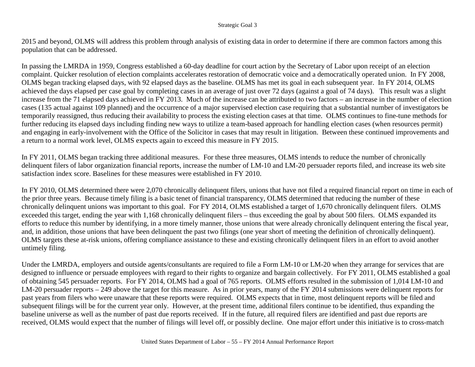2015 and beyond, OLMS will address this problem through analysis of existing data in order to determine if there are common factors among this population that can be addressed.

In passing the LMRDA in 1959, Congress established a 60-day deadline for court action by the Secretary of Labor upon receipt of an election complaint. Quicker resolution of election complaints accelerates restoration of democratic voice and a democratically operated union. In FY 2008, OLMS began tracking elapsed days, with 92 elapsed days as the baseline. OLMS has met its goal in each subsequent year. In FY 2014, OLMS achieved the days elapsed per case goal by completing cases in an average of just over 72 days (against a goal of 74 days). This result was a slight increase from the 71 elapsed days achieved in FY 2013. Much of the increase can be attributed to two factors – an increase in the number of election cases (135 actual against 109 planned) and the occurrence of a major supervised election case requiring that a substantial number of investigators be temporarily reassigned, thus reducing their availability to process the existing election cases at that time. OLMS continues to fine-tune methods for further reducing its elapsed days including finding new ways to utilize a team-based approach for handling election cases (when resources permit) and engaging in early-involvement with the Office of the Solicitor in cases that may result in litigation. Between these continued improvements and a return to a normal work level, OLMS expects again to exceed this measure in FY 2015.

In FY 2011, OLMS began tracking three additional measures. For these three measures, OLMS intends to reduce the number of chronically delinquent filers of labor organization financial reports, increase the number of LM-10 and LM-20 persuader reports filed, and increase its web site satisfaction index score. Baselines for these measures were established in FY 2010.

In FY 2010, OLMS determined there were 2,070 chronically delinquent filers, unions that have not filed a required financial report on time in each of the prior three years. Because timely filing is a basic tenet of financial transparency, OLMS determined that reducing the number of these chronically delinquent unions was important to this goal. For FY 2014, OLMS established a target of 1,670 chronically delinquent filers. OLMS exceeded this target, ending the year with 1,168 chronically delinquent filers – thus exceeding the goal by about 500 filers. OLMS expanded its efforts to reduce this number by identifying, in a more timely manner, those unions that were already chronically delinquent entering the fiscal year, and, in addition, those unions that have been delinquent the past two filings (one year short of meeting the definition of chronically delinquent). OLMS targets these at-risk unions, offering compliance assistance to these and existing chronically delinquent filers in an effort to avoid another untimely filing.

Under the LMRDA, employers and outside agents/consultants are required to file a Form LM-10 or LM-20 when they arrange for services that are designed to influence or persuade employees with regard to their rights to organize and bargain collectively. For FY 2011, OLMS established a goal of obtaining 545 persuader reports. For FY 2014, OLMS had a goal of 765 reports. OLMS efforts resulted in the submission of 1,014 LM-10 and LM-20 persuader reports – 249 above the target for this measure. As in prior years, many of the FY 2014 submissions were delinquent reports for past years from filers who were unaware that these reports were required. OLMS expects that in time, most delinquent reports will be filed and subsequent filings will be for the current year only. However, at the present time, additional filers continue to be identified, thus expanding the baseline universe as well as the number of past due reports received. If in the future, all required filers are identified and past due reports are received, OLMS would expect that the number of filings will level off, or possibly decline. One major effort under this initiative is to cross-match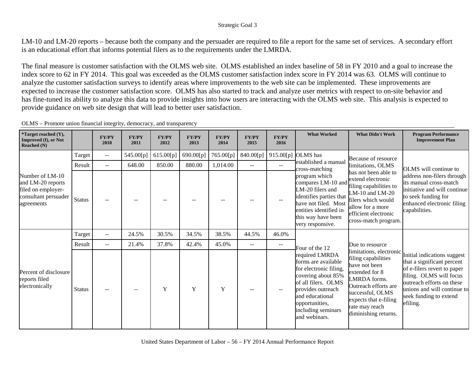LM-10 and LM-20 reports – because both the company and the persuader are required to file a report for the same set of services. A secondary effort is an educational effort that informs potential filers as to the requirements under the LMRDA.

The final measure is customer satisfaction with the OLMS web site. OLMS established an index baseline of 58 in FY 2010 and a goal to increase the index score to 62 in FY 2014. This goal was exceeded as the OLMS customer satisfaction index score in FY 2014 was 63. OLMS will continue to analyze the customer satisfaction surveys to identify areas where improvements to the web site can be implemented. These improvements are expected to increase the customer satisfaction score. OLMS has also started to track and analyze user metrics with respect to on-site behavior and has fine-tuned its ability to analyze this data to provide insights into how users are interacting with the OLMS web site. This analysis is expected to provide guidance on web site design that will lead to better user satisfaction.

| *Target reached (Y),<br>Improved (I), or Not<br><b>Reached</b> (N)                               |               | <b>FY/PY</b><br>2010     | <b>FY/PY</b><br>2011 | <b>FY/PY</b><br>2012 | <b>FY/PY</b><br>2013 | <b>FY/PY</b><br>2014 | <b>FY/PY</b><br>2015 | <b>FY/PY</b><br>2016      | <b>What Worked</b>                                                                                                                                                                                            | <b>What Didn't Work</b>                                                                                                                                                                                          | <b>Program Performance</b><br><b>Improvement Plan</b>                                                                                                                                                                 |
|--------------------------------------------------------------------------------------------------|---------------|--------------------------|----------------------|----------------------|----------------------|----------------------|----------------------|---------------------------|---------------------------------------------------------------------------------------------------------------------------------------------------------------------------------------------------------------|------------------------------------------------------------------------------------------------------------------------------------------------------------------------------------------------------------------|-----------------------------------------------------------------------------------------------------------------------------------------------------------------------------------------------------------------------|
|                                                                                                  | Target        | $\overline{\phantom{a}}$ | 545.00[p]            | 615.00[p]            | 690.00[p]            | 765.00[p]            | 840.00[p]            |                           | 915.00[p] OLMS has                                                                                                                                                                                            | Because of resource                                                                                                                                                                                              |                                                                                                                                                                                                                       |
|                                                                                                  | Result        | $\mathbf{u}$             | 648.00               | 850.00               | 880.00               | 1,014.00             | $\overline{a}$       | $\mathbf{u} = \mathbf{v}$ | established a manual<br>cross-matching                                                                                                                                                                        | limitations, OLMS                                                                                                                                                                                                | OLMS will continue to                                                                                                                                                                                                 |
| Number of LM-10<br>and LM-20 reports<br>filed on employer-<br>consultant persuader<br>agreements | <b>Status</b> |                          |                      |                      |                      |                      |                      | $--$                      | program which<br>compares LM-10 and<br>LM-20 filers and<br>identifies parties that<br>have not filed. Most<br>entities identified in<br>this way have been<br>very responsive.                                | has not been able to<br>extend electronic<br>filing capabilities to<br>LM-10 and LM-20<br>filers which would<br>allow for a more<br>efficient electronic<br>cross-match program.                                 | address non-filers through<br>its manual cross-match<br>initiative and will continue<br>to seek funding for<br>enhanced electronic filing<br>capabilities.                                                            |
|                                                                                                  | Target        | $\overline{\phantom{a}}$ | 24.5%                | 30.5%                | 34.5%                | 38.5%                | 44.5%                | 46.0%                     |                                                                                                                                                                                                               |                                                                                                                                                                                                                  |                                                                                                                                                                                                                       |
|                                                                                                  | Result        | $\sim$ $\sim$            | 21.4%                | 37.8%                | 42.4%                | 45.0%                | --                   | $\qquad \qquad -$         | Four of the 12                                                                                                                                                                                                | Due to resource                                                                                                                                                                                                  |                                                                                                                                                                                                                       |
| Percent of disclosure<br>reports filed<br>electronically                                         | <b>Status</b> |                          |                      | Y                    | Y                    | Y                    |                      |                           | required LMRDA<br>forms are available<br>for electronic filing,<br>covering about 85%<br>of all filers. OLMS<br>provides outreach<br>and educational<br>opportunities,<br>including seminars<br>and webinars. | limitations, electronic<br>filing capabilities<br>have not been<br>extended for 8<br>LMRDA forms.<br>Outreach efforts are<br>successful, OLMS<br>expects that e-filing<br>rate may reach<br>diminishing returns. | Initial indications suggest<br>that a significant percent<br>of e-filers revert to paper<br>filing. OLMS will focus<br>outreach efforts on these<br>unions and will continue to<br>seek funding to extend<br>efiling. |

OLMS – Promote union financial integrity, democracy, and transparency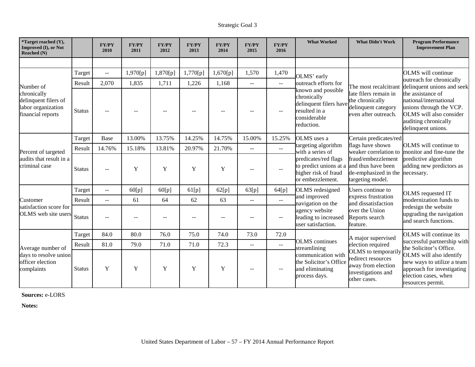| *Target reached (Y),<br>Improved (I), or Not<br><b>Reached</b> (N)             |               | <b>FY/PY</b><br>2010                          | <b>FY/PY</b><br>2011 | <b>FY/PY</b><br>2012 | <b>FY/PY</b><br>2013 | <b>FY/PY</b><br>2014 | <b>FY/PY</b><br>2015      | <b>FY/PY</b><br>2016        | <b>What Worked</b>                                                                                         | <b>What Didn't Work</b>                                                                               | <b>Program Performance</b><br><b>Improvement Plan</b>                                                                                                       |
|--------------------------------------------------------------------------------|---------------|-----------------------------------------------|----------------------|----------------------|----------------------|----------------------|---------------------------|-----------------------------|------------------------------------------------------------------------------------------------------------|-------------------------------------------------------------------------------------------------------|-------------------------------------------------------------------------------------------------------------------------------------------------------------|
|                                                                                |               |                                               |                      |                      |                      |                      |                           |                             |                                                                                                            |                                                                                                       |                                                                                                                                                             |
|                                                                                | Target        | $\mathord{\hspace{1pt}\text{--}\hspace{1pt}}$ | 1,970[p]             | 1,870[p]             | 1,770[p]             | 1,670[p]             | 1,570                     | 1,470                       | OLMS' early                                                                                                |                                                                                                       | <b>OLMS</b> will continue                                                                                                                                   |
| Number of                                                                      | Result        | 2,070                                         | 1,835                | 1,711                | 1,226                | 1,168                | $\mathbb{L}^{\mathbb{L}}$ | $\mathbb{L}^{\mathbb{L}}$   | outreach efforts for                                                                                       | The most recalcitrant                                                                                 | outreach for chronically<br>delinquent unions and seek                                                                                                      |
| chronically<br>delinquent filers of<br>labor organization<br>financial reports | <b>Status</b> |                                               |                      |                      |                      |                      |                           | $-$                         | known and possible<br>chronically<br>delinquent filers have<br>resulted in a<br>considerable<br>reduction. | late filers remain in<br>the chronically<br>delinquent category<br>even after outreach.               | the assistance of<br>national/international<br>unions through the VCP.<br>OLMS will also consider<br>auditing chronically<br>delinquent unions.             |
|                                                                                | Target        | Base                                          | 13.00%               | 13.75%               | 14.25%               | 14.75%               | 15.00%                    | 15.25%                      | OLMS uses a                                                                                                | Certain predicates/red                                                                                |                                                                                                                                                             |
| Percent of targeted<br>audits that result in a<br>criminal case                | Result        | 14.76%                                        | 15.18%               | 13.81%               | 20.97%               | 21.70%               | $\mathbf{u}$              | $\mathbb{L}^{\mathbb{L}}$   | targeting algorithm<br>with a series of                                                                    | flags have shown<br>weaker correlation to                                                             | OLMS will continue to<br>monitor and fine-tune the<br>predictive algorithm<br>adding new predictors as<br>necessary.                                        |
|                                                                                | <b>Status</b> |                                               | Y                    | Y                    | Y                    | Y                    |                           | $\mathbf{u}$                | predicates/red flags<br>to predict unions at a<br>higher risk of fraud<br>or embezzlement.                 | fraud/embezzlement<br>and thus have been<br>de-emphasized in the<br>targeting model.                  |                                                                                                                                                             |
|                                                                                | Target        | $\mathbf{u}$                                  | 60[p]                | 60[p]                | 61[p]                | 62[p]                | 63[p]                     | 64[p]                       | OLMS redesigned                                                                                            | Users continue to                                                                                     | OLMS requested IT                                                                                                                                           |
| Customer                                                                       | Result        | $\mathbf{u}$                                  | 61                   | 64                   | 62                   | 63                   | $\overline{\phantom{m}}$  | $\mathbb{H} \to \mathbb{H}$ | and improved<br>navigation on the                                                                          | express frustration<br>and dissatisfaction                                                            | modernization funds to                                                                                                                                      |
| satisfaction score for<br>OLMS web site users                                  | <b>Status</b> |                                               |                      |                      |                      |                      |                           | $\mathbf{u}$                | agency website<br>leading to increased<br>user satisfaction.                                               | over the Union<br>Reports search<br>feature.                                                          | redesign the website<br>upgrading the navigation<br>and search functions.                                                                                   |
|                                                                                | Target        | 84.0                                          | 80.0                 | 76.0                 | 75.0                 | 74.0                 | 73.0                      | 72.0                        |                                                                                                            | A major supervised                                                                                    | OLMS will continue its                                                                                                                                      |
| Average number of<br>days to resolve union<br>officer election<br>complaints   | Result        | 81.0                                          | 79.0                 | 71.0                 | 71.0                 | 72.3                 | $ -$                      | $\mathcal{L}_{\mathcal{F}}$ | <b>OLMS</b> continues<br>streamlining                                                                      | election required                                                                                     | successful partnership with                                                                                                                                 |
|                                                                                | <b>Status</b> | Y                                             | Y                    | Y                    | Y                    | Y                    |                           | $\mathbf{u}$                | communication with<br>the Solicitor's Office<br>and eliminating<br>process days.                           | OLMS to temporarily<br>redirect resources<br>away from election<br>investigations and<br>other cases. | the Solicitor's Office.<br>OLMS will also identify<br>new ways to utilize a team<br>approach for investigating<br>election cases, when<br>resources permit. |

**Sources:** e-LORS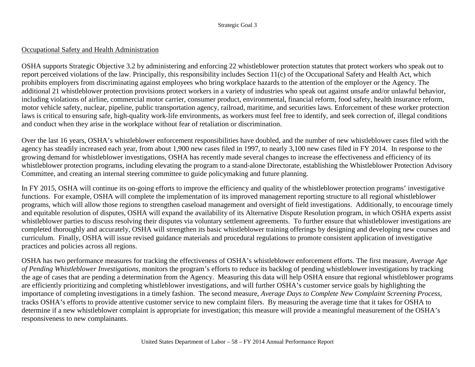#### Occupational Safety and Health Administration

OSHA supports Strategic Objective 3.2 by administering and enforcing 22 whistleblower protection statutes that protect workers who speak out to report perceived violations of the law. Principally, this responsibility includes Section 11(c) of the Occupational Safety and Health Act, which prohibits employers from discriminating against employees who bring workplace hazards to the attention of the employer or the Agency. The additional 21 whistleblower protection provisions protect workers in a variety of industries who speak out against unsafe and/or unlawful behavior, including violations of airline, commercial motor carrier, consumer product, environmental, financial reform, food safety, health insurance reform, motor vehicle safety, nuclear, pipeline, public transportation agency, railroad, maritime, and securities laws. Enforcement of these worker protection laws is critical to ensuring safe, high-quality work-life environments, as workers must feel free to identify, and seek correction of, illegal conditions and conduct when they arise in the workplace without fear of retaliation or discrimination.

Over the last 16 years, OSHA's whistleblower enforcement responsibilities have doubled, and the number of new whistleblower cases filed with the agency has steadily increased each year, from about 1,900 new cases filed in 1997, to nearly 3,100 new cases filed in FY 2014. In response to the growing demand for whistleblower investigations, OSHA has recently made several changes to increase the effectiveness and efficiency of its whistleblower protection programs, including elevating the program to a stand-alone Directorate, establishing the Whistleblower Protection Advisory Committee, and creating an internal steering committee to guide policymaking and future planning.

In FY 2015, OSHA will continue its on-going efforts to improve the efficiency and quality of the whistleblower protection programs' investigative functions. For example, OSHA will complete the implementation of its improved management reporting structure to all regional whistleblower programs, which will allow those regions to strengthen caseload management and oversight of field investigations. Additionally, to encourage timely and equitable resolution of disputes, OSHA will expand the availability of its Alternative Dispute Resolution program, in which OSHA experts assist whistleblower parties to discuss resolving their disputes via voluntary settlement agreements. To further ensure that whistleblower investigations are completed thoroughly and accurately, OSHA will strengthen its basic whistleblower training offerings by designing and developing new courses and curriculum. Finally, OSHA will issue revised guidance materials and procedural regulations to promote consistent application of investigative practices and policies across all regions.

OSHA has two performance measures for tracking the effectiveness of OSHA's whistleblower enforcement efforts. The first measure, *Average Age of Pending Whistleblower Investigations*, monitors the program's efforts to reduce its backlog of pending whistleblower investigations by tracking the age of cases that are pending a determination from the Agency. Measuring this data will help OSHA ensure that regional whistleblower programs are efficiently prioritizing and completing whistleblower investigations, and will further OSHA's customer service goals by highlighting the importance of completing investigations in a timely fashion. The second measure, *Average Days to Complete New Complaint Screening Process*, tracks OSHA's efforts to provide attentive customer service to new complaint filers. By measuring the average time that it takes for OSHA to determine if a new whistleblower complaint is appropriate for investigation; this measure will provide a meaningful measurement of the OSHA's responsiveness to new complainants.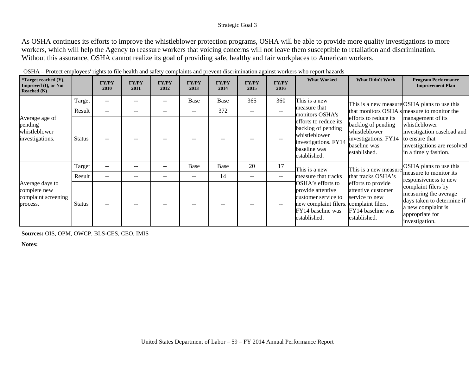As OSHA continues its efforts to improve the whistleblower protection programs, OSHA will be able to provide more quality investigations to more workers, which will help the Agency to reassure workers that voicing concerns will not leave them susceptible to retaliation and discrimination. Without this assurance, OSHA cannot realize its goal of providing safe, healthy and fair workplaces to American workers.

| <i>*Target reached <math>(Y)</math>,</i><br><b>Improved (I), or Not</b> |               | <b>FY/PY</b>                                        | <b>FY/PY</b> | <b>FY/PY</b> | <b>FY/PY</b> | <b>FY/PY</b> | <b>FY/PY</b>             | <b>FY/PY</b> | <b>What Worked</b>                                                                                                          | <b>What Didn't Work</b>                                                                                              | <b>Program Performance</b><br><b>Improvement Plan</b>                                                                                     |  |
|-------------------------------------------------------------------------|---------------|-----------------------------------------------------|--------------|--------------|--------------|--------------|--------------------------|--------------|-----------------------------------------------------------------------------------------------------------------------------|----------------------------------------------------------------------------------------------------------------------|-------------------------------------------------------------------------------------------------------------------------------------------|--|
| Reached $(N)$                                                           |               | 2010                                                | 2011         | 2012         | 2013         | 2014         | 2015                     | 2016         |                                                                                                                             |                                                                                                                      |                                                                                                                                           |  |
|                                                                         | Target        | $\sim$ $\sim$                                       | $- -$        | --           | Base         | Base         | 365                      | 360          | This is a new                                                                                                               |                                                                                                                      | This is a new measure OSHA plans to use this                                                                                              |  |
|                                                                         | Result        | $\sim$ $\sim$                                       | $- -$        |              | $- -$        | 372          | $\overline{\phantom{m}}$ | $- -$        | measure that<br>monitors OSHA's                                                                                             |                                                                                                                      | that monitors OSHA's measure to monitor the                                                                                               |  |
| Average age of<br>pending<br>whistleblower<br>investigations.           | <b>Status</b> |                                                     |              |              |              |              |                          |              | efforts to reduce its<br>backlog of pending<br>whistleblower<br>investigations. FY14<br>baseline was<br>established.        | efforts to reduce its<br>backlog of pending<br>whistleblower<br>investigations. FY14<br>baseline was<br>established. | management of its<br>whistleblower<br>investigation caseload and<br>to ensure that<br>investigations are resolved<br>in a timely fashion. |  |
|                                                                         | Target        | $\hspace{0.05cm} -\hspace{0.05cm} -\hspace{0.05cm}$ | --           | $- -$        | Base         | Base         | 20                       | 17           | This is a new                                                                                                               | This is a new measure                                                                                                | OSHA plans to use this                                                                                                                    |  |
|                                                                         | Result        | $\hspace{0.05cm} -\hspace{0.05cm} -\hspace{0.05cm}$ | $- -$        | --           | $- -$        | 14           | $\overline{\phantom{m}}$ | $-$          | measure that tracks                                                                                                         | that tracks OSHA's                                                                                                   | measure to monitor its<br>responsiveness to new                                                                                           |  |
| Average days to<br>complete new<br>complaint screening<br>process.      | <b>Status</b> |                                                     |              |              |              |              |                          |              | OSHA's efforts to<br>provide attentive<br>customer service to<br>new complaint filers.<br>FY14 baseline was<br>established. | efforts to provide<br>attentive customer<br>service to new<br>complaint filers.<br>FY14 baseline was<br>established. | complaint filers by<br>measuring the average<br>days taken to determine if<br>a new complaint is<br>appropriate for<br>investigation.     |  |

OSHA – Protect employees' rights to file health and safety complaints and prevent discrimination against workers who report hazards

**Sources:** OIS, OPM, OWCP, BLS-CES, CEO, IMIS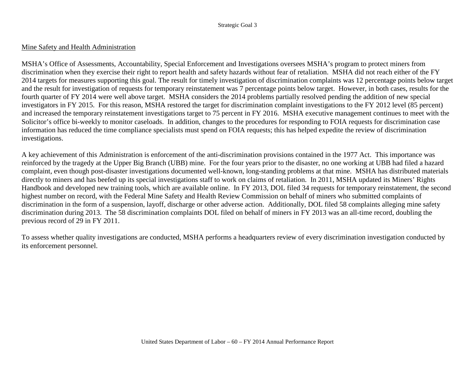### Mine Safety and Health Administration

MSHA's Office of Assessments, Accountability, Special Enforcement and Investigations oversees MSHA's program to protect miners from discrimination when they exercise their right to report health and safety hazards without fear of retaliation. MSHA did not reach either of the FY 2014 targets for measures supporting this goal. The result for timely investigation of discrimination complaints was 12 percentage points below target and the result for investigation of requests for temporary reinstatement was 7 percentage points below target. However, in both cases, results for the fourth quarter of FY 2014 were well above target. MSHA considers the 2014 problems partially resolved pending the addition of new special investigators in FY 2015. For this reason, MSHA restored the target for discrimination complaint investigations to the FY 2012 level (85 percent) and increased the temporary reinstatement investigations target to 75 percent in FY 2016. MSHA executive management continues to meet with the Solicitor's office bi-weekly to monitor caseloads. In addition, changes to the procedures for responding to FOIA requests for discrimination case information has reduced the time compliance specialists must spend on FOIA requests; this has helped expedite the review of discrimination investigations.

A key achievement of this Administration is enforcement of the anti-discrimination provisions contained in the 1977 Act. This importance was reinforced by the tragedy at the Upper Big Branch (UBB) mine. For the four years prior to the disaster, no one working at UBB had filed a hazard complaint, even though post-disaster investigations documented well-known, long-standing problems at that mine. MSHA has distributed materials directly to miners and has beefed up its special investigations staff to work on claims of retaliation. In 2011, MSHA updated its Miners' Rights Handbook and developed new training tools, which are available online. In FY 2013, DOL filed 34 requests for temporary reinstatement, the second highest number on record, with the Federal Mine Safety and Health Review Commission on behalf of miners who submitted complaints of discrimination in the form of a suspension, layoff, discharge or other adverse action. Additionally, DOL filed 58 complaints alleging mine safety discrimination during 2013. The 58 discrimination complaints DOL filed on behalf of miners in FY 2013 was an all-time record, doubling the previous record of 29 in FY 2011.

To assess whether quality investigations are conducted, MSHA performs a headquarters review of every discrimination investigation conducted by its enforcement personnel.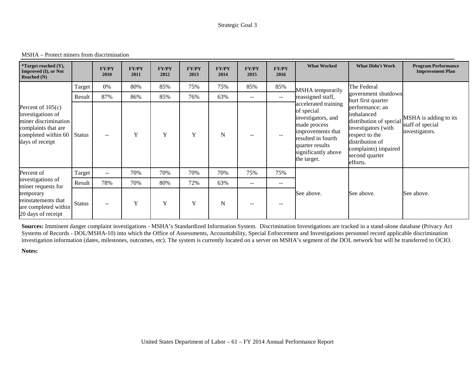MSHA – Protect miners from discrimination

| <i>*</i> Target reached $(Y)$ ,<br><b>Improved (I), or Not</b><br>Reached $(N)$                                                   |               | <b>FY/PY</b><br>2010     | <b>FY/PY</b><br>2011 | <b>FY/PY</b><br>2012 | <b>FY/PY</b><br>2013 | <b>FY/PY</b><br>2014 | <b>FY/PY</b><br>2015 | <b>FY/PY</b><br>2016     | <b>What Worked</b>                                                                                                                                                           | <b>What Didn't Work</b>                                                                                                                                                    | <b>Program Performance</b><br><b>Improvement Plan</b>       |
|-----------------------------------------------------------------------------------------------------------------------------------|---------------|--------------------------|----------------------|----------------------|----------------------|----------------------|----------------------|--------------------------|------------------------------------------------------------------------------------------------------------------------------------------------------------------------------|----------------------------------------------------------------------------------------------------------------------------------------------------------------------------|-------------------------------------------------------------|
|                                                                                                                                   | Target        | 0%                       | 80%                  | 85%                  | 75%                  | 75%                  | 85%                  | 85%                      | MSHA temporarily                                                                                                                                                             | The Federal                                                                                                                                                                |                                                             |
|                                                                                                                                   | Result        | 87%                      | 86%                  | 85%                  | 76%                  | 63%                  | $--$                 | $\overline{\phantom{a}}$ | reassigned staff,                                                                                                                                                            | government shutdown<br>hurt first quarter                                                                                                                                  |                                                             |
| Percent of $105(c)$<br>investigations of<br>miner discrimination<br>complaints that are<br>completed within 60<br>days of receipt | <b>Status</b> | $\sim$ $\sim$            | Y                    | Y                    | Y                    | N                    |                      |                          | accelerated training<br>of special<br>investigators, and<br>made process<br>improvements that<br>resulted in fourth<br>quarter results<br>significantly above<br>the target. | performance; an<br>imbalanced<br>distribution of special<br>investigators (with<br>respect to the<br>distribution of<br>complaints) impaired<br>second quarter<br>efforts. | MSHA is adding to its<br>staff of special<br>investigators. |
| Percent of                                                                                                                        | Target        | $--$                     | 70%                  | 70%                  | 70%                  | 70%                  | 75%                  | 75%                      |                                                                                                                                                                              |                                                                                                                                                                            |                                                             |
| investigations of<br>miner requests for                                                                                           | Result        | 78%                      | 70%                  | 80%                  | 72%                  | 63%                  | $- -$                | $\qquad \qquad -$        |                                                                                                                                                                              |                                                                                                                                                                            |                                                             |
| temporary<br>reinstatements that<br>are completed within<br>20 days of receipt                                                    | <b>Status</b> | $\overline{\phantom{m}}$ | Y                    | Y                    | Y                    | N                    | $- -$                | $\overline{\phantom{m}}$ | See above.                                                                                                                                                                   | See above.                                                                                                                                                                 | See above.                                                  |

**Sources:** Imminent danger complaint investigations - MSHA's Standardized Information System. Discrimination Investigations are tracked in a stand-alone database (Privacy Act Systems of Records - DOL/MSHA-10) into which the Office of Assessments, Accountability, Special Enforcement and Investigations personnel record applicable discrimination investigation information (dates, milestones, outcomes, etc). The system is currently located on a server on MSHA's segment of the DOL network but will be transferred to OCIO.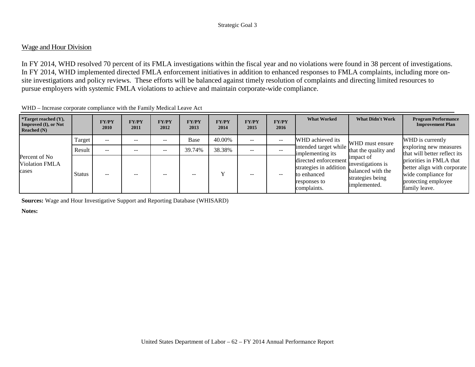# Wage and Hour Division

In FY 2014, WHD resolved 70 percent of its FMLA investigations within the fiscal year and no violations were found in 38 percent of investigations. In FY 2014, WHD implemented directed FMLA enforcement initiatives in addition to enhanced responses to FMLA complaints, including more onsite investigations and policy reviews. These efforts will be balanced against timely resolution of complaints and directing limited resources to pursue employers with systemic FMLA violations to achieve and maintain corporate-wide compliance.

| <i>*Target reached <math>(Y)</math>,</i><br>Improved (I), or Not<br>Reached $(N)$ |               | <b>FY/PY</b><br><b>2010</b> | <b>FY/PY</b><br>2011 | <b>FY/PY</b><br>2012 | <b>FY/PY</b><br>2013 | <b>FY/PY</b><br>2014 | <b>FY/PY</b><br>2015 | <b>FY/PY</b><br>2016 | <b>What Worked</b>                                                                              | <b>What Didn't Work</b>                                                                 | <b>Program Performance</b><br><b>Improvement Plan</b>                                                                 |
|-----------------------------------------------------------------------------------|---------------|-----------------------------|----------------------|----------------------|----------------------|----------------------|----------------------|----------------------|-------------------------------------------------------------------------------------------------|-----------------------------------------------------------------------------------------|-----------------------------------------------------------------------------------------------------------------------|
| Percent of No<br><b>Violation FMLA</b><br>cases                                   | Target        | $- -$                       | $- -$                | $- -$                | Base                 | 40.00%               | --                   | $- -$                | WHD achieved its                                                                                | WHD must ensure                                                                         | WHD is currently                                                                                                      |
|                                                                                   | Result        | $- -$                       | --                   | --                   | 39.74%               | 38.38%               | $- -$                |                      | intended target while<br>that the quality and<br>implementing its                               | exploring new measures<br>that will better reflect its                                  |                                                                                                                       |
|                                                                                   | <b>Status</b> | $- -$                       | $- -$                | --                   |                      |                      | --                   | --                   | directed enforcement :<br>strategies in addition.<br>to enhanced<br>responses to<br>complaints. | impact of<br>investigations is<br>balanced with the<br>strategies being<br>implemented. | priorities in FMLA that<br>better align with corporate<br>wide compliance for<br>protecting employee<br>family leave. |

WHD – Increase corporate compliance with the Family Medical Leave Act

**Sources:** Wage and Hour Investigative Support and Reporting Database (WHISARD)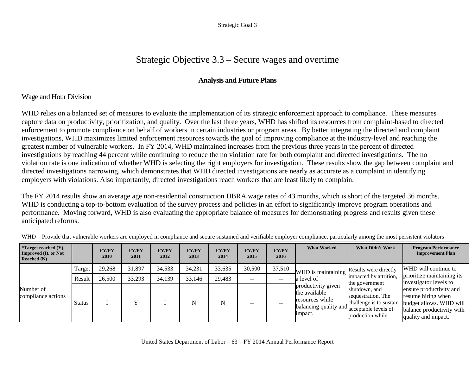# Strategic Objective 3.3 – Secure wages and overtime

# **Analysis and Future Plans**

# Wage and Hour Division

WHD relies on a balanced set of measures to evaluate the implementation of its strategic enforcement approach to compliance. These measures capture data on productivity, prioritization, and quality. Over the last three years, WHD has shifted its resources from complaint-based to directed enforcement to promote compliance on behalf of workers in certain industries or program areas. By better integrating the directed and complaint investigations, WHD maximizes limited enforcement resources towards the goal of improving compliance at the industry-level and reaching the greatest number of vulnerable workers. In FY 2014, WHD maintained increases from the previous three years in the percent of directed investigations by reaching 44 percent while continuing to reduce the no violation rate for both complaint and directed investigations. The no violation rate is one indication of whether WHD is selecting the right employers for investigation. These results show the gap between complaint and directed investigations narrowing, which demonstrates that WHD directed investigations are nearly as accurate as a complaint in identifying employers with violations. Also importantly, directed investigations reach workers that are least likely to complain.

The FY 2014 results show an average age non-residential construction DBRA wage rates of 43 months, which is short of the targeted 36 months. WHD is conducting a top-to-bottom evaluation of the survey process and policies in an effort to significantly improve program operations and performance. Moving forward, WHD is also evaluating the appropriate balance of measures for demonstrating progress and results given these anticipated reforms.

| <i>*Target reached <math>(Y)</math>,</i><br>Improved (I), or Not<br>Reached $(N)$ |               | <b>FY/PY</b><br>2010 | <b>FY/PY</b><br>2011 | <b>FY/PY</b><br>2012 | <b>FY/PY</b><br>2013 | <b>FY/PY</b><br>2014 | <b>FY/PY</b><br>2015 | <b>FY/PY</b><br>2016 | <b>What Worked</b>                                                                                              | <b>What Didn't Work</b>                                                                                                        | <b>Program Performance</b><br><b>Improvement Plan</b>                                                                        |
|-----------------------------------------------------------------------------------|---------------|----------------------|----------------------|----------------------|----------------------|----------------------|----------------------|----------------------|-----------------------------------------------------------------------------------------------------------------|--------------------------------------------------------------------------------------------------------------------------------|------------------------------------------------------------------------------------------------------------------------------|
| Number of<br>compliance actions                                                   | Target        | 29,268               | 31,897               | 34,533               | 34,231               | 33,635               | 30,500               | 37,510               | WHD is maintaining                                                                                              | Results were directly                                                                                                          | WHD will continue to                                                                                                         |
|                                                                                   | Result        | 26,500               | 33,293               | 34,139               | 33,146               | 29,483               | $- -$                | --                   | a level of                                                                                                      | impacted by attrition,<br>the government<br>shutdown, and<br>sequestration. The<br>challenge is to sustain<br>production while | prioritize maintaining its<br>investigator levels to                                                                         |
|                                                                                   | <b>Status</b> |                      |                      |                      | N                    | N                    |                      | --                   | productivity given<br>the available<br>resources while<br>balancing quality and acceptable levels of<br>impact. |                                                                                                                                | ensure productivity and<br>resume hiring when<br>budget allows. WHD will<br>balance productivity with<br>quality and impact. |

WHD – Provide that vulnerable workers are employed in compliance and secure sustained and verifiable employer compliance, particularly among the most persistent violators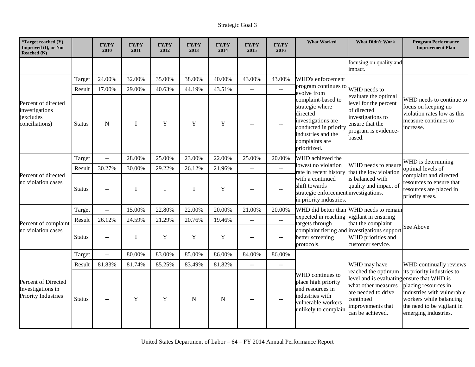| *Target reached (Y),<br>Improved (I), or Not<br>Reached (N)            |               | <b>FY/PY</b><br>2010    | <b>FY/PY</b><br>2011 | <b>FY/PY</b><br>2012 | <b>FY/PY</b><br>2013 | <b>FY/PY</b><br>2014 | <b>FY/PY</b><br>2015      | <b>FY/PY</b><br>2016                          | <b>What Worked</b>                                                                                                                                       | <b>What Didn't Work</b>                                                                                                                                               | <b>Program Performance</b><br><b>Improvement Plan</b>                                                                                                             |
|------------------------------------------------------------------------|---------------|-------------------------|----------------------|----------------------|----------------------|----------------------|---------------------------|-----------------------------------------------|----------------------------------------------------------------------------------------------------------------------------------------------------------|-----------------------------------------------------------------------------------------------------------------------------------------------------------------------|-------------------------------------------------------------------------------------------------------------------------------------------------------------------|
|                                                                        |               |                         |                      |                      |                      |                      |                           |                                               |                                                                                                                                                          | focusing on quality and<br>impact.                                                                                                                                    |                                                                                                                                                                   |
|                                                                        | Target        | 24.00%                  | 32.00%               | 35.00%               | 38.00%               | 40.00%               | 43.00%                    | 43.00%                                        | WHD's enforcement                                                                                                                                        |                                                                                                                                                                       |                                                                                                                                                                   |
|                                                                        | Result        | 17.00%                  | 29.00%               | 40.63%               | 44.19%               | 43.51%               | $-1$                      | $\mathbb{Z}^2$                                | program continues to<br>evolve from                                                                                                                      | WHD needs to                                                                                                                                                          |                                                                                                                                                                   |
| Percent of directed<br>investigations<br>(excludes<br>conciliations)   | <b>Status</b> | $\mathbf N$             | $\bf{I}$             | Y                    | $\mathbf Y$          | $\mathbf Y$          |                           |                                               | complaint-based to<br>strategic where<br>directed<br>investigations are<br>conducted in priority<br>industries and the<br>complaints are<br>prioritized. | evaluate the optimal<br>level for the percent<br>of directed<br>investigations to<br>ensure that the<br>program is evidence-<br>based.                                | WHD needs to continue to<br>focus on keeping no<br>violation rates low as this<br>measure continues to<br>increase.                                               |
|                                                                        | Target        | $\overline{a}$          | 28.00%               | 25.00%               | 23.00%               | 22.00%               | 25.00%                    | 20.00%                                        | WHD achieved the                                                                                                                                         | WHD needs to ensure<br>that the low violation                                                                                                                         | WHD is determining<br>optimal levels of<br>complaint and directed<br>resources to ensure that<br>resources are placed in<br>priority areas.                       |
|                                                                        | Result        | 30.27%                  | 30.00%               | 29.22%               | 26.12%               | 21.96%               | $\mathbb{L}^{\mathbb{L}}$ | $\mathbb{L}^{\mathbb{L}}$                     | lowest no violation<br>rate in recent history<br>with a continued<br>shift towards<br>strategic enforcement investigations.<br>in priority industries.   |                                                                                                                                                                       |                                                                                                                                                                   |
| Percent of directed<br>no violation cases                              | <b>Status</b> |                         | I                    | I                    | $\bf{I}$             | $\mathbf Y$          |                           | $\overline{\phantom{a}}$                      |                                                                                                                                                          | is balanced with<br>quality and impact of                                                                                                                             |                                                                                                                                                                   |
|                                                                        | Target        | $\overline{a}$          | 15.00%               | 22.80%               | 22.00%               | 20.00%               | 21.00%                    | 20.00%                                        |                                                                                                                                                          | WHD did better than WHD needs to remain<br>expected in reaching vigilant in ensuring<br>that the complaint                                                            |                                                                                                                                                                   |
| Percent of complaint                                                   | Result        | 26.12%                  | 24.59%               | 21.29%               | 20.76%               | 19.46%               | $\mathbb{L}^{\mathbb{L}}$ | $\overline{a}$                                | targets through                                                                                                                                          |                                                                                                                                                                       |                                                                                                                                                                   |
| no violation cases                                                     | Status        | $\sim$                  | I                    | Y                    | Y                    | Y                    | $-$                       | $\qquad \qquad -$                             | complaint tiering and investigations support<br>better screening<br>protocols.                                                                           | WHD priorities and<br>customer service.                                                                                                                               | See Above                                                                                                                                                         |
|                                                                        | Target        | $\mathbb{L} \mathbb{L}$ | 80.00%               | 83.00%               | 85.00%               | 86.00%               | 84.00%                    | 86.00%                                        |                                                                                                                                                          |                                                                                                                                                                       |                                                                                                                                                                   |
|                                                                        | Result        | 81.83%                  | 81.74%               | 85.25%               | 83.49%               | 81.82%               | $-$                       | $\mathord{\hspace{1pt}\text{--}\hspace{1pt}}$ |                                                                                                                                                          | WHD may have                                                                                                                                                          | WHD continually reviews                                                                                                                                           |
| Percent of Directed<br>Investigations in<br><b>Priority Industries</b> | <b>Status</b> |                         | Y                    | Y                    | N                    | N                    |                           |                                               | WHD continues to<br>place high priority<br>and resources in<br>industries with<br>vulnerable workers<br>unlikely to complain                             | reached the optimum<br>level and is evaluating ensure that WHD is<br>what other measures<br>are needed to drive<br>continued<br>improvements that<br>can be achieved. | its priority industries to<br>placing resources in<br>industries with vulnerable<br>workers while balancing<br>the need to be vigilant in<br>emerging industries. |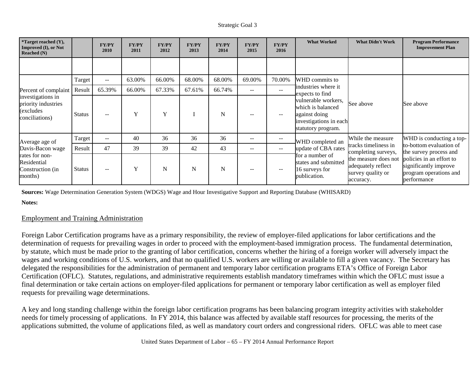| <i>*</i> Target reached $(Y)$ ,<br>Improved (I), or Not<br><b>Reached (N)</b>    |               | <b>FY/PY</b><br>2010 | <b>FY/PY</b><br>2011 | <b>FY/PY</b><br>2012 | <b>FY/PY</b><br>2013 | <b>FY/PY</b><br>2014 | <b>FY/PY</b><br>2015 | <b>FY/PY</b><br>2016     | <b>What Worked</b>                                                                                        | <b>What Didn't Work</b>                                                                                                                                                                                                                                                                                                         | <b>Program Performance</b><br><b>Improvement Plan</b> |
|----------------------------------------------------------------------------------|---------------|----------------------|----------------------|----------------------|----------------------|----------------------|----------------------|--------------------------|-----------------------------------------------------------------------------------------------------------|---------------------------------------------------------------------------------------------------------------------------------------------------------------------------------------------------------------------------------------------------------------------------------------------------------------------------------|-------------------------------------------------------|
|                                                                                  |               |                      |                      |                      |                      |                      |                      |                          |                                                                                                           |                                                                                                                                                                                                                                                                                                                                 |                                                       |
|                                                                                  | Target        | $- -$                | 63.00%               | 66.00%               | 68.00%               | 68.00%               | 69.00%               | 70.00%                   | WHD commits to                                                                                            |                                                                                                                                                                                                                                                                                                                                 |                                                       |
| Percent of complaint                                                             | Result        | 65.39%               | 66.00%               | 67.33%               | 67.61%               | 66.74%               | $\qquad \qquad -$    | $\overline{\phantom{a}}$ | industries where it<br>expects to find                                                                    |                                                                                                                                                                                                                                                                                                                                 |                                                       |
| investigations in<br>priority industries<br>(excludes<br>conciliations)          | <b>Status</b> | $\sim$ $\sim$        | Y                    | Y                    |                      | N                    |                      | $\overline{\phantom{a}}$ | vulnerable workers,<br>which is balanced<br>against doing<br>investigations in each<br>statutory program. | See above                                                                                                                                                                                                                                                                                                                       | See above                                             |
| Average age of                                                                   | Target        | $\sim$ $\sim$        | 40                   | 36                   | 36                   | 36                   | $\qquad \qquad -$    | --                       | WHD completed an                                                                                          | WHD is conducting a top-<br>While the measure<br>to-bottom evaluation of<br>tracks timeliness in<br>completing surveys,<br>the survey process and<br>policies in an effort to<br>the measure does not<br>significantly improve<br>adequately reflect<br>survey quality or<br>program operations and<br>performance<br>accuracy. |                                                       |
| Davis-Bacon wage<br>rates for non-<br>Residential<br>Construction (in<br>months) | Result        | 47                   | 39                   | 39                   | 42                   | 43                   | $- -$                | --                       | update of CBA rates                                                                                       |                                                                                                                                                                                                                                                                                                                                 |                                                       |
|                                                                                  | <b>Status</b> |                      | Y                    | N                    | N                    | N                    |                      | --                       | for a number of<br>states and submitted<br>16 surveys for<br>publication.                                 |                                                                                                                                                                                                                                                                                                                                 |                                                       |

**Sources:** Wage Determination Generation System (WDGS) Wage and Hour Investigative Support and Reporting Database (WHISARD)

**Notes:**

### Employment and Training Administration

Foreign Labor Certification programs have as a primary responsibility, the review of employer-filed applications for labor certifications and the determination of requests for prevailing wages in order to proceed with the employment-based immigration process. The fundamental determination, by statute, which must be made prior to the granting of labor certification, concerns whether the hiring of a foreign worker will adversely impact the wages and working conditions of U.S. workers, and that no qualified U.S. workers are willing or available to fill a given vacancy. The Secretary has delegated the responsibilities for the administration of permanent and temporary labor certification programs ETA's Office of Foreign Labor Certification (OFLC). Statutes, regulations, and administrative requirements establish mandatory timeframes within which the OFLC must issue a final determination or take certain actions on employer-filed applications for permanent or temporary labor certification as well as employer filed requests for prevailing wage determinations.

A key and long standing challenge within the foreign labor certification programs has been balancing program integrity activities with stakeholder needs for timely processing of applications. In FY 2014, this balance was affected by available staff resources for processing, the merits of the applications submitted, the volume of applications filed, as well as mandatory court orders and congressional riders. OFLC was able to meet case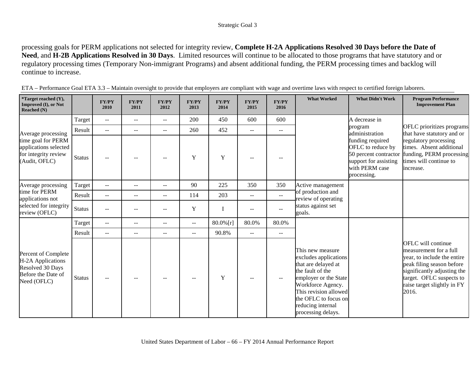processing goals for PERM applications not selected for integrity review, **Complete H-2A Applications Resolved 30 Days before the Date of Need**, and **H-2B Applications Resolved in 30 Days**. Limited resources will continue to be allocated to those programs that have statutory and or regulatory processing times (Temporary Non-immigrant Programs) and absent additional funding, the PERM processing times and backlog will continue to increase.

| *Target reached (Y),<br>Improved (I), or Not<br><b>Reached</b> (N)                                |               | <b>FY/PY</b><br>2010     | <b>FY/PY</b><br>2011     | <b>FY/PY</b><br>2012     | <b>FY/PY</b><br>2013     | <b>FY/PY</b><br>2014 | <b>FY/PY</b><br>2015     | <b>FY/PY</b><br>2016                          | <b>What Worked</b>                                                                                                                                                                                                             | <b>What Didn't Work</b>                                                                                                  | <b>Program Performance</b><br><b>Improvement Plan</b>                                                                                                                                                       |
|---------------------------------------------------------------------------------------------------|---------------|--------------------------|--------------------------|--------------------------|--------------------------|----------------------|--------------------------|-----------------------------------------------|--------------------------------------------------------------------------------------------------------------------------------------------------------------------------------------------------------------------------------|--------------------------------------------------------------------------------------------------------------------------|-------------------------------------------------------------------------------------------------------------------------------------------------------------------------------------------------------------|
|                                                                                                   | Target        | $\overline{\phantom{m}}$ | $\overline{\phantom{m}}$ | $--$                     | 200                      | 450                  | 600                      | 600                                           |                                                                                                                                                                                                                                | A decrease in                                                                                                            |                                                                                                                                                                                                             |
| Average processing                                                                                | Result        | $\overline{\phantom{a}}$ | $\overline{\phantom{m}}$ | $-$                      | 260                      | 452                  | $\overline{\phantom{m}}$ | $\overline{\phantom{m}}$                      |                                                                                                                                                                                                                                | program<br>administration                                                                                                | OFLC prioritizes programs<br>that have statutory and or                                                                                                                                                     |
| time goal for PERM<br>applications selected<br>for integrity review<br>(Audit, OFLC)              | <b>Status</b> |                          |                          |                          | $\mathbf Y$              | Y                    |                          |                                               |                                                                                                                                                                                                                                | funding required<br>OFLC to reduce by<br>50 percent contractor<br>support for assisting<br>with PERM case<br>processing. | regulatory processing<br>times. Absent additional<br>funding, PERM processing<br>times will continue to<br>increase.                                                                                        |
| Average processing                                                                                | Target        | $\overline{\phantom{m}}$ | --                       | $\overline{\phantom{a}}$ | 90                       | 225                  | 350                      | 350                                           | Active management<br>of production and<br>review of operating<br>status against set<br>goals.                                                                                                                                  |                                                                                                                          |                                                                                                                                                                                                             |
| time for PERM<br>applications not<br>selected for integrity<br>review (OFLC)                      | Result        | $\overline{a}$           | $\overline{\phantom{a}}$ | $\overline{\phantom{a}}$ | 114                      | 203                  | $\overline{a}$           | $\mathbb{L}^{\mathbb{L}}$                     |                                                                                                                                                                                                                                |                                                                                                                          |                                                                                                                                                                                                             |
|                                                                                                   | <b>Status</b> | $\sim$ $\sim$            |                          | $-1$                     | Y                        |                      | $\sim$                   | $-$                                           |                                                                                                                                                                                                                                |                                                                                                                          |                                                                                                                                                                                                             |
|                                                                                                   | Target        | $\overline{\phantom{m}}$ | $\overline{\phantom{m}}$ | $\overline{\phantom{m}}$ | $\overline{\phantom{a}}$ | 80.0%[r]             | 80.0%                    | 80.0%                                         |                                                                                                                                                                                                                                |                                                                                                                          |                                                                                                                                                                                                             |
|                                                                                                   | Result        | $\sim$ $\sim$            | $\overline{\phantom{a}}$ | $\overline{\phantom{a}}$ | $\overline{\phantom{a}}$ | 90.8%                | $\mathbf{u}$             | $\mathbf{u}$                                  |                                                                                                                                                                                                                                |                                                                                                                          |                                                                                                                                                                                                             |
| Percent of Complete<br>H-2A Applications<br>Resolved 30 Days<br>Before the Date of<br>Need (OFLC) | <b>Status</b> | $\sim$ $\sim$            | $\overline{\phantom{a}}$ |                          | $\overline{a}$           | Y                    |                          | $\mathord{\hspace{1pt}\text{--}\hspace{1pt}}$ | This new measure<br>excludes applications<br>that are delayed at<br>the fault of the<br>employer or the State<br>Workforce Agency.<br>This revision allowed<br>the OFLC to focus on<br>reducing internal<br>processing delays. |                                                                                                                          | OFLC will continue<br>measurement for a full<br>year, to include the entire<br>peak filing season before<br>significantly adjusting the<br>target. OFLC suspects to<br>raise target slightly in FY<br>2016. |

ETA – Performance Goal ETA 3.3 – Maintain oversight to provide that employers are compliant with wage and overtime laws with respect to certified foreign laborers.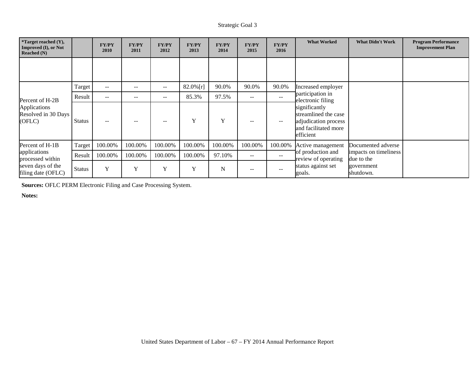| <i>*</i> Target reached $(Y)$ ,<br><b>Improved (I), or Not</b><br>Reached $(N)$ |               | <b>FY/PY</b><br>2010 | <b>FY/PY</b><br>2011 | <b>FY/PY</b><br>2012 | <b>FY/PY</b><br>2013 | <b>FY/PY</b><br>2014 | <b>FY/PY</b><br>2015 | <b>FY/PY</b><br>2016 | <b>What Worked</b>                                                                                                                          | <b>What Didn't Work</b>                                                              | <b>Program Performance</b><br><b>Improvement Plan</b> |
|---------------------------------------------------------------------------------|---------------|----------------------|----------------------|----------------------|----------------------|----------------------|----------------------|----------------------|---------------------------------------------------------------------------------------------------------------------------------------------|--------------------------------------------------------------------------------------|-------------------------------------------------------|
|                                                                                 |               |                      |                      |                      |                      |                      |                      |                      |                                                                                                                                             |                                                                                      |                                                       |
|                                                                                 | Target        | $- -$                | $-$                  | $\qquad \qquad -$    | 82.0%[r]             | 90.0%                | 90.0%                | 90.0%                | Increased employer                                                                                                                          |                                                                                      |                                                       |
| Percent of H-2B<br>Applications<br>Resolved in 30 Days<br>(OFLC)                | Result        | $- -$                | --                   | --                   | 85.3%                | 97.5%                | $\qquad \qquad -$    | --                   | participation in<br>electronic filing<br>significantly<br>streamlined the case<br>adjudication process<br>and facilitated more<br>efficient |                                                                                      |                                                       |
|                                                                                 | <b>Status</b> | $\sim$ $\sim$        | $-$                  | $- -$                | Y                    | Y                    |                      | $-$                  |                                                                                                                                             |                                                                                      |                                                       |
| Percent of H-1B                                                                 | Target        | 100.00%              | 100.00%              | 100.00%              | 100.00%              | 100.00%              | 100.00%              | 100.00%              | Active management<br>of production and<br>review of operating<br>status against set<br>goals.                                               | Documented adverse<br>impacts on timeliness<br>due to the<br>government<br>shutdown. |                                                       |
| applications<br>processed within<br>seven days of the<br>filing date (OFLC)     | Result        | 100.00%              | 100.00%              | 100.00%              | 100.00%              | 97.10%               | $- -$                | $-$                  |                                                                                                                                             |                                                                                      |                                                       |
|                                                                                 | <b>Status</b> | Y                    | Y                    | Y                    | Y                    | N                    | $- -$                | --                   |                                                                                                                                             |                                                                                      |                                                       |

**Sources:** OFLC PERM Electronic Filing and Case Processing System.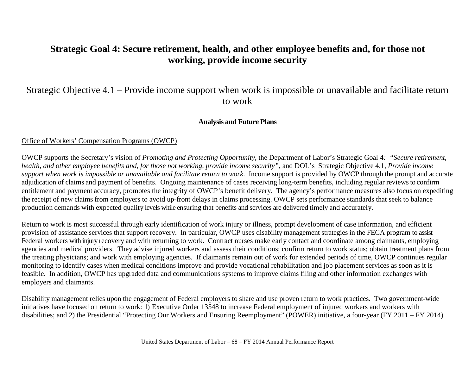# **Strategic Goal 4: Secure retirement, health, and other employee benefits and, for those not working, provide income security**

# Strategic Objective 4.1 – Provide income support when work is impossible or unavailable and facilitate return to work

# **Analysis and Future Plans**

### Office of Workers' Compensation Programs (OWCP)

OWCP supports the Secretary's vision of *Promoting and Protecting Opportunity*, the Department of Labor's Strategic Goal 4*: "Secure retirement, health, and other employee benefits and, for those not working, provide income security"*, and DOL's Strategic Objective 4.1, *Provide income support when work is impossible or unavailable and facilitate return to work*. Income support is provided by OWCP through the prompt and accurate adjudication of claims and payment of benefits. Ongoing maintenance of cases receiving long-term benefits, including regular reviews to confirm entitlement and payment accuracy, promotes the integrity of OWCP's benefit delivery. The agency's performance measures also focus on expediting the receipt of new claims from employers to avoid up-front delays in claims processing. OWCP sets performance standards that seek to balance production demands with expected quality levels while ensuring that benefits and services are delivered timely and accurately.

Return to work is most successful through early identification of work injury or illness, prompt development of case information, and efficient provision of assistance services that support recovery. In particular, OWCP uses disability management strategies in the FECA program to assist Federal workers with injury recovery and with returning to work. Contract nurses make early contact and coordinate among claimants, employing agencies and medical providers. They advise injured workers and assess their conditions; confirm return to work status; obtain treatment plans from the treating physicians; and work with employing agencies. If claimants remain out of work for extended periods of time, OWCP continues regular monitoring to identify cases when medical conditions improve and provide vocational rehabilitation and job placement services as soon as it is feasible. In addition, OWCP has upgraded data and communications systems to improve claims filing and other information exchanges with employers and claimants.

Disability management relies upon the engagement of Federal employers to share and use proven return to work practices. Two government-wide initiatives have focused on return to work: 1) Executive Order 13548 to increase Federal employment of injured workers and workers with disabilities; and 2) the Presidential "Protecting Our Workers and Ensuring Reemployment" (POWER) initiative, a four-year (FY 2011 – FY 2014)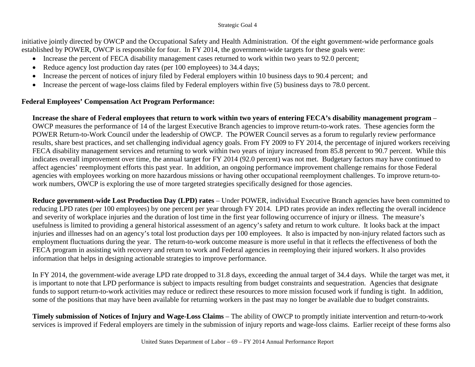initiative jointly directed by OWCP and the Occupational Safety and Health Administration. Of the eight government-wide performance goals established by POWER, OWCP is responsible for four. In FY 2014, the government-wide targets for these goals were:

- Increase the percent of FECA disability management cases returned to work within two years to 92.0 percent;
- Reduce agency lost production day rates (per 100 employees) to 34.4 days;
- Increase the percent of notices of injury filed by Federal employers within 10 business days to 90.4 percent; and
- Increase the percent of wage-loss claims filed by Federal employers within five (5) business days to 78.0 percent.

## **Federal Employees' Compensation Act Program Performance:**

**Increase the share of Federal employees that return to work within two years of entering FECA's disability management program** – OWCP measures the performance of 14 of the largest Executive Branch agencies to improve return-to-work rates. These agencies form the POWER Return-to-Work Council under the leadership of OWCP. The POWER Council serves as a forum to regularly review performance results, share best practices, and set challenging individual agency goals. From FY 2009 to FY 2014, the percentage of injured workers receiving FECA disability management services and returning to work within two years of injury increased from 85.8 percent to 90.7 percent. While this indicates overall improvement over time, the annual target for FY 2014 (92.0 percent) was not met. Budgetary factors may have continued to affect agencies' reemployment efforts this past year. In addition, an ongoing performance improvement challenge remains for those Federal agencies with employees working on more hazardous missions or having other occupational reemployment challenges. To improve return-towork numbers, OWCP is exploring the use of more targeted strategies specifically designed for those agencies.

**Reduce government-wide Lost Production Day (LPD) rates** – Under POWER, individual Executive Branch agencies have been committed to reducing LPD rates (per 100 employees) by one percent per year through FY 2014. LPD rates provide an index reflecting the overall incidence and severity of workplace injuries and the duration of lost time in the first year following occurrence of injury or illness. The measure's usefulness is limited to providing a general historical assessment of an agency's safety and return to work culture. It looks back at the impact injuries and illnesses had on an agency's total lost production days per 100 employees. It also is impacted by non-injury related factors such as employment fluctuations during the year. The return-to-work outcome measure is more useful in that it reflects the effectiveness of both the FECA program in assisting with recovery and return to work and Federal agencies in reemploying their injured workers. It also provides information that helps in designing actionable strategies to improve performance.

In FY 2014, the government-wide average LPD rate dropped to 31.8 days, exceeding the annual target of 34.4 days. While the target was met, it is important to note that LPD performance is subject to impacts resulting from budget constraints and sequestration. Agencies that designate funds to support return-to-work activities may reduce or redirect these resources to more mission focused work if funding is tight. In addition, some of the positions that may have been available for returning workers in the past may no longer be available due to budget constraints.

**Timely submission of Notices of Injury and Wage-Loss Claims** – The ability of OWCP to promptly initiate intervention and return-to-work services is improved if Federal employers are timely in the submission of injury reports and wage-loss claims. Earlier receipt of these forms also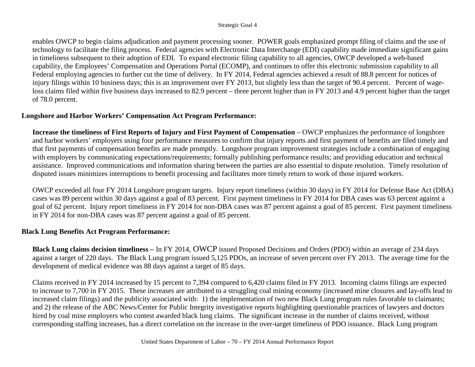enables OWCP to begin claims adjudication and payment processing sooner. POWER goals emphasized prompt filing of claims and the use of technology to facilitate the filing process. Federal agencies with Electronic Data Interchange (EDI) capability made immediate significant gains in timeliness subsequent to their adoption of EDI. To expand electronic filing capability to all agencies, OWCP developed a web-based capability, the Employees' Compensation and Operations Portal (ECOMP), and continues to offer this electronic submission capability to all Federal employing agencies to further cut the time of delivery. In FY 2014, Federal agencies achieved a result of 88.8 percent for notices of injury filings within 10 business days; this is an improvement over FY 2013, but slightly less than the target of 90.4 percent. Percent of wageloss claims filed within five business days increased to 82.9 percent – three percent higher than in FY 2013 and 4.9 percent higher than the target of 78.0 percent.

## **Longshore and Harbor Workers' Compensation Act Program Performance:**

**Increase the timeliness of First Reports of Injury and First Payment of Compensation** – OWCP emphasizes the performance of longshore and harbor workers' employers using four performance measures to confirm that injury reports and first payment of benefits are filed timely and that first payments of compensation benefits are made promptly. Longshore program improvement strategies include a combination of engaging with employers by communicating expectations/requirements; formally publishing performance results; and providing education and technical assistance. Improved communications and information sharing between the parties are also essential to dispute resolution. Timely resolution of disputed issues minimizes interruptions to benefit processing and facilitates more timely return to work of those injured workers.

OWCP exceeded all four FY 2014 Longshore program targets. Injury report timeliness (within 30 days) in FY 2014 for Defense Base Act (DBA) cases was 89 percent within 30 days against a goal of 83 percent. First payment timeliness in FY 2014 for DBA cases was 63 percent against a goal of 62 percent. Injury report timeliness in FY 2014 for non-DBA cases was 87 percent against a goal of 85 percent. First payment timeliness in FY 2014 for non-DBA cases was 87 percent against a goal of 85 percent.

## **Black Lung Benefits Act Program Performance:**

**Black Lung claims decision timeliness –** In FY 2014, OWCP issued Proposed Decisions and Orders (PDO) within an average of 234 days against a target of 220 days. The Black Lung program issued 5,125 PDOs, an increase of seven percent over FY 2013. The average time for the development of medical evidence was 88 days against a target of 85 days.

Claims received in FY 2014 increased by 15 percent to 7,394 compared to 6,420 claims filed in FY 2013. Incoming claims filings are expected to increase to 7,700 in FY 2015. These increases are attributed to a struggling coal mining economy (increased mine closures and lay-offs lead to increased claim filings) and the publicity associated with: 1) the implementation of two new Black Lung program rules favorable to claimants; and 2) the release of the ABC News/Center for Public Integrity investigative reports highlighting questionable practices of lawyers and doctors hired by coal mine employers who contest awarded black lung claims. The significant increase in the number of claims received, without corresponding staffing increases, has a direct correlation on the increase in the over-target timeliness of PDO issuance. Black Lung program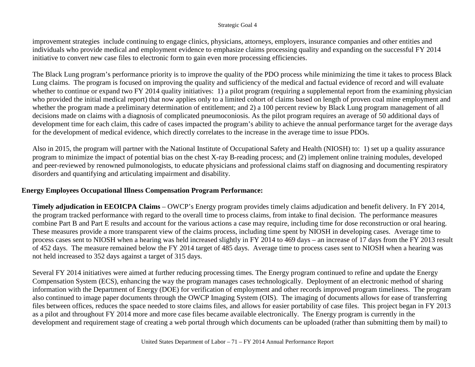improvement strategies include continuing to engage clinics, physicians, attorneys, employers, insurance companies and other entities and individuals who provide medical and employment evidence to emphasize claims processing quality and expanding on the successful FY 2014 initiative to convert new case files to electronic form to gain even more processing efficiencies.

The Black Lung program's performance priority is to improve the quality of the PDO process while minimizing the time it takes to process Black Lung claims. The program is focused on improving the quality and sufficiency of the medical and factual evidence of record and will evaluate whether to continue or expand two FY 2014 quality initiatives: 1) a pilot program (requiring a supplemental report from the examining physician who provided the initial medical report) that now applies only to a limited cohort of claims based on length of proven coal mine employment and whether the program made a preliminary determination of entitlement; and 2) a 100 percent review by Black Lung program management of all decisions made on claims with a diagnosis of complicated pneumoconiosis. As the pilot program requires an average of 50 additional days of development time for each claim, this cadre of cases impacted the program's ability to achieve the annual performance target for the average days for the development of medical evidence, which directly correlates to the increase in the average time to issue PDOs.

Also in 2015, the program will partner with the National Institute of Occupational Safety and Health (NIOSH) to: 1) set up a quality assurance program to minimize the impact of potential bias on the chest X-ray B-reading process; and (2) implement online training modules, developed and peer-reviewed by renowned pulmonologists, to educate physicians and professional claims staff on diagnosing and documenting respiratory disorders and quantifying and articulating impairment and disability.

## **Energy Employees Occupational Illness Compensation Program Performance:**

**Timely adjudication in EEOICPA Claims** – OWCP's Energy program provides timely claims adjudication and benefit delivery. In FY 2014, the program tracked performance with regard to the overall time to process claims, from intake to final decision. The performance measures combine Part B and Part E results and account for the various actions a case may require, including time for dose reconstruction or oral hearing. These measures provide a more transparent view of the claims process, including time spent by NIOSH in developing cases. Average time to process cases sent to NIOSH when a hearing was held increased slightly in FY 2014 to 469 days – an increase of 17 days from the FY 2013 result of 452 days. The measure remained below the FY 2014 target of 485 days. Average time to process cases sent to NIOSH when a hearing was not held increased to 352 days against a target of 315 days.

Several FY 2014 initiatives were aimed at further reducing processing times. The Energy program continued to refine and update the Energy Compensation System (ECS), enhancing the way the program manages cases technologically. Deployment of an electronic method of sharing information with the Department of Energy (DOE) for verification of employment and other records improved program timeliness. The program also continued to image paper documents through the OWCP Imaging System (OIS). The imaging of documents allows for ease of transferring files between offices, reduces the space needed to store claims files, and allows for easier portability of case files. This project began in FY 2013 as a pilot and throughout FY 2014 more and more case files became available electronically. The Energy program is currently in the development and requirement stage of creating a web portal through which documents can be uploaded (rather than submitting them by mail) to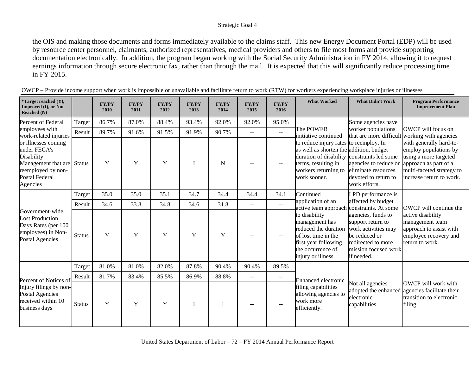the OIS and making those documents and forms immediately available to the claims staff. This new Energy Document Portal (EDP) will be used by resource center personnel, claimants, authorized representatives, medical providers and others to file most forms and provide supporting documentation electronically. In addition, the program began working with the Social Security Administration in FY 2014, allowing it to request earnings information through secure electronic fax, rather than through the mail. It is expected that this will significantly reduce processing time in FY 2015.

| *Target reached (Y),<br><b>Improved (I), or Not</b><br>Reached (N)                                                                         |               | <b>FY/PY</b><br>2010 | <b>FY/PY</b><br>2011 | <b>FY/PY</b><br>2012 | <b>FY/PY</b><br>2013 | <b>FY/PY</b><br>2014 | <b>FY/PY</b><br>2015 | <b>FY/PY</b><br>2016     | <b>What Worked</b>                                                                                                                                                                    | <b>What Didn't Work</b>                                                                                                                     | <b>Program Performance</b><br><b>Improvement Plan</b>                                                                                                       |
|--------------------------------------------------------------------------------------------------------------------------------------------|---------------|----------------------|----------------------|----------------------|----------------------|----------------------|----------------------|--------------------------|---------------------------------------------------------------------------------------------------------------------------------------------------------------------------------------|---------------------------------------------------------------------------------------------------------------------------------------------|-------------------------------------------------------------------------------------------------------------------------------------------------------------|
| Percent of Federal                                                                                                                         | Target        | 86.7%                | 87.0%                | 88.4%                | 93.4%                | 92.0%                | 92.0%                | 95.0%                    |                                                                                                                                                                                       | Some agencies have                                                                                                                          |                                                                                                                                                             |
| employees with<br>work-related injuries                                                                                                    | Result        | 89.7%                | 91.6%                | 91.5%                | 91.9%                | 90.7%                | $- -$                | $-$                      | The POWER<br>initiative continued<br>to reduce injury rates to reemploy. In<br>as well as shorten the addition, budget<br>terms, resulting in<br>workers returning to<br>work sooner. | worker populations                                                                                                                          | OWCP will focus on<br>that are more difficult working with agencies                                                                                         |
| or illnesses coming<br>under FECA's<br>Disability<br>Management that are Status<br>reemployed by non-<br><b>Postal Federal</b><br>Agencies |               | Y                    | Y                    | $\mathbf Y$          |                      | N                    |                      |                          |                                                                                                                                                                                       | duration of disability constraints led some<br>agencies to reduce or<br>eliminate resources<br>devoted to return to<br>work efforts.        | with generally hard-to-<br>employ populations by<br>using a more targeted<br>approach as part of a<br>multi-faceted strategy to<br>increase return to work. |
|                                                                                                                                            | Target        | 35.0                 | 35.0                 | 35.1                 | 34.7                 | 34.4                 | 34.4                 | 34.1                     | Continued                                                                                                                                                                             | LPD performance is                                                                                                                          |                                                                                                                                                             |
|                                                                                                                                            | Result        | 34.6                 | 33.8                 | 34.8                 | 34.6                 | 31.8                 | $- -$                | $\sim$                   | application of an<br>active team approach constraints. At some                                                                                                                        | affected by budget                                                                                                                          | <b>OWCP</b> will continue the                                                                                                                               |
| Government-wide<br><b>Lost Production</b><br>Days Rates (per 100<br>employees) in Non-<br><b>Postal Agencies</b>                           | <b>Status</b> | Y                    | Y                    | Y                    | Y                    | Y                    |                      | $\overline{\phantom{m}}$ | to disability<br>management has<br>reduced the duration<br>of lost time in the<br>first year following<br>the occurrence of<br>injury or illness.                                     | agencies, funds to<br>support return to<br>work activities may<br>be reduced or<br>redirected to more<br>mission focused work<br>if needed. | active disability<br>management team<br>approach to assist with<br>employee recovery and<br>return to work.                                                 |
|                                                                                                                                            | Target        | 81.0%                | 81.0%                | 82.0%                | 87.8%                | 90.4%                | 90.4%                | 89.5%                    |                                                                                                                                                                                       |                                                                                                                                             |                                                                                                                                                             |
| Percent of Notices of                                                                                                                      | Result        | 81.7%                | 83.4%                | 85.5%                | 86.9%                | 88.8%                | $- -$                | $ -$                     | Enhanced electronic                                                                                                                                                                   |                                                                                                                                             |                                                                                                                                                             |
| Injury filings by non-<br><b>Postal Agencies</b><br>received within 10<br>business days                                                    | <b>Status</b> | Y                    | Y                    | Y                    |                      |                      |                      |                          | filing capabilities<br>allowing agencies to<br>work more<br>efficiently.                                                                                                              | Not all agencies<br>adopted the enhanced<br>electronic<br>capabilities.                                                                     | OWCP will work with<br>agencies facilitate their<br>transition to electronic<br>filing.                                                                     |

| OWCP - Provide income support when work is impossible or unavailable and facilitate return to work (RTW) for workers experiencing workplace injuries or illnesses |  |
|-------------------------------------------------------------------------------------------------------------------------------------------------------------------|--|
|                                                                                                                                                                   |  |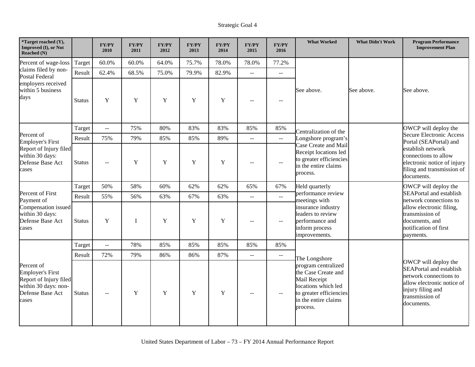| *Target reached (Y),<br>Improved (I), or Not<br>Reached (N)                                                          |               | <b>FY/PY</b><br>2010      | FY/PY<br>2011 | FY/PY<br>2012 | <b>FY/PY</b><br>2013 | <b>FY/PY</b><br>2014 | <b>FY/PY</b><br>2015      | <b>FY/PY</b><br>2016                          | <b>What Worked</b>                                                                                                                               | <b>What Didn't Work</b> | <b>Program Performance</b><br><b>Improvement Plan</b>                                                                                                                |
|----------------------------------------------------------------------------------------------------------------------|---------------|---------------------------|---------------|---------------|----------------------|----------------------|---------------------------|-----------------------------------------------|--------------------------------------------------------------------------------------------------------------------------------------------------|-------------------------|----------------------------------------------------------------------------------------------------------------------------------------------------------------------|
| Percent of wage-loss                                                                                                 | Target        | 60.0%                     | 60.0%         | 64.0%         | 75.7%                | 78.0%                | 78.0%                     | 77.2%                                         |                                                                                                                                                  |                         |                                                                                                                                                                      |
| claims filed by non-<br><b>Postal Federal</b>                                                                        | Result        | 62.4%                     | 68.5%         | 75.0%         | 79.9%                | 82.9%                | $\mathbb{L}^{\mathbb{L}}$ | $\mathbb{L}^{\mathbb{L}}$                     |                                                                                                                                                  |                         |                                                                                                                                                                      |
| employers received<br>within 5 business<br>days                                                                      | <b>Status</b> | Y                         | $\mathbf Y$   | $\mathbf Y$   | Y                    | $\mathbf Y$          | $-$                       | $\overline{\phantom{m}}$                      | See above.                                                                                                                                       | See above.              | See above.                                                                                                                                                           |
|                                                                                                                      | Target        | $\sim$ $\sim$             | 75%           | 80%           | 83%                  | 83%                  | 85%                       | 85%                                           | Centralization of the                                                                                                                            |                         | OWCP will deploy the                                                                                                                                                 |
| Percent of<br><b>Employer's First</b>                                                                                | Result        | 75%                       | 79%           | 85%           | 85%                  | 89%                  | $\mathbb{H}^{\mathbb{H}}$ | $\mathcal{L}(\mathcal{L})$                    | Longshore program's                                                                                                                              |                         | <b>Secure Electronic Access</b><br>Portal (SEAPortal) and                                                                                                            |
| Report of Injury filed<br>within 30 days:<br>Defense Base Act<br>cases                                               | <b>Status</b> | $\sim$ $\sim$             | Y             | $\mathbf Y$   | Y                    | $\mathbf Y$          | $-$                       | $\overline{a}$                                | Case Create and Mail<br>Receipt locations led<br>to greater efficiencies<br>in the entire claims<br>process.                                     |                         | establish network<br>connections to allow<br>electronic notice of injury<br>filing and transmission of<br>documents.                                                 |
|                                                                                                                      | Target        | 50%                       | 58%           | 60%           | 62%                  | 62%                  | 65%                       | 67%                                           | Held quarterly                                                                                                                                   |                         | OWCP will deploy the                                                                                                                                                 |
| Percent of First<br>Payment of                                                                                       | Result        | 55%                       | 56%           | 63%           | 67%                  | 63%                  | $\sim$ $\sim$             | $\overline{a}$                                | performance review<br>meetings with                                                                                                              |                         | <b>SEAPortal and establish</b><br>network connections to                                                                                                             |
| Compensation issued<br>within 30 days:<br>Defense Base Act<br>cases                                                  | <b>Status</b> | Y                         | I             | Y             | Y                    | Y                    | $-$                       | $\overline{a}$                                | insurance industry<br>leaders to review<br>performance and<br>inform process<br>improvements.                                                    |                         | allow electronic filing,<br>transmission of<br>documents, and<br>notification of first<br>payments.                                                                  |
|                                                                                                                      | Target        | $\mathbb{L}^{\mathbb{L}}$ | 78%           | 85%           | 85%                  | 85%                  | 85%                       | 85%                                           |                                                                                                                                                  |                         |                                                                                                                                                                      |
|                                                                                                                      | Result        | 72%                       | 79%           | 86%           | 86%                  | 87%                  | $\overline{a}$            | $\mathord{\hspace{1pt}\text{--}\hspace{1pt}}$ | The Longshore                                                                                                                                    |                         |                                                                                                                                                                      |
| Percent of<br><b>Employer's First</b><br>Report of Injury filed<br>within 30 days: non-<br>Defense Base Act<br>cases | <b>Status</b> | $\sim$                    | Y             | Y             | Y                    | Y                    | $\overline{\phantom{m}}$  | $\mathord{\hspace{1pt}\text{--}\hspace{1pt}}$ | program centralized<br>the Case Create and<br>Mail Receipt<br>locations which led<br>to greater efficiencies<br>in the entire claims<br>process. |                         | OWCP will deploy the<br><b>SEAPortal and establish</b><br>network connections to<br>allow electronic notice of<br>injury filing and<br>transmission of<br>documents. |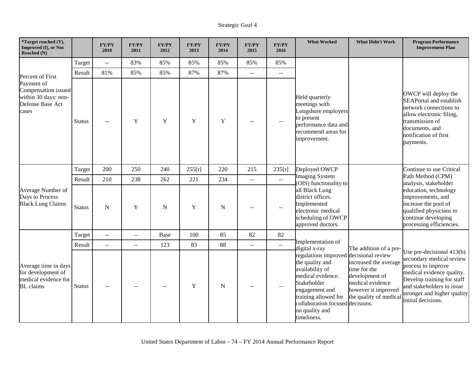| *Target reached (Y),<br>Improved (I), or Not<br><b>Reached</b> (N)                     |               | <b>FY/PY</b><br>2010 | <b>FY/PY</b><br>2011 | <b>FY/PY</b><br>2012 | <b>FY/PY</b><br>2013 | <b>FY/PY</b><br>2014 | <b>FY/PY</b><br>2015        | <b>FY/PY</b><br>2016               | <b>What Worked</b>                                                                                                                                                                                                              | <b>What Didn't Work</b>                                                                                                     | <b>Program Performance</b><br><b>Improvement Plan</b>                                                                                                                                                                      |
|----------------------------------------------------------------------------------------|---------------|----------------------|----------------------|----------------------|----------------------|----------------------|-----------------------------|------------------------------------|---------------------------------------------------------------------------------------------------------------------------------------------------------------------------------------------------------------------------------|-----------------------------------------------------------------------------------------------------------------------------|----------------------------------------------------------------------------------------------------------------------------------------------------------------------------------------------------------------------------|
|                                                                                        | Target        | $\sim$ $\sim$        | 83%                  | 85%                  | 85%                  | 85%                  | 85%                         | 85%                                |                                                                                                                                                                                                                                 |                                                                                                                             |                                                                                                                                                                                                                            |
| Percent of First                                                                       | Result        | 81%                  | 85%                  | 85%                  | 87%                  | 87%                  | $\sim$ $\sim$               | $\mathbf{L}$                       |                                                                                                                                                                                                                                 |                                                                                                                             |                                                                                                                                                                                                                            |
| Payment of<br>Compensation issued<br>within 30 days: non-<br>Defense Base Act<br>cases | <b>Status</b> |                      | Y                    | Y                    | Y                    | $\mathbf Y$          |                             | $\sim$                             | Held quarterly<br>meetings with<br>Longshore employers<br>to present<br>performance data and<br>recommend areas for<br>improvement.                                                                                             |                                                                                                                             | OWCP will deploy the<br><b>SEAPortal and establish</b><br>network connections to<br>allow electronic filing,<br>transmission of<br>documents, and<br>notification of first<br>payments.                                    |
|                                                                                        | Target        | 200                  | 250                  | 240                  | 255[r]               | 220                  | 215                         | 235[r]                             | Deployed OWCP                                                                                                                                                                                                                   |                                                                                                                             | Continue to use Critical                                                                                                                                                                                                   |
|                                                                                        | Result        | 210                  | 238                  | 262                  | 221                  | 234                  | $\sim$ $\sim$               | $\mathbb{Z}^{\mathbb{Z}^{\times}}$ | <b>Imaging System</b><br>(OIS) functionality to                                                                                                                                                                                 |                                                                                                                             | Path Method (CPM)<br>analysis, stakeholder                                                                                                                                                                                 |
| Average Number of<br>Days to Process<br><b>Black Lung Claims</b>                       | <b>Status</b> | N                    | Y                    | $\mathbf N$          | Y                    | $\mathbf N$          | $-$                         | $-$                                | all Black Lung<br>district offices.<br>Implemented<br>electronic medical<br>scheduling of OWCP<br>approved doctors.                                                                                                             |                                                                                                                             | education, technology<br>improvements, and<br>increase the pool of<br>qualified physicians to<br>continue developing<br>processing efficiencies.                                                                           |
|                                                                                        | Target        | $\sim$ $\sim$        | $\overline{a}$       | Base                 | 100                  | 85                   | 82                          | 82                                 |                                                                                                                                                                                                                                 |                                                                                                                             |                                                                                                                                                                                                                            |
|                                                                                        | Result        | $\sim$ $\sim$        | $\mathcal{L} =$      | 123                  | 83                   | 88                   | $\mathcal{L}_{\mathcal{F}}$ | $\sim$ $\sim$                      | Implementation of<br>digital x-ray                                                                                                                                                                                              | The addition of a pre-                                                                                                      |                                                                                                                                                                                                                            |
| Average time in days<br>for development of<br>medical evidence for<br><b>BL</b> claims | <b>Status</b> |                      |                      |                      | Y                    | $\mathbf N$          |                             | $-$                                | regulations improved decisional review<br>the quality and<br>availability of<br>medical evidence.<br>Stakeholder<br>engagement and<br>training allowed for<br>collaboration focused decisions.<br>on quality and<br>timeliness. | increased the average<br>time for the<br>development of<br>medical evidence<br>however it improved<br>the quality of medica | Use pre-decisional $413(b)$<br>secondary medical review<br>process to improve<br>medical evidence quality.<br>Develop training for staff<br>and stakeholders to issue<br>stronger and higher quality<br>initial decisions. |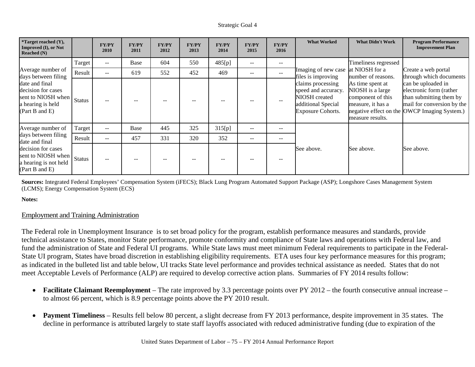| <i>*</i> Target reached $(Y)$ ,<br><b>Improved (I), or Not</b><br>Reached $(N)$                   |               | <b>FY/PY</b><br>2010 | <b>FY/PY</b><br>2011 | <b>FY/PY</b><br>2012 | <b>FY/PY</b><br>2013 | <b>FY/PY</b><br>2014 | <b>FY/PY</b><br>2015     | <b>FY/PY</b><br>2016 | <b>What Worked</b>                                                                                          | <b>What Didn't Work</b>                                                                            | <b>Program Performance</b><br><b>Improvement Plan</b>                                                                                                  |
|---------------------------------------------------------------------------------------------------|---------------|----------------------|----------------------|----------------------|----------------------|----------------------|--------------------------|----------------------|-------------------------------------------------------------------------------------------------------------|----------------------------------------------------------------------------------------------------|--------------------------------------------------------------------------------------------------------------------------------------------------------|
|                                                                                                   | Target        | $\sim$ $\sim$        | Base                 | 604                  | 550                  | 485[p]               | $-$                      | --                   |                                                                                                             | Timeliness regressed                                                                               |                                                                                                                                                        |
| Average number of<br>days between filing                                                          | Result        | $\sim$ $\sim$        | 619                  | 552                  | 452                  | 469                  | $\overline{\phantom{m}}$ | $- -$                | Imaging of new case<br>files is improving                                                                   | at NIOSH for a<br>number of reasons.                                                               | Create a web portal<br>through which documents                                                                                                         |
| date and final<br>decision for cases<br>sent to NIOSH when<br>a hearing is held<br>(Part B and E) | <b>Status</b> |                      | --                   |                      |                      |                      |                          | --                   | claims processing<br>speed and accuracy.<br>NIOSH created<br>additional Special<br><b>Exposure Cohorts.</b> | As time spent at<br>NIOSH is a large<br>component of this<br>measure, it has a<br>measure results. | can be uploaded in<br>electronic form (rather<br>than submitting them by<br>mail for conversion by the<br>negative effect on the OWCP Imaging System.) |
| Average number of                                                                                 | Target        | $\sim$ $\sim$        | Base                 | 445                  | 325                  | 315[p]               | $- -$                    | --                   |                                                                                                             |                                                                                                    |                                                                                                                                                        |
| days between filing<br>date and final                                                             | Result        | $\sim$ $\sim$        | 457                  | 331                  | 320                  | 352                  | $- -$                    | $- -$                |                                                                                                             |                                                                                                    |                                                                                                                                                        |
| decision for cases<br>sent to NIOSH when<br>a hearing is not held<br>(Part B and E)               | <b>Status</b> |                      | $- -$                |                      |                      |                      |                          | --                   | See above.                                                                                                  | See above.                                                                                         | See above.                                                                                                                                             |

**Sources:** Integrated Federal Employees' Compensation System (iFECS); Black Lung Program Automated Support Package (ASP); Longshore Cases Management System (LCMS); Energy Compensation System (ECS)

**Notes:**

## Employment and Training Administration

The Federal role in Unemployment Insurance is to set broad policy for the program, establish performance measures and standards, provide technical assistance to States, monitor State performance, promote conformity and compliance of State laws and operations with Federal law, and fund the administration of State and Federal UI programs. While State laws must meet minimum Federal requirements to participate in the Federal-State UI program, States have broad discretion in establishing eligibility requirements. ETA uses four key performance measures for this program; as indicated in the bulleted list and table below, UI tracks State level performance and provides technical assistance as needed. States that do not meet Acceptable Levels of Performance (ALP) are required to develop corrective action plans. Summaries of FY 2014 results follow:

- **Facilitate Claimant Reemployment** The rate improved by 3.3 percentage points over PY 2012 the fourth consecutive annual increase to almost 66 percent, which is 8.9 percentage points above the PY 2010 result.
- **Payment Timeliness** Results fell below 80 percent, a slight decrease from FY 2013 performance, despite improvement in 35 states. The decline in performance is attributed largely to state staff layoffs associated with reduced administrative funding (due to expiration of the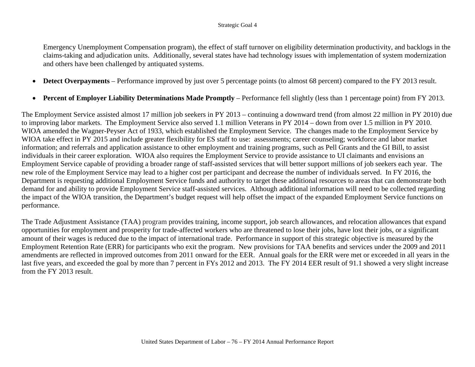Emergency Unemployment Compensation program), the effect of staff turnover on eligibility determination productivity, and backlogs in the claims-taking and adjudication units. Additionally, several states have had technology issues with implementation of system modernization and others have been challenged by antiquated systems.

- **Detect Overpayments** Performance improved by just over 5 percentage points (to almost 68 percent) compared to the FY 2013 result.
- **Percent of Employer Liability Determinations Made Promptly** Performance fell slightly (less than 1 percentage point) from FY 2013.

The Employment Service assisted almost 17 million job seekers in PY 2013 – continuing a downward trend (from almost 22 million in PY 2010) due to improving labor markets. The Employment Service also served 1.1 million Veterans in PY 2014 – down from over 1.5 million in PY 2010. WIOA amended the Wagner-Peyser Act of 1933, which established the Employment Service. The changes made to the Employment Service by WIOA take effect in PY 2015 and include greater flexibility for ES staff to use: assessments; career counseling; workforce and labor market information; and referrals and application assistance to other employment and training programs, such as Pell Grants and the GI Bill, to assist individuals in their career exploration. WIOA also requires the Employment Service to provide assistance to UI claimants and envisions an Employment Service capable of providing a broader range of staff-assisted services that will better support millions of job seekers each year. The new role of the Employment Service may lead to a higher cost per participant and decrease the number of individuals served. In FY 2016, the Department is requesting additional Employment Service funds and authority to target these additional resources to areas that can demonstrate both demand for and ability to provide Employment Service staff-assisted services. Although additional information will need to be collected regarding the impact of the WIOA transition, the Department's budget request will help offset the impact of the expanded Employment Service functions on performance.

The Trade Adjustment Assistance (TAA) program provides training, income support, job search allowances, and relocation allowances that expand opportunities for employment and prosperity for trade-affected workers who are threatened to lose their jobs, have lost their jobs, or a significant amount of their wages is reduced due to the impact of international trade. Performance in support of this strategic objective is measured by the Employment Retention Rate (ERR) for participants who exit the program. New provisions for TAA benefits and services under the 2009 and 2011 amendments are reflected in improved outcomes from 2011 onward for the EER. Annual goals for the ERR were met or exceeded in all years in the last five years, and exceeded the goal by more than 7 percent in FYs 2012 and 2013. The FY 2014 EER result of 91.1 showed a very slight increase from the FY 2013 result.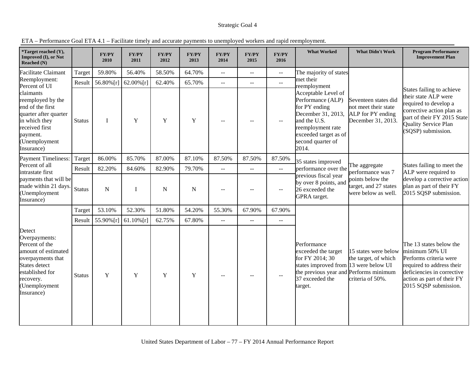| *Target reached (Y),<br>Improved (I), or Not<br>Reached (N)                                                                                                           |               | <b>FY/PY</b><br>2010 | <b>FY/PY</b><br>2011 | <b>FY/PY</b><br>2012 | <b>FY/PY</b><br>2013 | <b>FY/PY</b><br>2014     | <b>FY/PY</b><br>2015 | <b>FY/PY</b><br>2016                          | <b>What Worked</b>                                                                                                                                                          | <b>What Didn't Work</b>                                                                 | <b>Program Performance</b><br><b>Improvement Plan</b>                                                                                                                                       |
|-----------------------------------------------------------------------------------------------------------------------------------------------------------------------|---------------|----------------------|----------------------|----------------------|----------------------|--------------------------|----------------------|-----------------------------------------------|-----------------------------------------------------------------------------------------------------------------------------------------------------------------------------|-----------------------------------------------------------------------------------------|---------------------------------------------------------------------------------------------------------------------------------------------------------------------------------------------|
| <b>Facilitate Claimant</b>                                                                                                                                            | Target        | 59.80%               | 56.40%               | 58.50%               | 64.70%               | $\mathbf{L}$             | $\sim$ $\sim$        | $\mathord{\hspace{1pt}\text{--}\hspace{1pt}}$ | The majority of states                                                                                                                                                      |                                                                                         |                                                                                                                                                                                             |
| Reemployment:<br>Percent of UI                                                                                                                                        | Result        | 56.80%[r]            | $62.00\%$ [r]        | 62.40%               | 65.70%               | $-1$                     | $\mathbf{u}$         | $\mathbb{L} \mathbb{L}$                       | met their<br>reemployment                                                                                                                                                   |                                                                                         |                                                                                                                                                                                             |
| claimants<br>reemployed by the<br>end of the first<br>quarter after quarter<br>in which they<br>received first<br>payment.<br>(Unemployment<br>Insurance)             | <b>Status</b> | $\mathbf I$          | Y                    | Y                    | Y                    | $-$                      |                      | $-$                                           | Acceptable Level of<br>Performance (ALP)<br>for PY ending<br>December 31, 2013,<br>and the U.S.<br>reemployment rate<br>exceeded target as of<br>second quarter of<br>2014. | Seventeen states did<br>not meet their state<br>ALP for PY ending<br>December 31, 2013. | States failing to achieve<br>their state ALP were<br>required to develop a<br>corrective action plan as<br>part of their FY 2015 State<br><b>Quality Service Plan</b><br>(SQSP) submission. |
| <b>Payment Timeliness:</b>                                                                                                                                            | Target        | 86.00%               | 85.70%               | 87.00%               | 87.10%               | 87.50%                   | 87.50%               | 87.50%                                        | 35 states improved                                                                                                                                                          |                                                                                         |                                                                                                                                                                                             |
| Percent of all<br>intrastate first                                                                                                                                    | Result        | 82.20%               | 84.60%               | 82.90%               | 79.70%               | $-$                      | $\overline{a}$       | $\mathbb{L}^{\mathbb{L}}$                     | performance over the                                                                                                                                                        | The aggregate<br>performance was 7                                                      | States failing to meet the<br>ALP were required to                                                                                                                                          |
| payments that will be<br>made within 21 days.<br>(Unemployment<br>Insurance)                                                                                          | <b>Status</b> | ${\bf N}$            | I                    | ${\bf N}$            | ${\bf N}$            | $- -$                    |                      | $\overline{\phantom{m}}$                      | previous fiscal year<br>by over 8 points, and<br>26 exceeded the<br>GPRA target.                                                                                            | points below the<br>target, and 27 states<br>were below as well.                        | develop a corrective action<br>plan as part of their FY<br>2015 SQSP submission.                                                                                                            |
|                                                                                                                                                                       | Target        | 53.10%               | 52.30%               | 51.80%               | 54.20%               | 55.30%                   | 67.90%               | 67.90%                                        |                                                                                                                                                                             |                                                                                         |                                                                                                                                                                                             |
|                                                                                                                                                                       | Result        | 55.90%[r]            | $61.10\%$ [r]        | 62.75%               | 67.80%               | $\overline{\phantom{a}}$ | $\overline{a}$       | $\sim$ $\sim$                                 |                                                                                                                                                                             |                                                                                         |                                                                                                                                                                                             |
| Detect<br>Overpayments:<br>Percent of the<br>amount of estimated<br>overpayments that<br>States detect<br>established for<br>recovery.<br>(Unemployment<br>Insurance) | <b>Status</b> | Y                    | Y                    | Y                    | Y                    | $-$                      |                      | $\mathbf{u}$                                  | Performance<br>exceeded the target<br>for FY 2014; 30<br>states improved from 13 were below UI<br>the previous year and Performs minimum<br>37 exceeded the<br>target.      | 15 states were below<br>the target, of which<br>criteria of 50%.                        | The 13 states below the<br>minimum 50% UI<br>Performs criteria were<br>required to address their<br>deficiencies in corrective<br>action as part of their FY<br>2015 SQSP submission.       |

ETA – Performance Goal ETA 4.1 – Facilitate timely and accurate payments to unemployed workers and rapid reemployment.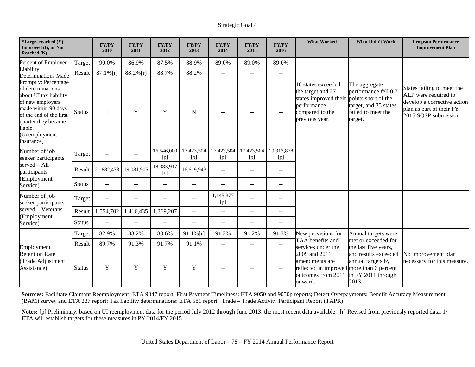| *Target reached (Y),<br>Improved (I), or Not<br>Reached (N)                                                                                                                                                |               | <b>FY/PY</b><br>2010 | <b>FY/PY</b><br>2011 | <b>FY/PY</b><br>2012 | <b>FY/PY</b><br>2013     | <b>FY/PY</b><br>2014                          | <b>FY/PY</b><br>2015     | <b>FY/PY</b><br>2016     | <b>What Worked</b>                                                                                                   | <b>What Didn't Work</b>                                                                                                | <b>Program Performance</b><br><b>Improvement Plan</b>                                                                                  |
|------------------------------------------------------------------------------------------------------------------------------------------------------------------------------------------------------------|---------------|----------------------|----------------------|----------------------|--------------------------|-----------------------------------------------|--------------------------|--------------------------|----------------------------------------------------------------------------------------------------------------------|------------------------------------------------------------------------------------------------------------------------|----------------------------------------------------------------------------------------------------------------------------------------|
| Percent of Employer                                                                                                                                                                                        | Target        | 90.0%                | 86.9%                | 87.5%                | 88.9%                    | 89.0%                                         | 89.0%                    | 89.0%                    |                                                                                                                      |                                                                                                                        |                                                                                                                                        |
| Liability<br><b>Determinations Made</b>                                                                                                                                                                    | Result        | $87.1\%$ [r]         | 88.2%[r]             | 88.7%                | 88.2%                    | $-$                                           | $\overline{\phantom{a}}$ | $\sim$ $\sim$            |                                                                                                                      |                                                                                                                        |                                                                                                                                        |
| Promptly: Percentage<br>of determinations<br>about UI tax liability<br>of new employers<br>made within 90 days<br>of the end of the first<br>quarter they became<br>liable.<br>(Unemployment<br>Insurance) | <b>Status</b> | $\mathbf I$          | Y                    | Y                    | N                        |                                               |                          | $-$                      | 18 states exceeded<br>the target and 27<br>states improved their<br>performance<br>compared to the<br>previous year. | The aggregate<br>performance fell 0.7<br>points short of the<br>target, and 35 states<br>failed to meet the<br>target. | States failing to meet the<br>ALP were required to<br>develop a corrective action<br>plan as part of their FY<br>2015 SQSP submission. |
| Number of job<br>seeker participants                                                                                                                                                                       | Target        | $-$                  | $- -$                | 16,546,000<br>[p]    | 17,423,504<br>[p]        | 17,423,504<br>[p]                             | 17,423,504<br>[p]        | 19,313,878<br>[p]        |                                                                                                                      |                                                                                                                        |                                                                                                                                        |
| served - All<br>participants                                                                                                                                                                               | Result        | 21,882,473           | 19,081,905           | 18,383,917<br>$[r]$  | 16,619,943               | $\mathord{\hspace{1pt}\text{--}\hspace{1pt}}$ | $\overline{\phantom{m}}$ | $-$                      |                                                                                                                      |                                                                                                                        |                                                                                                                                        |
| (Employment<br>Service)                                                                                                                                                                                    | <b>Status</b> | $-$                  | $-$                  | --                   | --                       | $\overline{\phantom{a}}$                      | $\overline{\phantom{m}}$ | $-$                      |                                                                                                                      |                                                                                                                        |                                                                                                                                        |
| Number of job<br>seeker participants                                                                                                                                                                       | Target        | $\sim$ $\sim$        | $- -$                | $- -$                | $\overline{\phantom{a}}$ | 1,145,377<br>[p]                              | $\overline{\phantom{m}}$ | $\qquad \qquad -$        |                                                                                                                      |                                                                                                                        |                                                                                                                                        |
| served - Veterans<br>(Employment                                                                                                                                                                           | Result        | 1,554,702            | 1,416,435            | 1,369,207            | $---$                    | $\mathord{\hspace{1pt}\text{--}\hspace{1pt}}$ | $\mathbf{u}$             | $\mathbf{u}$             |                                                                                                                      |                                                                                                                        |                                                                                                                                        |
| Service)                                                                                                                                                                                                   | <b>Status</b> | $\overline{a}$       | $-$                  | $-$                  | $-$                      | $\overline{\phantom{a}}$                      | $\mathbf{u}$             | $\rightarrow$            |                                                                                                                      |                                                                                                                        |                                                                                                                                        |
|                                                                                                                                                                                                            | Target        | 82.9%                | 83.2%                | 83.6%                | $91.1\%$ [r]             | 91.2%                                         | 91.2%                    | 91.3%                    | New provisions for                                                                                                   | Annual targets were                                                                                                    |                                                                                                                                        |
| Employment                                                                                                                                                                                                 | Result        | 89.7%                | 91.3%                | 91.7%                | 91.1%                    | $\mathord{\hspace{1pt}\text{--}\hspace{1pt}}$ | $\overline{\phantom{a}}$ | $\mathbf{u}$             | TAA benefits and<br>services under the                                                                               | met or exceeded for<br>the last five years,                                                                            |                                                                                                                                        |
| <b>Retention Rate</b><br>Trade Adjustment<br>Assistance)                                                                                                                                                   | <b>Status</b> | Y                    | Y                    | Y                    | $\mathbf Y$              |                                               |                          | $\overline{\phantom{m}}$ | 2009 and 2011<br>amendments are<br>reflected in improved more than 6 percent<br>outcomes from 2011<br>onward.        | and results exceeded<br>annual targets by<br>in FY 2011 through<br>2013.                                               | No improvement plan<br>necessary for this measure.                                                                                     |

**Sources:** Facilitate Claimant Reemployment: ETA 9047 report; First Payment Timeliness: ETA 9050 and 9050p reports; Detect Overpayments: Benefit Accuracy Measurement (BAM) survey and ETA 227 report; Tax liability determinations: ETA 581 report. Trade – Trade Activity Participant Report (TAPR)

**Notes:** [p] Preliminary, based on UI reemployment data for the period July 2012 through June 2013, the most recent data available. [r] Revised from previously reported data. 1/ ETA will establish targets for these measures in PY 2014/FY 2015.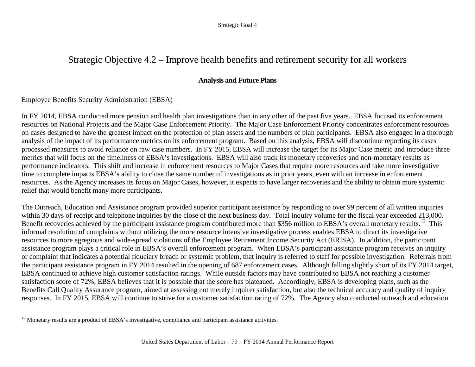## Strategic Objective 4.2 – Improve health benefits and retirement security for all workers

## <span id="page-82-0"></span>**Analysis and Future Plans**

### Employee Benefits Security Administration (EBSA)

 $\overline{a}$ 

In FY 2014, EBSA conducted more pension and health plan investigations than in any other of the past five years. EBSA focused its enforcement resources on National Projects and the Major Case Enforcement Priority. The Major Case Enforcement Priority concentrates enforcement resources on cases designed to have the greatest impact on the protection of plan assets and the numbers of plan participants. EBSA also engaged in a thorough analysis of the impact of its performance metrics on its enforcement program. Based on this analysis, EBSA will discontinue reporting its cases processed measures to avoid reliance on raw case numbers. In FY 2015, EBSA will increase the target for its Major Case metric and introduce three metrics that will focus on the timeliness of EBSA's investigations. EBSA will also track its monetary recoveries and non-monetary results as performance indicators. This shift and increase in enforcement resources to Major Cases that require more resources and take more investigative time to complete impacts EBSA's ability to close the same number of investigations as in prior years, even with an increase in enforcement resources. As the Agency increases its focus on Major Cases, however, it expects to have larger recoveries and the ability to obtain more systemic relief that would benefit many more participants.

The Outreach, Education and Assistance program provided superior participant assistance by responding to over 99 percent of all written inquiries within 30 days of receipt and telephone inquiries by the close of the next business day. Total inquiry volume for the fiscal year exceeded 213,000. Benefit recoveries achieved by the participant assistance program contributed more than \$356 million to EBSA's overall monetary results.<sup>12</sup> This informal resolution of complaints without utilizing the more resource intensive investigative process enables EBSA to direct its investigative resources to more egregious and wide-spread violations of the Employee Retirement Income Security Act (ERISA). In addition, the participant assistance program plays a critical role in EBSA's overall enforcement program. When EBSA's participant assistance program receives an inquiry or complaint that indicates a potential fiduciary breach or systemic problem, that inquiry is referred to staff for possible investigation. Referrals from the participant assistance program in FY 2014 resulted in the opening of 687 enforcement cases. Although falling slightly short of its FY 2014 target, EBSA continued to achieve high customer satisfaction ratings. While outside factors may have contributed to EBSA not reaching a customer satisfaction score of 72%, EBSA believes that it is possible that the score has plateaued. Accordingly, EBSA is developing plans, such as the Benefits Call Quality Assurance program, aimed at assessing not merely inquirer satisfaction, but also the technical accuracy and quality of inquiry responses. In FY 2015, EBSA will continue to strive for a customer satisfaction rating of 72%. The Agency also conducted outreach and education

 $12$  Monetary results are a product of EBSA's investigative, compliance and participant assistance activities.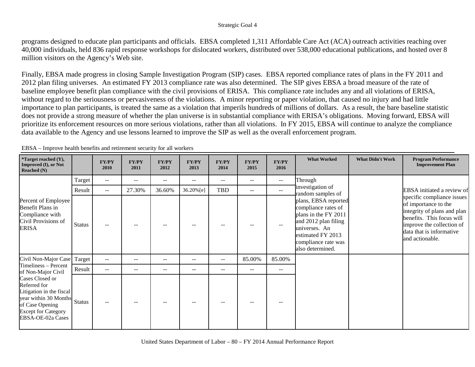programs designed to educate plan participants and officials. EBSA completed 1,311 Affordable Care Act (ACA) outreach activities reaching over 40,000 individuals, held 836 rapid response workshops for dislocated workers, distributed over 538,000 educational publications, and hosted over 8 million visitors on the Agency's Web site.

Finally, EBSA made progress in closing Sample Investigation Program (SIP) cases. EBSA reported compliance rates of plans in the FY 2011 and 2012 plan filing universes. An estimated FY 2013 compliance rate was also determined. The SIP gives EBSA a broad measure of the rate of baseline employee benefit plan compliance with the civil provisions of ERISA. This compliance rate includes any and all violations of ERISA, without regard to the seriousness or pervasiveness of the violations. A minor reporting or paper violation, that caused no injury and had little importance to plan participants, is treated the same as a violation that imperils hundreds of millions of dollars. As a result, the bare baseline statistic does not provide a strong measure of whether the plan universe is in substantial compliance with ERISA's obligations. Moving forward, EBSA will prioritize its enforcement resources on more serious violations, rather than all violations. In FY 2015, EBSA will continue to analyze the compliance data available to the Agency and use lessons learned to improve the SIP as well as the overall enforcement program.

| <i>*</i> Target reached $(Y)$ ,<br><b>Improved (I), or Not</b><br>Reached $(N)$                                                                            |               | <b>FY/PY</b><br>2010     | <b>FY/PY</b><br>2011 | <b>FY/PY</b><br>2012     | <b>FY/PY</b><br>2013 | <b>FY/PY</b><br>2014 | <b>FY/PY</b><br>2015     | FY/PY<br>2016            | <b>What Worked</b>                                                                                                                                                           | <b>What Didn't Work</b> | <b>Program Performance</b><br><b>Improvement Plan</b>                                                                                                                                      |
|------------------------------------------------------------------------------------------------------------------------------------------------------------|---------------|--------------------------|----------------------|--------------------------|----------------------|----------------------|--------------------------|--------------------------|------------------------------------------------------------------------------------------------------------------------------------------------------------------------------|-------------------------|--------------------------------------------------------------------------------------------------------------------------------------------------------------------------------------------|
|                                                                                                                                                            | Target        | $\overline{\phantom{m}}$ | $- -$                | $\overline{\phantom{m}}$ | --                   | $- -$                | $\overline{\phantom{m}}$ | $\overline{\phantom{m}}$ | Through                                                                                                                                                                      |                         |                                                                                                                                                                                            |
|                                                                                                                                                            | Result        | $\qquad \qquad -$        | 27.30%               | 36.60%                   | 36.20%[e]            | <b>TBD</b>           | $\overline{\phantom{a}}$ | $\overline{\phantom{m}}$ | investigation of<br>random samples of                                                                                                                                        |                         | EBSA initiated a review of                                                                                                                                                                 |
| Percent of Employee<br>Benefit Plans in<br>Compliance with<br>Civil Provisions of<br><b>ERISA</b>                                                          | <b>Status</b> | --                       |                      |                          |                      |                      |                          | $\sim$ $\sim$            | plans, EBSA reported<br>compliance rates of<br>plans in the FY 2011<br>and 2012 plan filing<br>universes. An<br>estimated FY 2013<br>compliance rate was<br>also determined. |                         | specific compliance issues<br>of importance to the<br>integrity of plans and plan<br>benefits. This focus will<br>improve the collection of<br>data that is informative<br>and actionable. |
| Civil Non-Major Case Target                                                                                                                                |               | $\qquad \qquad -$        | $- -$                | $\sim$ $\sim$            | $- -$                | $--$                 | 85.00%                   | 85.00%                   |                                                                                                                                                                              |                         |                                                                                                                                                                                            |
| Timeliness - Percent<br>of Non-Major Civil                                                                                                                 | Result        | $\qquad \qquad -$        | $- -$                | $\overline{\phantom{a}}$ | $- -$                | $--$                 | $\overline{\phantom{m}}$ | $- -$                    |                                                                                                                                                                              |                         |                                                                                                                                                                                            |
| Cases Closed or<br>Referred for<br>Litigation in the fiscal<br>year within 30 Months<br>of Case Opening<br><b>Except for Category</b><br>EBSA-OE-02a Cases | <b>Status</b> | $\overline{a}$           | $- -$                |                          | --                   | $- -$                |                          | $\overline{\phantom{m}}$ |                                                                                                                                                                              |                         |                                                                                                                                                                                            |

EBSA – Improve health benefits and retirement security for all workers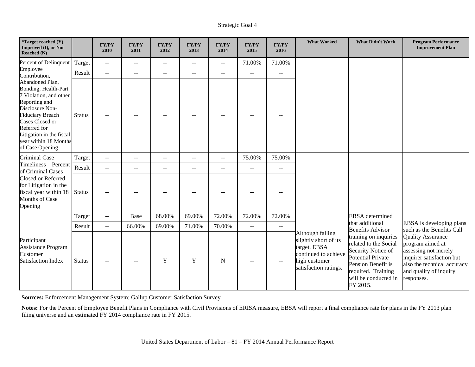| <i>*</i> Target reached $(Y)$ ,<br>Improved (I), or Not<br>Reached (N)                                                                                                                                                                      |                                                                                                                                               | <b>FY/PY</b><br>2010 | FY/PY<br>2011  | FY/PY<br>2012  | FY/PY<br>2013            | FY/PY<br>2014            | <b>FY/PY</b><br>2015     | <b>FY/PY</b><br>2016 | <b>What Worked</b>                                                                                                          | <b>What Didn't Work</b>                                                                                                                                                          | <b>Program Performance</b><br><b>Improvement Plan</b>                                                                                                                    |
|---------------------------------------------------------------------------------------------------------------------------------------------------------------------------------------------------------------------------------------------|-----------------------------------------------------------------------------------------------------------------------------------------------|----------------------|----------------|----------------|--------------------------|--------------------------|--------------------------|----------------------|-----------------------------------------------------------------------------------------------------------------------------|----------------------------------------------------------------------------------------------------------------------------------------------------------------------------------|--------------------------------------------------------------------------------------------------------------------------------------------------------------------------|
| Percent of Delinquent                                                                                                                                                                                                                       | Target                                                                                                                                        | $\sim$ $\sim$        | $\overline{a}$ | $- -$          | $\overline{a}$           | $-$                      | 71.00%                   | 71.00%               |                                                                                                                             |                                                                                                                                                                                  |                                                                                                                                                                          |
| Employee<br>Contribution,                                                                                                                                                                                                                   | Result<br>$\sim$ $\sim$<br>$\overline{a}$<br>$\sim$ $\sim$<br>$\overline{a}$<br>$- -$<br>$\overline{\phantom{m}}$<br>$\overline{\phantom{m}}$ |                      |                |                |                          |                          |                          |                      |                                                                                                                             |                                                                                                                                                                                  |                                                                                                                                                                          |
| Abandoned Plan,<br>Bonding, Health-Part<br>7 Violation, and other<br>Reporting and<br>Disclosure Non-<br><b>Fiduciary Breach</b><br>Cases Closed or<br>Referred for<br>Litigation in the fiscal<br>year within 18 Months<br>of Case Opening | <b>Status</b>                                                                                                                                 | $\sim$ $\sim$        | $-$            |                |                          |                          | $\sim$ $\sim$            | ٠.                   |                                                                                                                             |                                                                                                                                                                                  |                                                                                                                                                                          |
| Criminal Case                                                                                                                                                                                                                               | Target                                                                                                                                        | $\sim$ $\sim$        | $\overline{a}$ | $\overline{a}$ | $\mathbf{u}$             | $\overline{a}$           | 75.00%                   | 75.00%               |                                                                                                                             |                                                                                                                                                                                  |                                                                                                                                                                          |
| Timeliness - Percent<br>of Criminal Cases                                                                                                                                                                                                   | Result                                                                                                                                        | $\sim$               | $-$            | $- -$          | $\overline{\phantom{m}}$ | $\overline{\phantom{m}}$ | $\overline{\phantom{m}}$ | $\overline{a}$       |                                                                                                                             |                                                                                                                                                                                  |                                                                                                                                                                          |
| Closed or Referred<br>for Litigation in the<br>fiscal year within 18<br>Months of Case<br>Opening                                                                                                                                           | <b>Status</b>                                                                                                                                 |                      | --             |                |                          |                          |                          | --                   |                                                                                                                             |                                                                                                                                                                                  |                                                                                                                                                                          |
|                                                                                                                                                                                                                                             | Target                                                                                                                                        | $\sim$ $\sim$        | Base           | 68.00%         | 69.00%                   | 72.00%                   | 72.00%                   | 72.00%               |                                                                                                                             | <b>EBSA</b> determined                                                                                                                                                           |                                                                                                                                                                          |
|                                                                                                                                                                                                                                             | Result                                                                                                                                        | $\sim$ $\sim$        | 66.00%         | 69.00%         | 71.00%                   | 70.00%                   | $-$                      | $-$                  |                                                                                                                             | that additional<br><b>Benefits Advisor</b>                                                                                                                                       | EBSA is developing plans<br>such as the Benefits Call                                                                                                                    |
| Participant<br><b>Assistance Program</b><br>Customer<br><b>Satisfaction Index</b>                                                                                                                                                           | <b>Status</b>                                                                                                                                 | $\sim$               | --             | Y              | Y                        | N                        | $-$                      | --                   | Although falling<br>slightly short of its<br>target, EBSA<br>continued to achieve<br>high customer<br>satisfaction ratings. | training on inquiries<br>related to the Social<br>Security Notice of<br><b>Potential Private</b><br>Pension Benefit is<br>required. Training<br>will be conducted in<br>FY 2015. | <b>Quality Assurance</b><br>program aimed at<br>assessing not merely<br>inquirer satisfaction but<br>also the technical accuracy<br>and quality of inquiry<br>responses. |

**Sources:** Enforcement Management System; Gallup Customer Satisfaction Survey

**Notes:** For the Percent of Employee Benefit Plans in Compliance with Civil Provisions of ERISA measure, EBSA will report a final compliance rate for plans in the FY 2013 plan filing universe and an estimated FY 2014 compliance rate in FY 2015.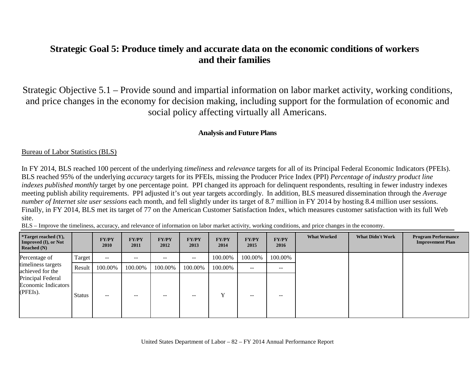## **Strategic Goal 5: Produce timely and accurate data on the economic conditions of workers and their families**

Strategic Objective 5.1 – Provide sound and impartial information on labor market activity, working conditions, and price changes in the economy for decision making, including support for the formulation of economic and social policy affecting virtually all Americans.

## **Analysis and Future Plans**

### Bureau of Labor Statistics (BLS)

In FY 2014, BLS reached 100 percent of the underlying *timeliness* and *relevance* targets for all of its Principal Federal Economic Indicators (PFEIs). BLS reached 95% of the underlying *accuracy* targets for its PFEIs, missing the Producer Price Index (PPI) *Percentage of industry product line indexes published monthly* target by one percentage point. PPI changed its approach for delinquent respondents, resulting in fewer industry indexes meeting publish ability requirements. PPI adjusted it's out year targets accordingly. In addition, BLS measured dissemination through the *Average number of Internet site user sessions* each month, and fell slightly under its target of 8.7 million in FY 2014 by hosting 8.4 million user sessions. Finally, in FY 2014, BLS met its target of 77 on the American Customer Satisfaction Index, which measures customer satisfaction with its full Web site.

BLS – Improve the timeliness, accuracy, and relevance of information on labor market activity, working conditions, and price changes in the economy.

| <i>*</i> Target reached $(Y)$ ,<br><b>Improved (I), or Not</b><br>Reached $(N)$ |               | <b>FY/PY</b><br>2010 | <b>FY/PY</b><br>2011 | <b>FY/PY</b><br>2012     | FY/PY<br>2013 | <b>FY/PY</b><br>2014 | <b>FY/PY</b><br>2015 | <b>FY/PY</b><br>2016 | <b>What Worked</b> | <b>What Didn't Work</b> | <b>Program Performance</b><br><b>Improvement Plan</b> |
|---------------------------------------------------------------------------------|---------------|----------------------|----------------------|--------------------------|---------------|----------------------|----------------------|----------------------|--------------------|-------------------------|-------------------------------------------------------|
| Percentage of                                                                   | Target        | $\sim$ $\sim$        | $- -$                | $\overline{\phantom{m}}$ | $- -$         | 100.00%              | 100.00%              | 100.00%              |                    |                         |                                                       |
| timeliness targets<br>achieved for the                                          | Result        | 100.00%              | 100.00%              | 100.00%                  | 100.00%       | 100.00%              | $\sim$ $-$           | $- -$                |                    |                         |                                                       |
| Principal Federal<br>Economic Indicators<br>(PFEIs).                            | <b>Status</b> | $- -$                | --                   | $- -$                    | --            | $\mathbf v$          | $- -$                | --                   |                    |                         |                                                       |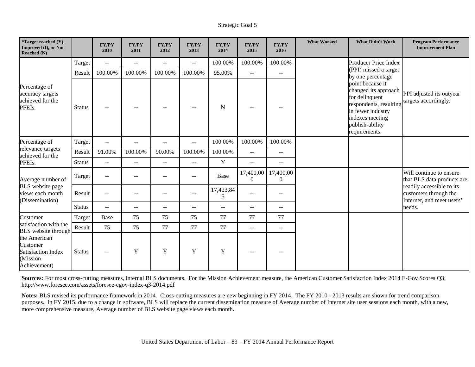| *Target reached (Y),<br>Improved (I), or Not<br>Reached (N)                       |               | <b>FY/PY</b><br>2010      | FY/PY<br>2011                                 | <b>FY/PY</b><br>2012     | <b>FY/PY</b><br>2013     | <b>FY/PY</b><br>2014 | <b>FY/PY</b><br>2015  | <b>FY/PY</b><br>2016                          | <b>What Worked</b> | <b>What Didn't Work</b>                                                                                                                                          | <b>Program Performance</b><br><b>Improvement Plan</b>                           |
|-----------------------------------------------------------------------------------|---------------|---------------------------|-----------------------------------------------|--------------------------|--------------------------|----------------------|-----------------------|-----------------------------------------------|--------------------|------------------------------------------------------------------------------------------------------------------------------------------------------------------|---------------------------------------------------------------------------------|
|                                                                                   | Target        | $\sim$ $-$                | $\overline{\phantom{a}}$                      | $\qquad \qquad -$        | $\overline{\phantom{a}}$ | 100.00%              | 100.00%               | 100.00%                                       |                    | Producer Price Index                                                                                                                                             |                                                                                 |
|                                                                                   | Result        | 100.00%                   | 100.00%                                       | 100.00%                  | 100.00%                  | 95.00%               | ÷÷.                   | ÷÷                                            |                    | (PPI) missed a target<br>by one percentage                                                                                                                       |                                                                                 |
| Percentage of<br>accuracy targets<br>achieved for the<br>PFEIs.                   | <b>Status</b> | $\qquad \qquad -$         | $\overline{\phantom{m}}$                      | $-$                      |                          | N                    | $\sim$ $\sim$         | --                                            |                    | point because it<br>changed its approach<br>for delinquent<br>respondents, resulting<br>in fewer industry<br>indexes meeting<br>publish-ability<br>requirements. | PPI adjusted its outyear<br>targets accordingly.                                |
| Percentage of                                                                     | Target        | $\mathcal{L}=\mathcal{L}$ | $\mathord{\hspace{1pt}\text{--}\hspace{1pt}}$ | $\sim$ $\sim$            | $\overline{\phantom{a}}$ | 100.00%              | 100.00%               | 100.00%                                       |                    |                                                                                                                                                                  |                                                                                 |
| relevance targets<br>achieved for the                                             | Result        | 91.00%                    | 100.00%                                       | 90.00%                   | 100.00%                  | 100.00%              | $-$                   | $\mathord{\hspace{1pt}\text{--}\hspace{1pt}}$ |                    |                                                                                                                                                                  |                                                                                 |
| PFEIs.                                                                            | <b>Status</b> | $ -$                      | $-$                                           | $-$                      | $\sim$ $\sim$            | $\mathbf Y$          | $-$                   | $-$                                           |                    |                                                                                                                                                                  |                                                                                 |
| Average number of                                                                 | Target        | $ -$                      | $\overline{\phantom{m}}$                      | $\overline{\phantom{m}}$ | $-$                      | Base                 | 17,400,00<br>$\Omega$ | 17,400,00<br>$\mathbf{0}$                     |                    |                                                                                                                                                                  | Will continue to ensure<br>that BLS data products are                           |
| <b>BLS</b> website page<br>views each month<br>(Dissemination)                    | Result        | $\qquad \qquad -$         | $-$                                           |                          |                          | 17,423,84<br>5       | $\frac{1}{2}$         | $-$                                           |                    |                                                                                                                                                                  | readily accessible to its<br>customers through the<br>Internet, and meet users' |
|                                                                                   | <b>Status</b> | $-$                       | $-$                                           | $-$                      | $\overline{\phantom{a}}$ | $-$                  | $- -$                 | $- -$                                         |                    |                                                                                                                                                                  | needs.                                                                          |
| Customer                                                                          | Target        | Base                      | 75                                            | 75                       | 75                       | 77                   | 77                    | 77                                            |                    |                                                                                                                                                                  |                                                                                 |
| satisfaction with the<br><b>BLS</b> website through                               | Result        | 75                        | 75                                            | 77                       | 77                       | 77                   | $\overline{a}$        | $\mathbf{u}$                                  |                    |                                                                                                                                                                  |                                                                                 |
| the American<br>Customer<br><b>Satisfaction Index</b><br>(Mission<br>Achievement) | <b>Status</b> | $\overline{\phantom{a}}$  | Y                                             | Y                        | Y                        | $\mathbf Y$          | $-$                   | --                                            |                    |                                                                                                                                                                  |                                                                                 |

**Sources:** For most cross-cutting measures, internal BLS documents. For the Mission Achievement measure, the American Customer Satisfaction Index 2014 E-Gov Scores Q3: http://www.foresee.com/assets/foresee-egov-index-q3-2014.pdf

**Notes:** BLS revised its performance framework in 2014. Cross-cutting measures are new beginning in FY 2014. The FY 2010 - 2013 results are shown for trend comparison purposes. In FY 2015, due to a change in software, BLS will replace the current dissemination measure of Average number of Internet site user sessions each month, with a new, more comprehensive measure, Average number of BLS website page views each month.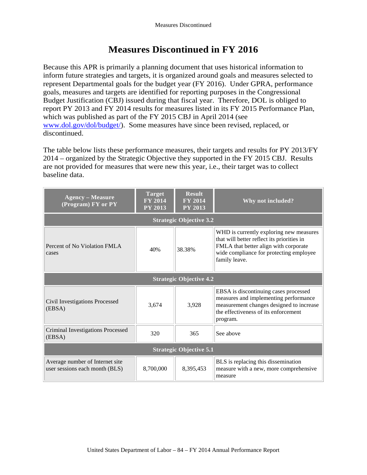## **Measures Discontinued in FY 2016**

Because this APR is primarily a planning document that uses historical information to inform future strategies and targets, it is organized around goals and measures selected to represent Departmental goals for the budget year (FY 2016). Under GPRA, performance goals, measures and targets are identified for reporting purposes in the Congressional Budget Justification (CBJ) issued during that fiscal year. Therefore, DOL is obliged to report PY 2013 and FY 2014 results for measures listed in its FY 2015 Performance Plan, which was published as part of the FY 2015 CBJ in April 2014 (see [www.dol.gov/dol/budget/\)](http://www.dol.gov/dol/budget/). Some measures have since been revised, replaced, or discontinued.

The table below lists these performance measures, their targets and results for PY 2013/FY 2014 – organized by the Strategic Objective they supported in the FY 2015 CBJ. Results are not provided for measures that were new this year, i.e., their target was to collect baseline data.

| <b>Agency – Measure</b><br>(Program) FY or PY                     | <b>Target</b><br><b>FY 2014</b><br><b>PY 2013</b> | <b>Result</b><br><b>FY 2014</b><br><b>PY 2013</b> | Why not included?                                                                                                                                                                          |  |  |  |  |  |  |  |  |  |
|-------------------------------------------------------------------|---------------------------------------------------|---------------------------------------------------|--------------------------------------------------------------------------------------------------------------------------------------------------------------------------------------------|--|--|--|--|--|--|--|--|--|
| <b>Strategic Objective 3.2</b>                                    |                                                   |                                                   |                                                                                                                                                                                            |  |  |  |  |  |  |  |  |  |
| Percent of No Violation FMLA<br>cases                             | 40%                                               | 38.38%                                            | WHD is currently exploring new measures<br>that will better reflect its priorities in<br>FMLA that better align with corporate<br>wide compliance for protecting employee<br>family leave. |  |  |  |  |  |  |  |  |  |
|                                                                   |                                                   | <b>Strategic Objective 4.2</b>                    |                                                                                                                                                                                            |  |  |  |  |  |  |  |  |  |
| Civil Investigations Processed<br>(EBSA)                          | 3,674                                             | 3,928                                             | EBSA is discontinuing cases processed<br>measures and implementing performance<br>measurement changes designed to increase<br>the effectiveness of its enforcement<br>program.             |  |  |  |  |  |  |  |  |  |
| <b>Criminal Investigations Processed</b><br>(EBSA)                | 320                                               | 365                                               | See above                                                                                                                                                                                  |  |  |  |  |  |  |  |  |  |
|                                                                   |                                                   | <b>Strategic Objective 5.1</b>                    |                                                                                                                                                                                            |  |  |  |  |  |  |  |  |  |
| Average number of Internet site<br>user sessions each month (BLS) | 8,700,000                                         | 8,395,453                                         | BLS is replacing this dissemination<br>measure with a new, more comprehensive<br>measure                                                                                                   |  |  |  |  |  |  |  |  |  |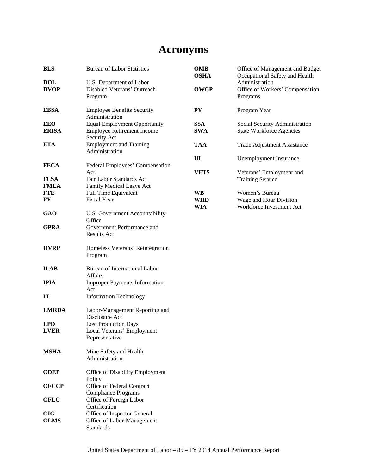# **Acronyms**

| <b>BLS</b>                 | <b>Bureau of Labor Statistics</b>                                                        | OMB<br><b>OSHA</b>       | Office of Management and Budget<br>Occupational Safety and Health    |
|----------------------------|------------------------------------------------------------------------------------------|--------------------------|----------------------------------------------------------------------|
| <b>DOL</b><br><b>DVOP</b>  | U.S. Department of Labor<br>Disabled Veterans' Outreach<br>Program                       | <b>OWCP</b>              | Administration<br>Office of Workers' Compensation<br>Programs        |
| <b>EBSA</b>                | <b>Employee Benefits Security</b><br>Administration                                      | <b>PY</b>                | Program Year                                                         |
| <b>EEO</b><br><b>ERISA</b> | <b>Equal Employment Opportunity</b><br><b>Employee Retirement Income</b><br>Security Act | <b>SSA</b><br><b>SWA</b> | Social Security Administration<br><b>State Workforce Agencies</b>    |
| <b>ETA</b>                 | <b>Employment and Training</b><br>Administration                                         | <b>TAA</b>               | Trade Adjustment Assistance                                          |
|                            |                                                                                          | UI                       | <b>Unemployment Insurance</b>                                        |
| <b>FECA</b>                | Federal Employees' Compensation<br>Act                                                   | <b>VETS</b>              | Veterans' Employment and                                             |
| <b>FLSA</b><br><b>FMLA</b> | Fair Labor Standards Act<br>Family Medical Leave Act                                     |                          | <b>Training Service</b>                                              |
| <b>FTE</b><br><b>FY</b>    | Full Time Equivalent<br>Fiscal Year                                                      | <b>WB</b><br><b>WHD</b>  | Women's Bureau<br>Wage and Hour Division<br>Workforce Investment Act |
| <b>GAO</b>                 | U.S. Government Accountability<br>Office                                                 | WIA                      |                                                                      |
| <b>GPRA</b>                | Government Performance and<br>Results Act                                                |                          |                                                                      |
| <b>HVRP</b>                | Homeless Veterans' Reintegration<br>Program                                              |                          |                                                                      |
| <b>ILAB</b>                | Bureau of International Labor<br><b>Affairs</b>                                          |                          |                                                                      |
| <b>IPIA</b>                | <b>Improper Payments Information</b><br>Act                                              |                          |                                                                      |
| IT                         | <b>Information Technology</b>                                                            |                          |                                                                      |
| <b>LMRDA</b>               | Labor-Management Reporting and<br>Disclosure Act                                         |                          |                                                                      |
| <b>LPD</b>                 | <b>Lost Production Days</b>                                                              |                          |                                                                      |
| <b>LVER</b>                | Local Veterans' Employment<br>Representative                                             |                          |                                                                      |
| <b>MSHA</b>                | Mine Safety and Health<br>Administration                                                 |                          |                                                                      |
| <b>ODEP</b>                | Office of Disability Employment<br>Policy                                                |                          |                                                                      |
| <b>OFCCP</b>               | Office of Federal Contract<br><b>Compliance Programs</b>                                 |                          |                                                                      |
| <b>OFLC</b>                | Office of Foreign Labor<br>Certification                                                 |                          |                                                                      |
| <b>OIG</b><br><b>OLMS</b>  | Office of Inspector General<br>Office of Labor-Management<br>Standards                   |                          |                                                                      |